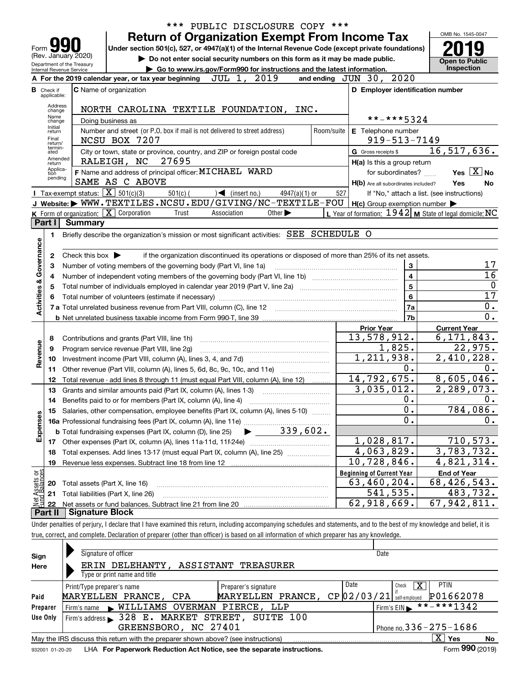|                           |                                                                                                                                  |                                                   |                                                                                                                                                                            |            | *** PUBLIC DISCLOSURE COPY ***                                                                  |                             |                 |                       |                                  |                                                     |                                                           |
|---------------------------|----------------------------------------------------------------------------------------------------------------------------------|---------------------------------------------------|----------------------------------------------------------------------------------------------------------------------------------------------------------------------------|------------|-------------------------------------------------------------------------------------------------|-----------------------------|-----------------|-----------------------|----------------------------------|-----------------------------------------------------|-----------------------------------------------------------|
|                           |                                                                                                                                  |                                                   |                                                                                                                                                                            |            | <b>Return of Organization Exempt From Income Tax</b>                                            |                             |                 |                       |                                  |                                                     | OMB No. 1545-0047                                         |
| Form                      |                                                                                                                                  |                                                   | Under section 501(c), 527, or 4947(a)(1) of the Internal Revenue Code (except private foundations)                                                                         |            |                                                                                                 |                             |                 |                       |                                  |                                                     |                                                           |
|                           | (Rev. January 2020)<br>Do not enter social security numbers on this form as it may be made public.<br>Department of the Treasury |                                                   |                                                                                                                                                                            |            |                                                                                                 |                             |                 | <b>Open to Public</b> |                                  |                                                     |                                                           |
|                           |                                                                                                                                  | Internal Revenue Service                          |                                                                                                                                                                            |            | ► Go to www.irs.gov/Form990 for instructions and the latest information.                        |                             |                 |                       |                                  |                                                     | <b>Inspection</b>                                         |
|                           |                                                                                                                                  |                                                   | A For the 2019 calendar year, or tax year beginning                                                                                                                        |            | JUL 1, 2019                                                                                     |                             |                 |                       | and ending JUN 30, 2020          |                                                     |                                                           |
|                           | <b>B</b> Check if<br>applicable:                                                                                                 |                                                   | <b>C</b> Name of organization                                                                                                                                              |            |                                                                                                 |                             |                 |                       |                                  | D Employer identification number                    |                                                           |
|                           | Address<br>change                                                                                                                |                                                   | NORTH CAROLINA TEXTILE FOUNDATION, INC.                                                                                                                                    |            |                                                                                                 |                             |                 |                       |                                  |                                                     |                                                           |
|                           | Name<br>change                                                                                                                   |                                                   | Doing business as                                                                                                                                                          |            |                                                                                                 |                             |                 |                       |                                  | **-***5324                                          |                                                           |
|                           | Initial<br>return<br>Final<br>return/                                                                                            |                                                   | Number and street (or P.O. box if mail is not delivered to street address)<br>NCSU BOX 7207                                                                                |            |                                                                                                 |                             |                 | Room/suite            |                                  | <b>E</b> Telephone number<br>$919 - 513 - 7149$     |                                                           |
|                           | termin-<br>ated                                                                                                                  |                                                   | City or town, state or province, country, and ZIP or foreign postal code                                                                                                   |            |                                                                                                 |                             |                 |                       | G Gross receipts \$              |                                                     | $\overline{16}$ , 517, 636.                               |
|                           | Amended<br>return                                                                                                                |                                                   | RALEIGH, NC                                                                                                                                                                | 27695      |                                                                                                 |                             |                 |                       |                                  | $H(a)$ is this a group return                       |                                                           |
|                           | Applica-<br>tion                                                                                                                 |                                                   | F Name and address of principal officer: MICHAEL WARD                                                                                                                      |            |                                                                                                 |                             |                 |                       |                                  | for subordinates?                                   | Yes $X$ No                                                |
|                           | pending                                                                                                                          |                                                   | SAME AS C ABOVE                                                                                                                                                            |            |                                                                                                 |                             |                 |                       |                                  | H(b) Are all subordinates included?                 | Yes<br>No                                                 |
|                           |                                                                                                                                  | Tax-exempt status: $\boxed{\mathbf{X}}$ 501(c)(3) |                                                                                                                                                                            | $501(c)$ ( | $\sqrt{\frac{1}{1}}$ (insert no.)                                                               |                             | $4947(a)(1)$ or |                       | 527                              |                                                     | If "No," attach a list. (see instructions)                |
|                           |                                                                                                                                  |                                                   | J Website: WWW.TEXTILES.NCSU.EDU/GIVING/NC-TEXTILE-FOU                                                                                                                     |            |                                                                                                 |                             |                 |                       |                                  | $H(c)$ Group exemption number $\blacktriangleright$ |                                                           |
|                           |                                                                                                                                  |                                                   | <b>K</b> Form of organization: $\boxed{\mathbf{X}}$ Corporation                                                                                                            | Trust      | Association                                                                                     | Other $\blacktriangleright$ |                 |                       |                                  |                                                     | L Year of formation: $1942$ M State of legal domicile: NC |
|                           | Part I                                                                                                                           | <b>Summary</b>                                    |                                                                                                                                                                            |            |                                                                                                 |                             |                 |                       |                                  |                                                     |                                                           |
|                           | 1                                                                                                                                |                                                   | Briefly describe the organization's mission or most significant activities: SEE SCHEDULE O                                                                                 |            |                                                                                                 |                             |                 |                       |                                  |                                                     |                                                           |
| Governance                |                                                                                                                                  |                                                   |                                                                                                                                                                            |            |                                                                                                 |                             |                 |                       |                                  |                                                     |                                                           |
|                           | 2                                                                                                                                | Check this box $\blacktriangleright$              |                                                                                                                                                                            |            | if the organization discontinued its operations or disposed of more than 25% of its net assets. |                             |                 |                       |                                  |                                                     |                                                           |
|                           | З                                                                                                                                |                                                   | Number of voting members of the governing body (Part VI, line 1a)                                                                                                          |            |                                                                                                 |                             |                 |                       |                                  | 3                                                   | 17                                                        |
|                           | 4                                                                                                                                |                                                   |                                                                                                                                                                            |            |                                                                                                 |                             |                 |                       |                                  | 4                                                   | 16                                                        |
|                           | 5                                                                                                                                |                                                   |                                                                                                                                                                            |            |                                                                                                 |                             |                 |                       |                                  | 5                                                   | $\mathbf 0$                                               |
| Activities &              |                                                                                                                                  |                                                   | Total number of volunteers (estimate if necessary) manufacture content content to a manufacture content of the                                                             |            |                                                                                                 |                             |                 |                       |                                  | 6                                                   | $\overline{17}$                                           |
|                           |                                                                                                                                  |                                                   |                                                                                                                                                                            |            |                                                                                                 |                             |                 |                       |                                  | 7a                                                  | 0.                                                        |
|                           |                                                                                                                                  |                                                   |                                                                                                                                                                            |            |                                                                                                 |                             |                 |                       |                                  | 7b                                                  | 0.                                                        |
|                           |                                                                                                                                  |                                                   |                                                                                                                                                                            |            |                                                                                                 |                             |                 |                       | <b>Prior Year</b>                |                                                     | <b>Current Year</b>                                       |
|                           | 8                                                                                                                                |                                                   | Contributions and grants (Part VIII, line 1h)                                                                                                                              |            |                                                                                                 |                             |                 |                       |                                  | 13,578,912.                                         | 6, 171, 843.                                              |
|                           | 9                                                                                                                                |                                                   | Program service revenue (Part VIII, line 2g)                                                                                                                               |            |                                                                                                 |                             |                 |                       |                                  | 1,825.                                              | $\overline{22}$ , 975.                                    |
| Revenue                   | 10                                                                                                                               |                                                   |                                                                                                                                                                            |            |                                                                                                 |                             |                 |                       |                                  | 1,211,938.                                          | 2,410,228.                                                |
|                           | 11                                                                                                                               |                                                   | Other revenue (Part VIII, column (A), lines 5, 6d, 8c, 9c, 10c, and 11e)                                                                                                   |            |                                                                                                 |                             |                 |                       |                                  | 0.                                                  | 0.                                                        |
|                           | 12                                                                                                                               |                                                   | Total revenue - add lines 8 through 11 (must equal Part VIII, column (A), line 12)                                                                                         |            |                                                                                                 |                             |                 |                       |                                  | 14,792,675.                                         | 8,605,046.                                                |
|                           | 13                                                                                                                               |                                                   | Grants and similar amounts paid (Part IX, column (A), lines 1-3)                                                                                                           |            |                                                                                                 |                             |                 |                       |                                  | 3,035,012.                                          | 2,289,073.                                                |
|                           | 14                                                                                                                               |                                                   |                                                                                                                                                                            |            |                                                                                                 |                             |                 |                       |                                  | 0.                                                  | 0.                                                        |
|                           |                                                                                                                                  |                                                   | 15 Salaries, other compensation, employee benefits (Part IX, column (A), lines 5-10)                                                                                       |            |                                                                                                 |                             |                 |                       |                                  | $\overline{0}$ .                                    | 784,086.                                                  |
| Expenses                  |                                                                                                                                  |                                                   |                                                                                                                                                                            |            |                                                                                                 |                             |                 |                       |                                  | 0.                                                  | 0.                                                        |
|                           |                                                                                                                                  |                                                   | <b>b</b> Total fundraising expenses (Part IX, column (D), line 25)                                                                                                         |            |                                                                                                 |                             |                 | 339,602.              |                                  |                                                     |                                                           |
|                           |                                                                                                                                  |                                                   | 17 Other expenses (Part IX, column (A), lines 11a-11d, 11f-24e)                                                                                                            |            |                                                                                                 |                             |                 |                       |                                  | 1,028,817.                                          | 710, 573.                                                 |
|                           | 18                                                                                                                               |                                                   | Total expenses. Add lines 13-17 (must equal Part IX, column (A), line 25)                                                                                                  |            |                                                                                                 |                             |                 |                       |                                  | 4,063,829.                                          | 3,783,732.                                                |
|                           | 19                                                                                                                               |                                                   |                                                                                                                                                                            |            |                                                                                                 |                             |                 |                       |                                  | 10,728,846.                                         | 4,821,314.                                                |
|                           |                                                                                                                                  |                                                   |                                                                                                                                                                            |            |                                                                                                 |                             |                 |                       | <b>Beginning of Current Year</b> |                                                     | <b>End of Year</b>                                        |
| t Assets or<br>d Balances | 20                                                                                                                               | Total assets (Part X, line 16)                    |                                                                                                                                                                            |            |                                                                                                 |                             |                 |                       |                                  | 63,460,204.                                         | 68,426,543.                                               |
|                           | 21                                                                                                                               |                                                   | Total liabilities (Part X, line 26)                                                                                                                                        |            |                                                                                                 |                             |                 |                       |                                  | 541,535.                                            | 483,732.                                                  |
| Net                       | 22                                                                                                                               |                                                   |                                                                                                                                                                            |            |                                                                                                 |                             |                 |                       |                                  | 62,918,669.                                         | 67,942,811.                                               |
|                           | Part II                                                                                                                          | <b>Signature Block</b>                            |                                                                                                                                                                            |            |                                                                                                 |                             |                 |                       |                                  |                                                     |                                                           |
|                           |                                                                                                                                  |                                                   | Under penalties of perjury, I declare that I have examined this return, including accompanying schedules and statements, and to the best of my knowledge and belief, it is |            |                                                                                                 |                             |                 |                       |                                  |                                                     |                                                           |
|                           |                                                                                                                                  |                                                   | true, correct, and complete. Declaration of preparer (other than officer) is based on all information of which preparer has any knowledge.                                 |            |                                                                                                 |                             |                 |                       |                                  |                                                     |                                                           |
|                           |                                                                                                                                  |                                                   |                                                                                                                                                                            |            |                                                                                                 |                             |                 |                       |                                  |                                                     |                                                           |
|                           |                                                                                                                                  |                                                   |                                                                                                                                                                            |            |                                                                                                 |                             |                 |                       |                                  |                                                     |                                                           |

| Sign     | Signature of officer                                                                                         |                      | Date                        |                              |  |  |  |  |
|----------|--------------------------------------------------------------------------------------------------------------|----------------------|-----------------------------|------------------------------|--|--|--|--|
| Here     | DELEHANTY,<br>ERIN                                                                                           | ASSISTANT TREASURER  |                             |                              |  |  |  |  |
|          | Type or print name and title                                                                                 |                      |                             |                              |  |  |  |  |
|          | Print/Type preparer's name                                                                                   | Preparer's signature | Date                        | <b>PTIN</b><br>x<br>Check    |  |  |  |  |
| Paid     | MARYELLEN PRANCE, CPA                                                                                        | MARYELLEN PRANCE,    | $CP$ 02/03/21 self-employed | P01662078                    |  |  |  |  |
| Preparer | WILLIAMS OVERMAN PIERCE, LLP<br>Firm's name<br>$\mathbf{r}$                                                  |                      |                             | **-***1342<br>Firm's EIN     |  |  |  |  |
| Use Only | Firm's address > 328 E. MARKET STREET,                                                                       | SUITE 100            |                             |                              |  |  |  |  |
|          | GREENSBORO, NC 27401                                                                                         |                      |                             | Phone no. $336 - 275 - 1686$ |  |  |  |  |
|          | $X \mid$<br>May the IRS discuss this return with the preparer shown above? (see instructions)<br>Yes<br>No   |                      |                             |                              |  |  |  |  |
|          | Form 990 (2019)<br>LHA For Paperwork Reduction Act Notice, see the separate instructions.<br>932001 01-20-20 |                      |                             |                              |  |  |  |  |

932001 01-20-20 **For Paperwork Reduction Act Notice, see the separate instructions.** LHA Form (2019)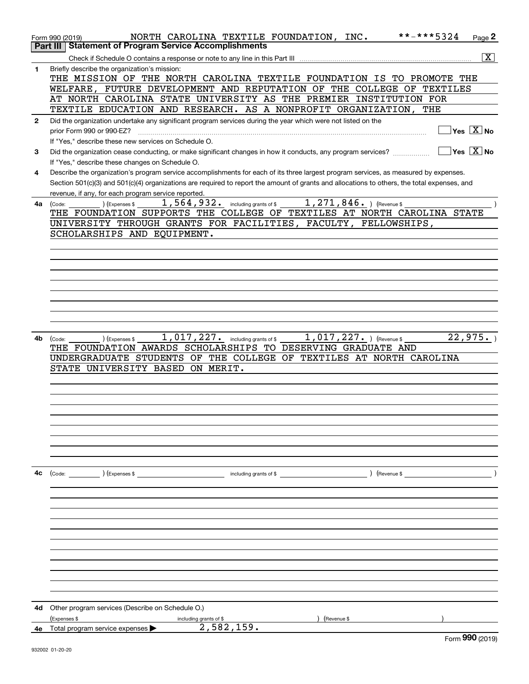|              | **-***5324<br>NORTH CAROLINA TEXTILE FOUNDATION, INC.<br>Page 2<br>Form 990 (2019)                                                           |
|--------------|----------------------------------------------------------------------------------------------------------------------------------------------|
|              | <b>Part III   Statement of Program Service Accomplishments</b>                                                                               |
|              | $\overline{\mathbf{x}}$                                                                                                                      |
|              |                                                                                                                                              |
| $\mathbf{1}$ | Briefly describe the organization's mission:                                                                                                 |
|              | THE MISSION OF THE NORTH CAROLINA TEXTILE FOUNDATION IS TO PROMOTE THE                                                                       |
|              | WELFARE, FUTURE DEVELOPMENT AND REPUTATION OF THE COLLEGE OF TEXTILES                                                                        |
|              | AT NORTH CAROLINA STATE UNIVERSITY AS THE PREMIER INSTITUTION FOR                                                                            |
|              | TEXTILE EDUCATION AND RESEARCH. AS A NONPROFIT ORGANIZATION, THE                                                                             |
| $\mathbf{2}$ | Did the organization undertake any significant program services during the year which were not listed on the                                 |
|              | $\Box$ Yes $\boxed{\mathrm{X}}$ No<br>prior Form 990 or 990-EZ?                                                                              |
|              | If "Yes." describe these new services on Schedule O.                                                                                         |
| 3            | $\sqrt{}$ Yes $\sqrt{X}$ No<br>Did the organization cease conducting, or make significant changes in how it conducts, any program services?  |
|              | If "Yes," describe these changes on Schedule O.                                                                                              |
|              |                                                                                                                                              |
| 4            | Describe the organization's program service accomplishments for each of its three largest program services, as measured by expenses.         |
|              | Section 501(c)(3) and 501(c)(4) organizations are required to report the amount of grants and allocations to others, the total expenses, and |
|              | revenue, if any, for each program service reported.                                                                                          |
| 4a           | 1, 271, $846.$ ) (Revenue \$<br>1,564,932. including grants of \$<br>) (Expenses \$<br>(Code:                                                |
|              | THE FOUNDATION SUPPORTS THE COLLEGE OF TEXTILES AT NORTH CAROLINA STATE                                                                      |
|              | UNIVERSITY THROUGH GRANTS FOR FACILITIES, FACULTY, FELLOWSHIPS,                                                                              |
|              | SCHOLARSHIPS AND EQUIPMENT.                                                                                                                  |
|              |                                                                                                                                              |
|              |                                                                                                                                              |
|              |                                                                                                                                              |
|              |                                                                                                                                              |
|              |                                                                                                                                              |
|              |                                                                                                                                              |
|              |                                                                                                                                              |
|              |                                                                                                                                              |
|              |                                                                                                                                              |
|              |                                                                                                                                              |
| 4b.          | 1, 017, 227. including grants of \$<br>22,975.<br>$1,017,227.$ ) (Revenue \$<br>) (Expenses \$<br>(Code:                                     |
|              | THE FOUNDATION AWARDS SCHOLARSHIPS TO DESERVING GRADUATE AND                                                                                 |
|              | UNDERGRADUATE STUDENTS OF THE COLLEGE OF TEXTILES AT NORTH CAROLINA                                                                          |
|              | STATE UNIVERSITY BASED ON MERIT.                                                                                                             |
|              |                                                                                                                                              |
|              |                                                                                                                                              |
|              |                                                                                                                                              |
|              |                                                                                                                                              |
|              |                                                                                                                                              |
|              |                                                                                                                                              |
|              |                                                                                                                                              |
|              |                                                                                                                                              |
|              |                                                                                                                                              |
|              |                                                                                                                                              |
| 4c           | $\left(\text{Code:}\right)$ $\left(\text{Expenses $}\right)$<br>$\sqrt{$ (Revenue \$<br>including grants of \$                               |
|              |                                                                                                                                              |
|              |                                                                                                                                              |
|              |                                                                                                                                              |
|              |                                                                                                                                              |
|              |                                                                                                                                              |
|              |                                                                                                                                              |
|              |                                                                                                                                              |
|              |                                                                                                                                              |
|              |                                                                                                                                              |
|              |                                                                                                                                              |
|              |                                                                                                                                              |
|              |                                                                                                                                              |
|              |                                                                                                                                              |
| 4d           |                                                                                                                                              |
|              | Other program services (Describe on Schedule O.)                                                                                             |
|              | (Expenses \$<br>(Revenue \$<br>including grants of \$<br>2,582,159.                                                                          |
| 4е           | Total program service expenses<br>$000$ ( $0.22$                                                                                             |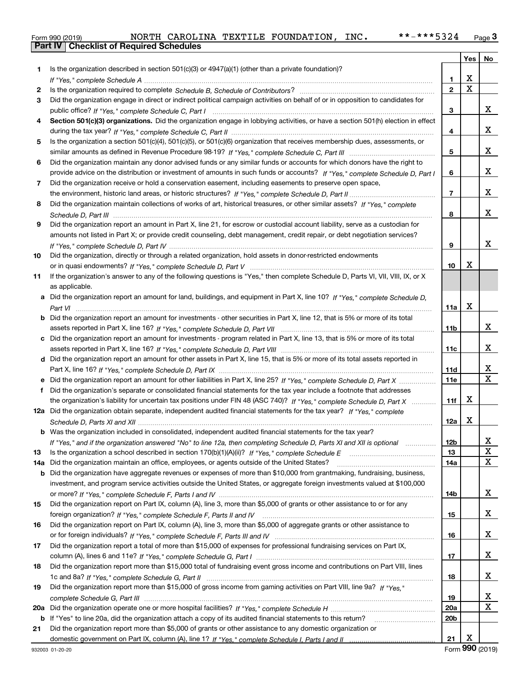|  | Form 990 (2019) |  |
|--|-----------------|--|

|     |                                                                                                                                                                                                                                |                 | Yes         | No     |
|-----|--------------------------------------------------------------------------------------------------------------------------------------------------------------------------------------------------------------------------------|-----------------|-------------|--------|
| 1.  | Is the organization described in section 501(c)(3) or 4947(a)(1) (other than a private foundation)?                                                                                                                            |                 |             |        |
|     | If "Yes," complete Schedule A measure and a control of the state of the state of the state of the state of the state of the state of the state of the state of the state of the state of the state of the state of the state o | 1               | х           |        |
| 2   |                                                                                                                                                                                                                                | $\mathbf{2}$    | $\mathbf X$ |        |
| 3   | Did the organization engage in direct or indirect political campaign activities on behalf of or in opposition to candidates for                                                                                                |                 |             |        |
|     |                                                                                                                                                                                                                                | 3               |             | x      |
| 4   | Section 501(c)(3) organizations. Did the organization engage in lobbying activities, or have a section 501(h) election in effect                                                                                               |                 |             |        |
|     |                                                                                                                                                                                                                                | 4               |             | x      |
| 5   | Is the organization a section 501(c)(4), 501(c)(5), or 501(c)(6) organization that receives membership dues, assessments, or                                                                                                   |                 |             |        |
|     |                                                                                                                                                                                                                                | 5               |             | x      |
| 6   | Did the organization maintain any donor advised funds or any similar funds or accounts for which donors have the right to                                                                                                      |                 |             |        |
|     | provide advice on the distribution or investment of amounts in such funds or accounts? If "Yes," complete Schedule D, Part I                                                                                                   | 6               |             | x      |
| 7   | Did the organization receive or hold a conservation easement, including easements to preserve open space,                                                                                                                      |                 |             |        |
|     |                                                                                                                                                                                                                                | $\overline{7}$  |             | x      |
| 8   | Did the organization maintain collections of works of art, historical treasures, or other similar assets? If "Yes," complete                                                                                                   |                 |             |        |
|     |                                                                                                                                                                                                                                | 8               |             | x      |
| 9   | Did the organization report an amount in Part X, line 21, for escrow or custodial account liability, serve as a custodian for                                                                                                  |                 |             |        |
|     | amounts not listed in Part X; or provide credit counseling, debt management, credit repair, or debt negotiation services?                                                                                                      |                 |             |        |
|     |                                                                                                                                                                                                                                | 9               |             | x      |
| 10  | Did the organization, directly or through a related organization, hold assets in donor-restricted endowments                                                                                                                   |                 |             |        |
|     |                                                                                                                                                                                                                                | 10              | х           |        |
| 11  | If the organization's answer to any of the following questions is "Yes," then complete Schedule D, Parts VI, VIII, VIII, IX, or X                                                                                              |                 |             |        |
|     | as applicable.                                                                                                                                                                                                                 |                 |             |        |
|     | a Did the organization report an amount for land, buildings, and equipment in Part X, line 10? If "Yes," complete Schedule D,                                                                                                  |                 |             |        |
|     |                                                                                                                                                                                                                                | 11a             | X           |        |
|     | <b>b</b> Did the organization report an amount for investments - other securities in Part X, line 12, that is 5% or more of its total                                                                                          |                 |             |        |
|     |                                                                                                                                                                                                                                | 11 <sub>b</sub> |             | x      |
|     | c Did the organization report an amount for investments - program related in Part X, line 13, that is 5% or more of its total                                                                                                  |                 |             |        |
|     |                                                                                                                                                                                                                                | 11c             |             | x      |
|     | d Did the organization report an amount for other assets in Part X, line 15, that is 5% or more of its total assets reported in                                                                                                |                 |             |        |
|     |                                                                                                                                                                                                                                | 11d             |             | x      |
|     | e Did the organization report an amount for other liabilities in Part X, line 25? If "Yes," complete Schedule D, Part X                                                                                                        | <b>11e</b>      |             | X      |
| f   | Did the organization's separate or consolidated financial statements for the tax year include a footnote that addresses                                                                                                        |                 |             |        |
|     | the organization's liability for uncertain tax positions under FIN 48 (ASC 740)? If "Yes," complete Schedule D, Part X                                                                                                         | 11f             | х           |        |
|     | 12a Did the organization obtain separate, independent audited financial statements for the tax year? If "Yes," complete                                                                                                        |                 |             |        |
|     |                                                                                                                                                                                                                                | 12a             | х           |        |
|     | <b>b</b> Was the organization included in consolidated, independent audited financial statements for the tax year?                                                                                                             |                 |             |        |
|     | If "Yes," and if the organization answered "No" to line 12a, then completing Schedule D, Parts XI and XII is optional                                                                                                          | 12 <sub>b</sub> |             | 47.    |
| 13  |                                                                                                                                                                                                                                | 13              |             | X      |
| 14a | Did the organization maintain an office, employees, or agents outside of the United States?                                                                                                                                    | 14a             |             | X      |
|     | <b>b</b> Did the organization have aggregate revenues or expenses of more than \$10,000 from grantmaking, fundraising, business,                                                                                               |                 |             |        |
|     | investment, and program service activities outside the United States, or aggregate foreign investments valued at \$100,000                                                                                                     |                 |             |        |
|     |                                                                                                                                                                                                                                | 14b             |             | x      |
| 15  | Did the organization report on Part IX, column (A), line 3, more than \$5,000 of grants or other assistance to or for any                                                                                                      |                 |             |        |
|     |                                                                                                                                                                                                                                | 15              |             | x      |
| 16  | Did the organization report on Part IX, column (A), line 3, more than \$5,000 of aggregate grants or other assistance to                                                                                                       |                 |             |        |
|     |                                                                                                                                                                                                                                | 16              |             | x      |
| 17  | Did the organization report a total of more than \$15,000 of expenses for professional fundraising services on Part IX,                                                                                                        |                 |             |        |
|     |                                                                                                                                                                                                                                | 17              |             | x      |
| 18  | Did the organization report more than \$15,000 total of fundraising event gross income and contributions on Part VIII, lines                                                                                                   |                 |             |        |
|     |                                                                                                                                                                                                                                | 18              |             | x      |
| 19  | Did the organization report more than \$15,000 of gross income from gaming activities on Part VIII, line 9a? If "Yes."                                                                                                         |                 |             |        |
|     |                                                                                                                                                                                                                                | 19              |             | x<br>X |
|     |                                                                                                                                                                                                                                | 20a             |             |        |
|     | <b>b</b> If "Yes" to line 20a, did the organization attach a copy of its audited financial statements to this return?                                                                                                          | 20 <sub>b</sub> |             |        |
| 21  | Did the organization report more than \$5,000 of grants or other assistance to any domestic organization or                                                                                                                    |                 | x           |        |
|     |                                                                                                                                                                                                                                | 21              |             |        |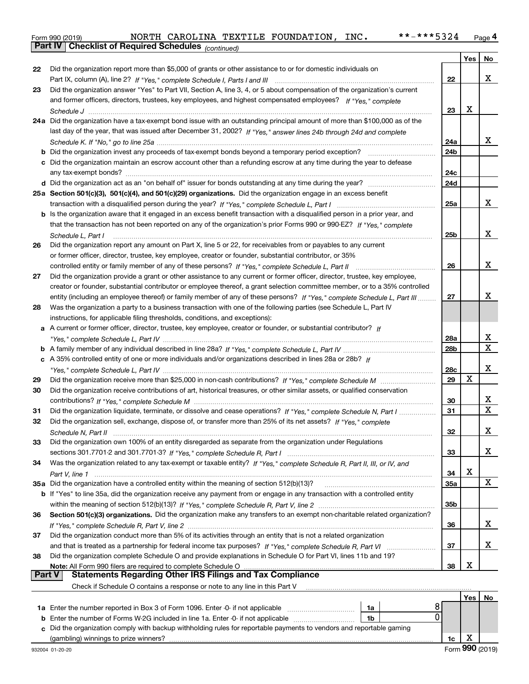|  | Form 990 (2019) |
|--|-----------------|

|    | Parl IV<br>Criecklist of Required Scriedules (continued)                                                                           |                 |     |    |
|----|------------------------------------------------------------------------------------------------------------------------------------|-----------------|-----|----|
|    |                                                                                                                                    |                 | Yes | No |
| 22 | Did the organization report more than \$5,000 of grants or other assistance to or for domestic individuals on                      |                 |     |    |
|    |                                                                                                                                    | 22              |     | х  |
| 23 | Did the organization answer "Yes" to Part VII, Section A, line 3, 4, or 5 about compensation of the organization's current         |                 |     |    |
|    | and former officers, directors, trustees, key employees, and highest compensated employees? If "Yes," complete                     |                 |     |    |
|    |                                                                                                                                    | 23              | x   |    |
|    | 24a Did the organization have a tax-exempt bond issue with an outstanding principal amount of more than \$100,000 as of the        |                 |     |    |
|    | last day of the year, that was issued after December 31, 2002? If "Yes," answer lines 24b through 24d and complete                 |                 |     |    |
|    |                                                                                                                                    | 24a             |     | x  |
|    | <b>b</b> Did the organization invest any proceeds of tax-exempt bonds beyond a temporary period exception?                         | 24 <sub>b</sub> |     |    |
|    | c Did the organization maintain an escrow account other than a refunding escrow at any time during the year to defease             |                 |     |    |
|    |                                                                                                                                    | 24c             |     |    |
|    |                                                                                                                                    | 24d             |     |    |
|    | 25a Section 501(c)(3), 501(c)(4), and 501(c)(29) organizations. Did the organization engage in an excess benefit                   |                 |     |    |
|    |                                                                                                                                    | 25a             |     | x  |
|    |                                                                                                                                    |                 |     |    |
|    | b Is the organization aware that it engaged in an excess benefit transaction with a disqualified person in a prior year, and       |                 |     |    |
|    | that the transaction has not been reported on any of the organization's prior Forms 990 or 990-EZ? If "Yes," complete              |                 |     |    |
|    | Schedule L. Part I                                                                                                                 | 25b             |     | x  |
| 26 | Did the organization report any amount on Part X, line 5 or 22, for receivables from or payables to any current                    |                 |     |    |
|    | or former officer, director, trustee, key employee, creator or founder, substantial contributor, or 35%                            |                 |     |    |
|    |                                                                                                                                    | 26              |     | x  |
| 27 | Did the organization provide a grant or other assistance to any current or former officer, director, trustee, key employee,        |                 |     |    |
|    | creator or founder, substantial contributor or employee thereof, a grant selection committee member, or to a 35% controlled        |                 |     |    |
|    | entity (including an employee thereof) or family member of any of these persons? If "Yes," complete Schedule L, Part III           | 27              |     | x  |
| 28 | Was the organization a party to a business transaction with one of the following parties (see Schedule L, Part IV                  |                 |     |    |
|    | instructions, for applicable filing thresholds, conditions, and exceptions):                                                       |                 |     |    |
|    | a A current or former officer, director, trustee, key employee, creator or founder, or substantial contributor? If                 |                 |     |    |
|    |                                                                                                                                    | 28a             |     | x  |
|    |                                                                                                                                    | 28 <sub>b</sub> |     | X  |
|    | c A 35% controlled entity of one or more individuals and/or organizations described in lines 28a or 28b? If                        |                 |     |    |
|    |                                                                                                                                    | 28c             |     | х  |
| 29 |                                                                                                                                    | 29              | Χ   |    |
| 30 | Did the organization receive contributions of art, historical treasures, or other similar assets, or qualified conservation        |                 |     |    |
|    |                                                                                                                                    | 30              |     | x  |
| 31 | Did the organization liquidate, terminate, or dissolve and cease operations? If "Yes," complete Schedule N, Part I                 | 31              |     | х  |
| 32 | Did the organization sell, exchange, dispose of, or transfer more than 25% of its net assets? If "Yes," complete                   |                 |     |    |
|    |                                                                                                                                    | 32              |     | х  |
|    | Schedule N. Part II                                                                                                                |                 |     |    |
| 33 | Did the organization own 100% of an entity disregarded as separate from the organization under Regulations                         |                 |     |    |
|    |                                                                                                                                    | 33              |     | X. |
| 34 | Was the organization related to any tax-exempt or taxable entity? If "Yes," complete Schedule R, Part II, III, or IV, and          |                 |     |    |
|    |                                                                                                                                    | 34              | х   |    |
|    | 35a Did the organization have a controlled entity within the meaning of section 512(b)(13)?                                        | 35a             |     | X  |
|    | <b>b</b> If "Yes" to line 35a, did the organization receive any payment from or engage in any transaction with a controlled entity |                 |     |    |
|    |                                                                                                                                    | 35b             |     |    |
| 36 | Section 501(c)(3) organizations. Did the organization make any transfers to an exempt non-charitable related organization?         |                 |     |    |
|    |                                                                                                                                    | 36              |     | x  |
| 37 | Did the organization conduct more than 5% of its activities through an entity that is not a related organization                   |                 |     |    |
|    |                                                                                                                                    | 37              |     | x  |
| 38 | Did the organization complete Schedule O and provide explanations in Schedule O for Part VI, lines 11b and 19?                     |                 |     |    |
|    | Note: All Form 990 filers are required to complete Schedule O                                                                      | 38              | х   |    |
|    | <b>Statements Regarding Other IRS Filings and Tax Compliance</b><br><b>Part V</b>                                                  |                 |     |    |
|    | Check if Schedule O contains a response or note to any line in this Part V                                                         |                 |     |    |
|    |                                                                                                                                    |                 |     |    |

| 1a Enter the number reported in Box 3 of Form 1096. Enter -0- if not applicable                                      | 1a |  |  |  |  |
|----------------------------------------------------------------------------------------------------------------------|----|--|--|--|--|
| <b>b</b> Enter the number of Forms W-2G included in line 1a. Enter -0- if not applicable                             | 1b |  |  |  |  |
| c Did the organization comply with backup withholding rules for reportable payments to vendors and reportable gaming |    |  |  |  |  |
| (gambling) winnings to prize winners?                                                                                |    |  |  |  |  |
|                                                                                                                      |    |  |  |  |  |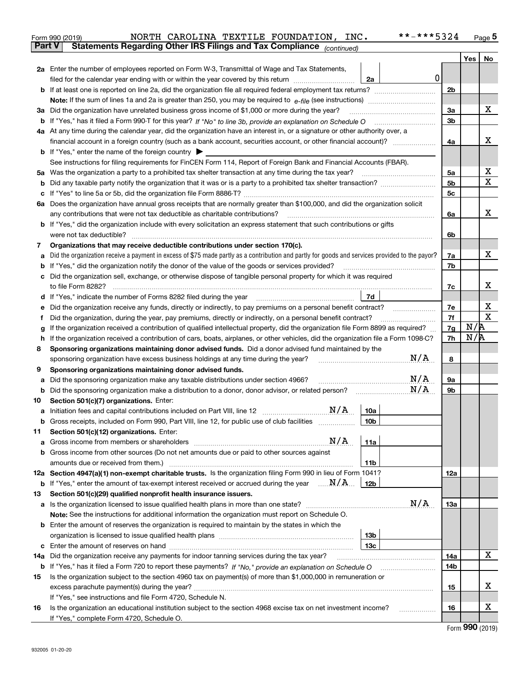|     | NORTH CAROLINA TEXTILE FOUNDATION, INC.<br>Form 990 (2019)                                                                                      | **-***5324 |     | $_{\text{Page}}$ 5 |  |
|-----|-------------------------------------------------------------------------------------------------------------------------------------------------|------------|-----|--------------------|--|
|     | Statements Regarding Other IRS Filings and Tax Compliance (continued)<br><b>Part V</b>                                                          |            |     |                    |  |
|     |                                                                                                                                                 |            | Yes | No                 |  |
|     | 2a Enter the number of employees reported on Form W-3, Transmittal of Wage and Tax Statements,                                                  |            |     |                    |  |
|     | filed for the calendar year ending with or within the year covered by this return www.communition<br>2a                                         | 0          |     |                    |  |
|     |                                                                                                                                                 | 2b         |     |                    |  |
|     |                                                                                                                                                 |            |     |                    |  |
| За  | Did the organization have unrelated business gross income of \$1,000 or more during the year?                                                   | 3a         |     | х                  |  |
| b   |                                                                                                                                                 | 3b         |     |                    |  |
|     | 4a At any time during the calendar year, did the organization have an interest in, or a signature or other authority over, a                    |            |     |                    |  |
|     |                                                                                                                                                 | 4a         |     | х                  |  |
|     | <b>b</b> If "Yes," enter the name of the foreign country $\blacktriangleright$                                                                  |            |     |                    |  |
|     | See instructions for filing requirements for FinCEN Form 114, Report of Foreign Bank and Financial Accounts (FBAR).                             |            |     |                    |  |
|     | 5a Was the organization a party to a prohibited tax shelter transaction at any time during the tax year?                                        | 5а         |     | х                  |  |
| b   |                                                                                                                                                 | 5b         |     | $\mathbf X$        |  |
| с   |                                                                                                                                                 | 5c         |     |                    |  |
|     | 6a Does the organization have annual gross receipts that are normally greater than \$100,000, and did the organization solicit                  |            |     |                    |  |
|     | any contributions that were not tax deductible as charitable contributions?                                                                     | 6a         |     | x                  |  |
|     | <b>b</b> If "Yes," did the organization include with every solicitation an express statement that such contributions or gifts                   |            |     |                    |  |
|     | were not tax deductible?                                                                                                                        | 6b         |     |                    |  |
| 7   | Organizations that may receive deductible contributions under section 170(c).                                                                   |            |     |                    |  |
| а   | Did the organization receive a payment in excess of \$75 made partly as a contribution and partly for goods and services provided to the payor? | 7a         |     | х                  |  |
| b   | If "Yes," did the organization notify the donor of the value of the goods or services provided?                                                 | 7b         |     |                    |  |
| с   | Did the organization sell, exchange, or otherwise dispose of tangible personal property for which it was required                               |            |     |                    |  |
|     |                                                                                                                                                 | 7c         |     | х                  |  |
| d   | 7d                                                                                                                                              |            |     |                    |  |
| е   |                                                                                                                                                 | 7e         |     | х                  |  |
| f   | Did the organization, during the year, pay premiums, directly or indirectly, on a personal benefit contract?                                    | 7f         |     | $\mathbf X$        |  |
| g   | If the organization received a contribution of qualified intellectual property, did the organization file Form 8899 as required?                |            |     |                    |  |
| h   | If the organization received a contribution of cars, boats, airplanes, or other vehicles, did the organization file a Form 1098-C?              | 7h         |     | N/R                |  |
| 8   | Sponsoring organizations maintaining donor advised funds. Did a donor advised fund maintained by the                                            |            |     |                    |  |
|     | sponsoring organization have excess business holdings at any time during the year?                                                              | N/A<br>8   |     |                    |  |
| 9   | Sponsoring organizations maintaining donor advised funds.                                                                                       |            |     |                    |  |
| а   | N/A<br>Did the sponsoring organization make any taxable distributions under section 4966?                                                       | 9а         |     |                    |  |
| b   | N/A<br>Did the sponsoring organization make a distribution to a donor, donor advisor, or related person?                                        | 9b         |     |                    |  |
| 10  | Section 501(c)(7) organizations. Enter:                                                                                                         |            |     |                    |  |
|     | N/A<br>10a                                                                                                                                      |            |     |                    |  |
|     | Gross receipts, included on Form 990, Part VIII, line 12, for public use of club facilities<br>10 <sub>b</sub>                                  |            |     |                    |  |
| 11  | Section 501(c)(12) organizations. Enter:                                                                                                        |            |     |                    |  |
| а   | N/A<br>11a                                                                                                                                      |            |     |                    |  |
| b   | Gross income from other sources (Do not net amounts due or paid to other sources against                                                        |            |     |                    |  |
|     | 11 <sub>b</sub>                                                                                                                                 |            |     |                    |  |
|     | 12a Section 4947(a)(1) non-exempt charitable trusts. Is the organization filing Form 990 in lieu of Form 1041?                                  | 12a        |     |                    |  |
|     | <b>b</b> If "Yes," enter the amount of tax-exempt interest received or accrued during the year $\ldots \mathbf{N}/\mathbf{A}$<br>12b            |            |     |                    |  |
| 13  | Section 501(c)(29) qualified nonprofit health insurance issuers.                                                                                |            |     |                    |  |
| а   | N/A<br>Is the organization licensed to issue qualified health plans in more than one state?                                                     | 13a        |     |                    |  |
|     | Note: See the instructions for additional information the organization must report on Schedule O.                                               |            |     |                    |  |
| b   | Enter the amount of reserves the organization is required to maintain by the states in which the                                                |            |     |                    |  |
|     | 13 <sub>b</sub>                                                                                                                                 |            |     |                    |  |
| c   | 13c                                                                                                                                             |            |     |                    |  |
| 14a | Did the organization receive any payments for indoor tanning services during the tax year?                                                      | 14a        |     | x                  |  |
|     | <b>b</b> If "Yes," has it filed a Form 720 to report these payments? If "No," provide an explanation on Schedule O                              | 14b        |     |                    |  |
| 15  | Is the organization subject to the section 4960 tax on payment(s) of more than \$1,000,000 in remuneration or                                   |            |     |                    |  |
|     |                                                                                                                                                 | 15         |     | х                  |  |
|     | If "Yes," see instructions and file Form 4720, Schedule N.                                                                                      |            |     |                    |  |
| 16  | Is the organization an educational institution subject to the section 4968 excise tax on net investment income?                                 | 16         |     | х                  |  |
|     | If "Yes," complete Form 4720, Schedule O.                                                                                                       |            |     |                    |  |
|     |                                                                                                                                                 |            |     | $000$ $(0010)$     |  |

|  | Form 990 (2019) |
|--|-----------------|
|  |                 |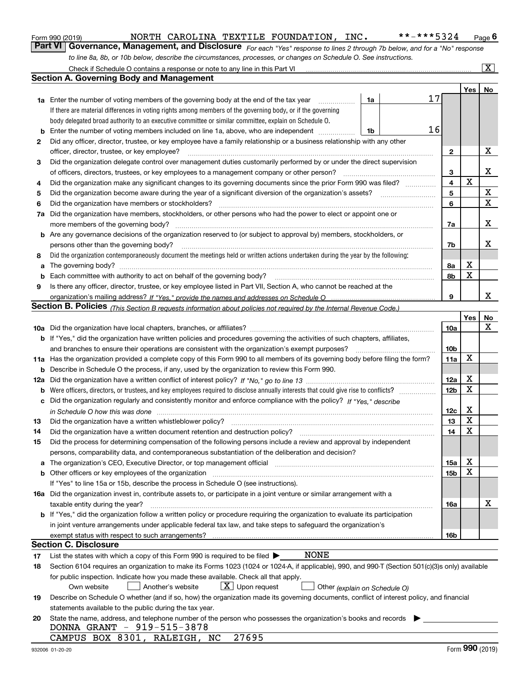|  | Form 990 (2019) |
|--|-----------------|
|  |                 |

*For each "Yes" response to lines 2 through 7b below, and for a "No" response to line 8a, 8b, or 10b below, describe the circumstances, processes, or changes on Schedule O. See instructions.* Form 990 (2019) **MORTH CAROLINA TEXTILE FOUNDATION, INC.** \*\*-\*\*\*5324 Page 6<br>**Part VI** | Governance, Management, and Disclosure *For each "Yes" response to lines 2 through 7b below, and for a "No" response* 

|    | Check if Schedule O contains a response or note to any line in this Part VI                                                                                                                                                    |                 |                   | $\overline{\mathbf{x}}$ |
|----|--------------------------------------------------------------------------------------------------------------------------------------------------------------------------------------------------------------------------------|-----------------|-------------------|-------------------------|
|    | Section A. Governing Body and Management                                                                                                                                                                                       |                 |                   |                         |
|    |                                                                                                                                                                                                                                |                 | Yes               | No                      |
|    | 17<br>1a<br><b>1a</b> Enter the number of voting members of the governing body at the end of the tax year                                                                                                                      |                 |                   |                         |
|    | If there are material differences in voting rights among members of the governing body, or if the governing                                                                                                                    |                 |                   |                         |
|    | body delegated broad authority to an executive committee or similar committee, explain on Schedule O.                                                                                                                          |                 |                   |                         |
| b  | 16<br>Enter the number of voting members included on line 1a, above, who are independent<br>1b                                                                                                                                 |                 |                   |                         |
| 2  | Did any officer, director, trustee, or key employee have a family relationship or a business relationship with any other                                                                                                       |                 |                   |                         |
|    | officer, director, trustee, or key employee?                                                                                                                                                                                   | 2               |                   | х                       |
| 3  | Did the organization delegate control over management duties customarily performed by or under the direct supervision                                                                                                          |                 |                   |                         |
|    | of officers, directors, trustees, or key employees to a management company or other person?                                                                                                                                    | з               |                   | х                       |
| 4  | Did the organization make any significant changes to its governing documents since the prior Form 990 was filed?                                                                                                               | 4               | X                 |                         |
| 5  | Did the organization become aware during the year of a significant diversion of the organization's assets?                                                                                                                     | 5               |                   | X                       |
| 6  | Did the organization have members or stockholders?                                                                                                                                                                             | 6               |                   | X                       |
| 7a | Did the organization have members, stockholders, or other persons who had the power to elect or appoint one or                                                                                                                 |                 |                   |                         |
|    | more members of the governing body?                                                                                                                                                                                            | 7a              |                   | X                       |
|    | <b>b</b> Are any governance decisions of the organization reserved to (or subject to approval by) members, stockholders, or                                                                                                    |                 |                   |                         |
|    | persons other than the governing body?                                                                                                                                                                                         | 7b              |                   | x                       |
| 8  | Did the organization contemporaneously document the meetings held or written actions undertaken during the year by the following:                                                                                              |                 |                   |                         |
| a  |                                                                                                                                                                                                                                | 8a              | х                 |                         |
| b  | Each committee with authority to act on behalf of the governing body?                                                                                                                                                          | 8b              | X                 |                         |
| 9  | Is there any officer, director, trustee, or key employee listed in Part VII, Section A, who cannot be reached at the                                                                                                           |                 |                   |                         |
|    |                                                                                                                                                                                                                                | 9               |                   | x                       |
|    | Section B. Policies <sub>(This Section B requests information about policies not required by the Internal Revenue Code.)</sub>                                                                                                 |                 |                   |                         |
|    |                                                                                                                                                                                                                                |                 | Yes               | No                      |
|    |                                                                                                                                                                                                                                | 10a             |                   | х                       |
|    | b If "Yes," did the organization have written policies and procedures governing the activities of such chapters, affiliates,                                                                                                   |                 |                   |                         |
|    | and branches to ensure their operations are consistent with the organization's exempt purposes?                                                                                                                                | 10 <sub>b</sub> |                   |                         |
|    | 11a Has the organization provided a complete copy of this Form 990 to all members of its governing body before filing the form?                                                                                                | 11a             | X                 |                         |
|    | <b>b</b> Describe in Schedule O the process, if any, used by the organization to review this Form 990.                                                                                                                         |                 |                   |                         |
|    |                                                                                                                                                                                                                                | 12a             | х                 |                         |
|    |                                                                                                                                                                                                                                | 12 <sub>b</sub> | X                 |                         |
|    | c Did the organization regularly and consistently monitor and enforce compliance with the policy? If "Yes," describe                                                                                                           |                 |                   |                         |
|    | in Schedule O how this was done with the continuum control to the control of the control of the control of the                                                                                                                 | 12c             | X                 |                         |
| 13 | Did the organization have a written whistleblower policy?                                                                                                                                                                      | 13              | X                 |                         |
| 14 | Did the organization have a written document retention and destruction policy?                                                                                                                                                 | 14              | X                 |                         |
| 15 | Did the process for determining compensation of the following persons include a review and approval by independent                                                                                                             |                 |                   |                         |
|    | persons, comparability data, and contemporaneous substantiation of the deliberation and decision?                                                                                                                              |                 |                   |                         |
|    | a The organization's CEO, Executive Director, or top management official manufactured content content of the organization's CEO, Executive Director, or top management official manufactured content of the state of the state | 15a             | х                 |                         |
|    | b Other officers or key employees of the organization measurements are constructed by Other officers or key employees of the organization measurements and the state of the state of the state of the state of the state of th | 15b             | х                 |                         |
|    | If "Yes" to line 15a or 15b, describe the process in Schedule O (see instructions).                                                                                                                                            |                 |                   |                         |
|    | 16a Did the organization invest in, contribute assets to, or participate in a joint venture or similar arrangement with a                                                                                                      |                 |                   |                         |
|    | taxable entity during the year?                                                                                                                                                                                                | 16a             |                   | х                       |
|    | <b>b</b> If "Yes," did the organization follow a written policy or procedure requiring the organization to evaluate its participation                                                                                          |                 |                   |                         |
|    | in joint venture arrangements under applicable federal tax law, and take steps to safeguard the organization's                                                                                                                 |                 |                   |                         |
|    |                                                                                                                                                                                                                                | 16b             |                   |                         |
|    | Section C. Disclosure                                                                                                                                                                                                          |                 |                   |                         |
| 17 | <b>NONE</b><br>List the states with which a copy of this Form 990 is required to be filed $\blacktriangleright$                                                                                                                |                 |                   |                         |
| 18 | Section 6104 requires an organization to make its Forms 1023 (1024 or 1024-A, if applicable), 990, and 990-T (Section 501(c)(3)s only) available                                                                               |                 |                   |                         |
|    | for public inspection. Indicate how you made these available. Check all that apply.                                                                                                                                            |                 |                   |                         |
|    | $X$ Upon request<br>Own website<br>Another's website<br>Other (explain on Schedule O)                                                                                                                                          |                 |                   |                         |
| 19 | Describe on Schedule O whether (and if so, how) the organization made its governing documents, conflict of interest policy, and financial                                                                                      |                 |                   |                         |
|    | statements available to the public during the tax year.                                                                                                                                                                        |                 |                   |                         |
| 20 | State the name, address, and telephone number of the person who possesses the organization's books and records<br>DONNA GRANT - 919-515-3878                                                                                   |                 |                   |                         |
|    | 27695<br>CAMPUS BOX 8301, RALEIGH, NC                                                                                                                                                                                          |                 |                   |                         |
|    |                                                                                                                                                                                                                                |                 | $000 \, \text{m}$ |                         |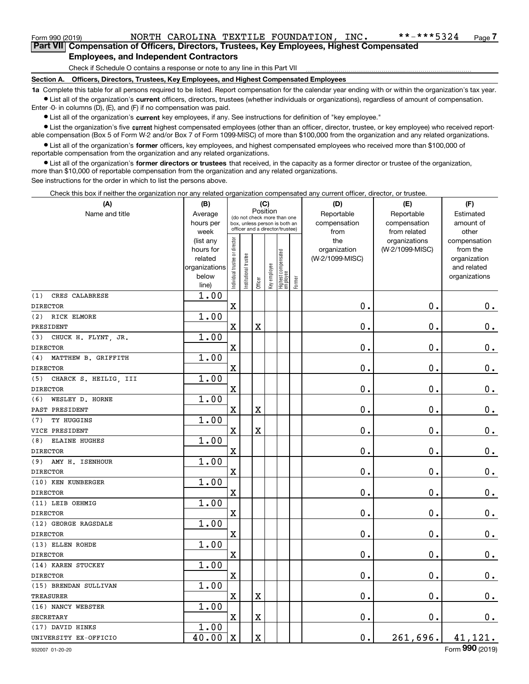Form 990 (2019) NORTH CAROLINA TEXTILE FOUNDATION, INC \*\*-\*\*\*5324 <sub>Page</sub><br>Part VIII Compensation of Officers Directors Trustees Key Employees Highest Compensated **7Part VII Compensation of Officers, Directors, Trustees, Key Employees, Highest Compensated Employees, and Independent Contractors**

Check if Schedule O contains a response or note to any line in this Part VII

**Section A. Officers, Directors, Trustees, Key Employees, and Highest Compensated Employees**

**1a**  Complete this table for all persons required to be listed. Report compensation for the calendar year ending with or within the organization's tax year. **•** List all of the organization's current officers, directors, trustees (whether individuals or organizations), regardless of amount of compensation.

Enter -0- in columns (D), (E), and (F) if no compensation was paid.

● List all of the organization's **current** key employees, if any. See instructions for definition of "key employee."<br>● List the organization's five current bighest compensated employees (other than an officer, director, t

• List the organization's five current highest compensated employees (other than an officer, director, trustee, or key employee) who received report-■ List the organization's five current highest compensated employees (other than an officer, director, trustee, or key employee) who received report-<br>able compensation (Box 5 of Form W-2 and/or Box 7 of Form 1099-MISC) of

**•** List all of the organization's former officers, key employees, and highest compensated employees who received more than \$100,000 of reportable compensation from the organization and any related organizations.

**former directors or trustees**  ¥ List all of the organization's that received, in the capacity as a former director or trustee of the organization, more than \$10,000 of reportable compensation from the organization and any related organizations.

See instructions for the order in which to list the persons above.

Check this box if neither the organization nor any related organization compensated any current officer, director, or trustee.

| (A)                          | (B)               |                               |                                                                  | (C)                     |              |                                  |        | (D)                  | (E)                          | (F)                |
|------------------------------|-------------------|-------------------------------|------------------------------------------------------------------|-------------------------|--------------|----------------------------------|--------|----------------------|------------------------------|--------------------|
| Name and title               | Average           |                               | (do not check more than one                                      |                         | Position     |                                  |        | Reportable           | Reportable                   | Estimated          |
|                              | hours per<br>week |                               | box, unless person is both an<br>officer and a director/trustee) |                         |              |                                  |        | compensation<br>from | compensation<br>from related | amount of<br>other |
|                              | (list any         |                               |                                                                  |                         |              |                                  |        | the                  | organizations                | compensation       |
|                              | hours for         |                               |                                                                  |                         |              |                                  |        | organization         | (W-2/1099-MISC)              | from the           |
|                              | related           |                               |                                                                  |                         |              |                                  |        | (W-2/1099-MISC)      |                              | organization       |
|                              | organizations     |                               |                                                                  |                         |              |                                  |        |                      |                              | and related        |
|                              | below<br>line)    | ndividual trustee or director | nstitutional trustee                                             | Officer                 | Key employee | Highest compensated<br> employee | Former |                      |                              | organizations      |
| (1)<br>CRES CALABRESE        | 1.00              |                               |                                                                  |                         |              |                                  |        |                      |                              |                    |
| <b>DIRECTOR</b>              |                   | $\overline{\textbf{X}}$       |                                                                  |                         |              |                                  |        | $\mathbf 0$ .        | $\mathbf 0$ .                | $0_{.}$            |
| (2)<br>RICK ELMORE           | 1.00              |                               |                                                                  |                         |              |                                  |        |                      |                              |                    |
| PRESIDENT                    |                   | $\overline{\textbf{X}}$       |                                                                  | $\overline{\textbf{X}}$ |              |                                  |        | $\mathbf 0$ .        | $\mathbf 0$ .                | $\mathbf 0$ .      |
| CHUCK H. FLYNT, JR.<br>(3)   | 1.00              |                               |                                                                  |                         |              |                                  |        |                      |                              |                    |
| <b>DIRECTOR</b>              |                   | $\rm X$                       |                                                                  |                         |              |                                  |        | $\mathbf 0$ .        | $\mathbf 0$ .                | $\mathbf 0$ .      |
| MATTHEW B. GRIFFITH<br>(4)   | 1.00              |                               |                                                                  |                         |              |                                  |        |                      |                              |                    |
| <b>DIRECTOR</b>              |                   | $\overline{\textbf{X}}$       |                                                                  |                         |              |                                  |        | $\mathbf 0$ .        | $\mathbf 0$ .                | $\mathbf 0$ .      |
| CHARCK S. HEILIG, III<br>(5) | 1.00              |                               |                                                                  |                         |              |                                  |        |                      |                              |                    |
| <b>DIRECTOR</b>              |                   | $\overline{\textbf{X}}$       |                                                                  |                         |              |                                  |        | $\mathbf 0$ .        | $\mathbf 0$ .                | $\mathbf 0$ .      |
| WESLEY D. HORNE<br>(6)       | 1.00              |                               |                                                                  |                         |              |                                  |        |                      |                              |                    |
| PAST PRESIDENT               |                   | $\overline{\textbf{X}}$       |                                                                  | $\overline{\textbf{X}}$ |              |                                  |        | $\mathbf 0$ .        | $\mathbf 0$ .                | $0_{.}$            |
| TY HUGGINS<br>(7)            | 1.00              |                               |                                                                  |                         |              |                                  |        |                      |                              |                    |
| VICE PRESIDENT               |                   | $\rm X$                       |                                                                  | $\overline{\textbf{X}}$ |              |                                  |        | $\mathbf 0$ .        | $\mathbf 0$ .                | $\mathbf 0$ .      |
| <b>ELAINE HUGHES</b><br>(8)  | 1.00              |                               |                                                                  |                         |              |                                  |        |                      |                              |                    |
| <b>DIRECTOR</b>              |                   | $\overline{\textbf{X}}$       |                                                                  |                         |              |                                  |        | $\mathbf 0$ .        | $\mathbf 0$ .                | $\mathbf 0$ .      |
| AMY H. ISENHOUR<br>(9)       | 1.00              |                               |                                                                  |                         |              |                                  |        |                      |                              |                    |
| <b>DIRECTOR</b>              |                   | $\overline{\textbf{X}}$       |                                                                  |                         |              |                                  |        | $\mathbf 0$ .        | $\mathbf 0$ .                | $\mathbf 0$ .      |
| (10) KEN KUNBERGER           | 1.00              |                               |                                                                  |                         |              |                                  |        |                      |                              |                    |
| <b>DIRECTOR</b>              |                   | $\overline{\mathbf{X}}$       |                                                                  |                         |              |                                  |        | $\mathbf 0$ .        | $\mathbf 0$ .                | $\mathbf 0$ .      |
| (11) LEIB OEHMIG             | 1.00              |                               |                                                                  |                         |              |                                  |        |                      |                              |                    |
| <b>DIRECTOR</b>              |                   | $\rm X$                       |                                                                  |                         |              |                                  |        | $\mathbf 0$ .        | $\mathbf 0$ .                | $\mathbf 0$ .      |
| (12) GEORGE RAGSDALE         | 1.00              |                               |                                                                  |                         |              |                                  |        |                      |                              |                    |
| <b>DIRECTOR</b>              |                   | $\overline{\textbf{X}}$       |                                                                  |                         |              |                                  |        | $\mathbf 0$ .        | $\mathbf 0$ .                | $\mathbf 0$ .      |
| (13) ELLEN ROHDE             | 1.00              |                               |                                                                  |                         |              |                                  |        |                      |                              |                    |
| <b>DIRECTOR</b>              |                   | $\rm X$                       |                                                                  |                         |              |                                  |        | $\mathbf 0$ .        | $\mathbf 0$ .                | $\mathbf 0$ .      |
| (14) KAREN STUCKEY           | 1.00              |                               |                                                                  |                         |              |                                  |        |                      |                              |                    |
| <b>DIRECTOR</b>              |                   | $\overline{\textbf{X}}$       |                                                                  |                         |              |                                  |        | $\mathbf 0$ .        | $\mathbf 0$ .                | $\mathbf 0$ .      |
| (15) BRENDAN SULLIVAN        | 1.00              |                               |                                                                  |                         |              |                                  |        |                      |                              |                    |
| <b>TREASURER</b>             |                   | $\rm X$                       |                                                                  | $\overline{\textbf{X}}$ |              |                                  |        | $\mathbf 0$ .        | $\mathbf 0$ .                | $0_{.}$            |
| (16) NANCY WEBSTER           | 1.00              |                               |                                                                  |                         |              |                                  |        |                      |                              |                    |
| <b>SECRETARY</b>             |                   | $\overline{\textbf{X}}$       |                                                                  | $\overline{\textbf{X}}$ |              |                                  |        | $\mathbf 0$ .        | $\mathbf 0$ .                | $\mathbf 0$ .      |
| (17) DAVID HINKS             | 1.00              |                               |                                                                  |                         |              |                                  |        |                      |                              |                    |
| UNIVERSITY EX-OFFICIO        | 40.00             | $\mathbf X$                   |                                                                  | $\overline{\textbf{X}}$ |              |                                  |        | 0.                   | 261,696.                     | 41,121.            |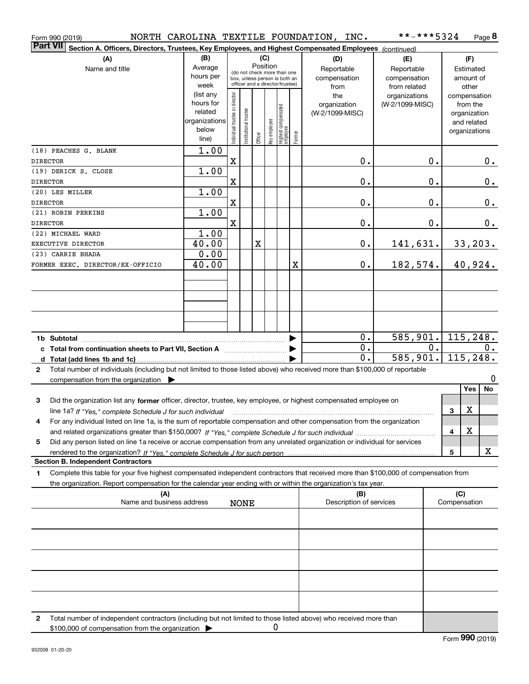| Form 990 (2019)                                                                                                                                                                                                                                             |                                                                      |                                |                       |                 |              |                                                                                                 |        | NORTH CAROLINA TEXTILE FOUNDATION, INC.   | **-***5324                                        |    |                     | Page 8                                                                   |
|-------------------------------------------------------------------------------------------------------------------------------------------------------------------------------------------------------------------------------------------------------------|----------------------------------------------------------------------|--------------------------------|-----------------------|-----------------|--------------|-------------------------------------------------------------------------------------------------|--------|-------------------------------------------|---------------------------------------------------|----|---------------------|--------------------------------------------------------------------------|
| <b>Part VII</b><br>Section A. Officers, Directors, Trustees, Key Employees, and Highest Compensated Employees (continued)                                                                                                                                   |                                                                      |                                |                       |                 |              |                                                                                                 |        |                                           |                                                   |    |                     |                                                                          |
| (A)<br>Name and title                                                                                                                                                                                                                                       | (B)<br>Average<br>hours per<br>week                                  |                                |                       | (C)<br>Position |              | (do not check more than one<br>box, unless person is both an<br>officer and a director/trustee) |        | (D)<br>Reportable<br>compensation<br>from | (E)<br>Reportable<br>compensation<br>from related |    |                     | (F)<br>Estimated<br>amount of<br>other                                   |
|                                                                                                                                                                                                                                                             | (list any<br>hours for<br>related<br>organizations<br>below<br>line) | Individual trustee or director | Institutional trustee | Officer         | Key employee | Highest compensated<br> employee                                                                | Former | the<br>organization<br>(W-2/1099-MISC)    | organizations<br>(W-2/1099-MISC)                  |    |                     | compensation<br>from the<br>organization<br>and related<br>organizations |
| (18) PEACHES G. BLANK<br><b>DIRECTOR</b>                                                                                                                                                                                                                    | 1.00                                                                 | $\mathbf X$                    |                       |                 |              |                                                                                                 |        | 0.                                        |                                                   | 0. |                     | 0.                                                                       |
| (19) DERICK S. CLOSE<br><b>DIRECTOR</b>                                                                                                                                                                                                                     | 1.00                                                                 | X                              |                       |                 |              |                                                                                                 |        | 0.                                        |                                                   | 0. |                     | 0.                                                                       |
| (20) LES MILLER                                                                                                                                                                                                                                             | 1.00                                                                 |                                |                       |                 |              |                                                                                                 |        |                                           |                                                   |    |                     |                                                                          |
| <b>DIRECTOR</b><br>(21) ROBIN PERKINS                                                                                                                                                                                                                       | 1.00                                                                 | X                              |                       |                 |              |                                                                                                 |        | 0.                                        |                                                   | 0. |                     | 0.                                                                       |
| <b>DIRECTOR</b><br>(22) MICHAEL WARD                                                                                                                                                                                                                        | 1.00                                                                 | X                              |                       |                 |              |                                                                                                 |        | 0.                                        |                                                   | 0. |                     | 0.                                                                       |
| EXECUTIVE DIRECTOR                                                                                                                                                                                                                                          | 40.00                                                                |                                |                       | X               |              |                                                                                                 |        | 0.                                        | 141,631.                                          |    |                     | 33, 203.                                                                 |
| (23) CARRIE BHADA<br>FORMER EXEC. DIRECTOR/EX-OFFICIO                                                                                                                                                                                                       | 0.00<br>40.00                                                        |                                |                       |                 |              |                                                                                                 | X      | $\mathbf 0$ .                             | 182,574.                                          |    |                     | 40,924.                                                                  |
|                                                                                                                                                                                                                                                             |                                                                      |                                |                       |                 |              |                                                                                                 |        |                                           |                                                   |    |                     |                                                                          |
|                                                                                                                                                                                                                                                             |                                                                      |                                |                       |                 |              |                                                                                                 |        |                                           |                                                   |    |                     |                                                                          |
|                                                                                                                                                                                                                                                             |                                                                      |                                |                       |                 |              |                                                                                                 |        |                                           |                                                   |    |                     |                                                                          |
| c Total from continuation sheets to Part VII, Section A                                                                                                                                                                                                     |                                                                      |                                |                       |                 |              |                                                                                                 |        | 0.<br>$\overline{0}$ .                    | $\overline{585,901}$ .                            | 0. |                     | 115, 248.<br>О.                                                          |
|                                                                                                                                                                                                                                                             |                                                                      |                                |                       |                 |              |                                                                                                 |        | 0.                                        | 585,901.                                          |    |                     | 115, 248.                                                                |
| Total number of individuals (including but not limited to those listed above) who received more than \$100,000 of reportable<br>2<br>compensation from the organization $\blacktriangleright$                                                               |                                                                      |                                |                       |                 |              |                                                                                                 |        |                                           |                                                   |    |                     | 0                                                                        |
| 3<br>Did the organization list any former officer, director, trustee, key employee, or highest compensated employee on                                                                                                                                      |                                                                      |                                |                       |                 |              |                                                                                                 |        |                                           |                                                   |    |                     | Yes<br>No                                                                |
| line 1a? If "Yes," complete Schedule J for such individual manufactured contained and the 1a? If "Yes," complete Schedule J for such individual                                                                                                             |                                                                      |                                |                       |                 |              |                                                                                                 |        |                                           |                                                   |    | 3                   | X                                                                        |
| For any individual listed on line 1a, is the sum of reportable compensation and other compensation from the organization                                                                                                                                    |                                                                      |                                |                       |                 |              |                                                                                                 |        |                                           |                                                   |    | 4                   | X                                                                        |
| Did any person listed on line 1a receive or accrue compensation from any unrelated organization or individual for services<br>5                                                                                                                             |                                                                      |                                |                       |                 |              |                                                                                                 |        |                                           |                                                   |    | 5                   | х                                                                        |
| <b>Section B. Independent Contractors</b>                                                                                                                                                                                                                   |                                                                      |                                |                       |                 |              |                                                                                                 |        |                                           |                                                   |    |                     |                                                                          |
| Complete this table for your five highest compensated independent contractors that received more than \$100,000 of compensation from<br>1<br>the organization. Report compensation for the calendar year ending with or within the organization's tax year. |                                                                      |                                |                       |                 |              |                                                                                                 |        |                                           |                                                   |    |                     |                                                                          |
| (A)<br>Name and business address                                                                                                                                                                                                                            |                                                                      |                                | <b>NONE</b>           |                 |              |                                                                                                 |        | (B)<br>Description of services            |                                                   |    | (C)<br>Compensation |                                                                          |
|                                                                                                                                                                                                                                                             |                                                                      |                                |                       |                 |              |                                                                                                 |        |                                           |                                                   |    |                     |                                                                          |
|                                                                                                                                                                                                                                                             |                                                                      |                                |                       |                 |              |                                                                                                 |        |                                           |                                                   |    |                     |                                                                          |
|                                                                                                                                                                                                                                                             |                                                                      |                                |                       |                 |              |                                                                                                 |        |                                           |                                                   |    |                     |                                                                          |
|                                                                                                                                                                                                                                                             |                                                                      |                                |                       |                 |              |                                                                                                 |        |                                           |                                                   |    |                     |                                                                          |
|                                                                                                                                                                                                                                                             |                                                                      |                                |                       |                 |              |                                                                                                 |        |                                           |                                                   |    |                     |                                                                          |
| Total number of independent contractors (including but not limited to those listed above) who received more than<br>2<br>\$100,000 of compensation from the organization                                                                                    |                                                                      |                                |                       |                 | 0            |                                                                                                 |        |                                           |                                                   |    |                     |                                                                          |

| \$100,000 of compensation from the organization |  |
|-------------------------------------------------|--|
|                                                 |  |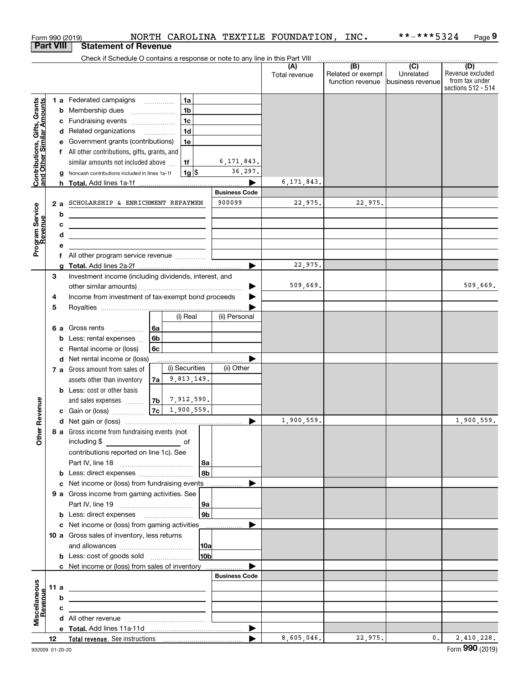|                                                           |      |        | Form 990 (2019)                                                                                                                                     |          |                 |                                | NORTH CAROLINA TEXTILE FOUNDATION, INC. |                                              | **-***5324                           | Page 9                                                          |
|-----------------------------------------------------------|------|--------|-----------------------------------------------------------------------------------------------------------------------------------------------------|----------|-----------------|--------------------------------|-----------------------------------------|----------------------------------------------|--------------------------------------|-----------------------------------------------------------------|
| <b>Part VIII</b>                                          |      |        | <b>Statement of Revenue</b>                                                                                                                         |          |                 |                                |                                         |                                              |                                      |                                                                 |
|                                                           |      |        | Check if Schedule O contains a response or note to any line in this Part VIII                                                                       |          |                 |                                |                                         |                                              |                                      |                                                                 |
|                                                           |      |        |                                                                                                                                                     |          |                 |                                | (A)<br>Total revenue                    | (B)<br>Related or exempt<br>function revenue | (C)<br>Unrelated<br>business revenue | (D)<br>Revenue excluded<br>from tax under<br>sections 512 - 514 |
|                                                           |      |        | <b>1 a</b> Federated campaigns                                                                                                                      |          | 1a              |                                |                                         |                                              |                                      |                                                                 |
| Contributions, Gifts, Grants<br>and Other Similar Amounts |      |        | <b>b</b> Membership dues                                                                                                                            |          | 1 <sub>b</sub>  |                                |                                         |                                              |                                      |                                                                 |
|                                                           |      |        | c Fundraising events                                                                                                                                |          | 1 <sub>c</sub>  |                                |                                         |                                              |                                      |                                                                 |
|                                                           |      |        | d Related organizations                                                                                                                             |          | 1 <sub>d</sub>  |                                |                                         |                                              |                                      |                                                                 |
|                                                           |      |        | e Government grants (contributions)                                                                                                                 |          | 1e              |                                |                                         |                                              |                                      |                                                                 |
|                                                           |      |        | f All other contributions, gifts, grants, and                                                                                                       |          |                 |                                |                                         |                                              |                                      |                                                                 |
|                                                           |      |        | similar amounts not included above                                                                                                                  |          | 1f              | 6, 171, 843.                   |                                         |                                              |                                      |                                                                 |
|                                                           |      |        | g Noncash contributions included in lines 1a-1f                                                                                                     |          | $1g$ \$         | 36,297.                        |                                         |                                              |                                      |                                                                 |
|                                                           |      |        |                                                                                                                                                     |          |                 |                                | 6, 171, 843.                            |                                              |                                      |                                                                 |
|                                                           |      |        | SCHOLARSHIP & ENRICHMENT REPAYMEN                                                                                                                   |          |                 | <b>Business Code</b><br>900099 | 22,975.                                 | 22,975.                                      |                                      |                                                                 |
| Program Service<br>Revenue                                | 2a   |        |                                                                                                                                                     |          |                 |                                |                                         |                                              |                                      |                                                                 |
|                                                           |      | b<br>с | <u> 1989 - Johann Stein, mars an deus Amerikaansk kommunister (</u>                                                                                 |          |                 |                                |                                         |                                              |                                      |                                                                 |
|                                                           |      | d      | the control of the control of the control of the control of the control of the control of<br><u> 1980 - Jan Barnett, fransk politiker (d. 1980)</u> |          |                 |                                |                                         |                                              |                                      |                                                                 |
|                                                           |      | е      |                                                                                                                                                     |          |                 |                                |                                         |                                              |                                      |                                                                 |
|                                                           |      |        | All other program service revenue  [                                                                                                                |          |                 |                                |                                         |                                              |                                      |                                                                 |
|                                                           |      | a      |                                                                                                                                                     |          |                 |                                | 22,975.                                 |                                              |                                      |                                                                 |
|                                                           | 3    |        | Investment income (including dividends, interest, and                                                                                               |          |                 |                                |                                         |                                              |                                      |                                                                 |
|                                                           |      |        |                                                                                                                                                     |          |                 |                                | 509,669.                                |                                              |                                      | 509,669.                                                        |
|                                                           | 4    |        | Income from investment of tax-exempt bond proceeds                                                                                                  |          |                 |                                |                                         |                                              |                                      |                                                                 |
|                                                           | 5    |        |                                                                                                                                                     |          |                 |                                |                                         |                                              |                                      |                                                                 |
|                                                           |      |        |                                                                                                                                                     |          | (i) Real        | (ii) Personal                  |                                         |                                              |                                      |                                                                 |
|                                                           |      |        | 6 a Gross rents                                                                                                                                     | 6a       |                 |                                |                                         |                                              |                                      |                                                                 |
|                                                           |      |        | <b>b</b> Less: rental expenses $\ldots$                                                                                                             | 6b<br>6c |                 |                                |                                         |                                              |                                      |                                                                 |
|                                                           |      | с      | Rental income or (loss)<br>d Net rental income or (loss)                                                                                            |          |                 |                                |                                         |                                              |                                      |                                                                 |
|                                                           |      |        | 7 a Gross amount from sales of                                                                                                                      |          | (i) Securities  | (ii) Other                     |                                         |                                              |                                      |                                                                 |
|                                                           |      |        | assets other than inventory                                                                                                                         | 7a       | 9,813,149.      |                                |                                         |                                              |                                      |                                                                 |
|                                                           |      |        | <b>b</b> Less: cost or other basis                                                                                                                  |          |                 |                                |                                         |                                              |                                      |                                                                 |
|                                                           |      |        | and sales expenses                                                                                                                                  | 7b       | 7,912,590.      |                                |                                         |                                              |                                      |                                                                 |
|                                                           |      |        | <b>c</b> Gain or (loss) $\ldots$                                                                                                                    | 7c       | 1,900,559.      |                                |                                         |                                              |                                      |                                                                 |
|                                                           |      |        |                                                                                                                                                     |          |                 |                                | 1,900,559.                              |                                              |                                      | 1,900,559.                                                      |
|                                                           |      |        | 8 a Gross income from fundraising events (not                                                                                                       |          |                 |                                |                                         |                                              |                                      |                                                                 |
|                                                           |      |        |                                                                                                                                                     |          |                 |                                |                                         |                                              |                                      |                                                                 |
|                                                           |      |        | contributions reported on line 1c). See                                                                                                             |          |                 |                                |                                         |                                              |                                      |                                                                 |
|                                                           |      |        |                                                                                                                                                     |          | 8a              |                                |                                         |                                              |                                      |                                                                 |
|                                                           |      |        | <b>b</b> Less: direct expenses <b>constants</b> b                                                                                                   |          | 8b              |                                |                                         |                                              |                                      |                                                                 |
|                                                           |      |        | c Net income or (loss) from fundraising events<br>9 a Gross income from gaming activities. See                                                      |          |                 |                                |                                         |                                              |                                      |                                                                 |
|                                                           |      |        |                                                                                                                                                     |          | 9a              |                                |                                         |                                              |                                      |                                                                 |
|                                                           |      |        |                                                                                                                                                     |          | 9 <sub>b</sub>  |                                |                                         |                                              |                                      |                                                                 |
|                                                           |      |        | c Net income or (loss) from gaming activities                                                                                                       |          |                 |                                |                                         |                                              |                                      |                                                                 |
|                                                           |      |        | 10 a Gross sales of inventory, less returns                                                                                                         |          |                 |                                |                                         |                                              |                                      |                                                                 |
|                                                           |      |        |                                                                                                                                                     |          | 10a             |                                |                                         |                                              |                                      |                                                                 |
|                                                           |      |        |                                                                                                                                                     |          | 10 <sub>b</sub> |                                |                                         |                                              |                                      |                                                                 |
|                                                           |      |        | c Net income or (loss) from sales of inventory                                                                                                      |          |                 |                                |                                         |                                              |                                      |                                                                 |
|                                                           |      |        |                                                                                                                                                     |          |                 | <b>Business Code</b>           |                                         |                                              |                                      |                                                                 |
|                                                           | 11 a |        |                                                                                                                                                     |          |                 |                                |                                         |                                              |                                      |                                                                 |
|                                                           |      | b      |                                                                                                                                                     |          |                 |                                |                                         |                                              |                                      |                                                                 |
|                                                           |      | с      |                                                                                                                                                     |          |                 |                                |                                         |                                              |                                      |                                                                 |
| Miscellaneous<br>Revenue                                  |      |        |                                                                                                                                                     |          |                 |                                |                                         |                                              |                                      |                                                                 |
|                                                           |      |        |                                                                                                                                                     |          |                 | ▶                              |                                         |                                              |                                      |                                                                 |
|                                                           | 12   |        |                                                                                                                                                     |          |                 | ▶                              | 8,605,046.                              | 22,975.                                      | 0.                                   | 2,410,228.<br>Form 990 (2019)                                   |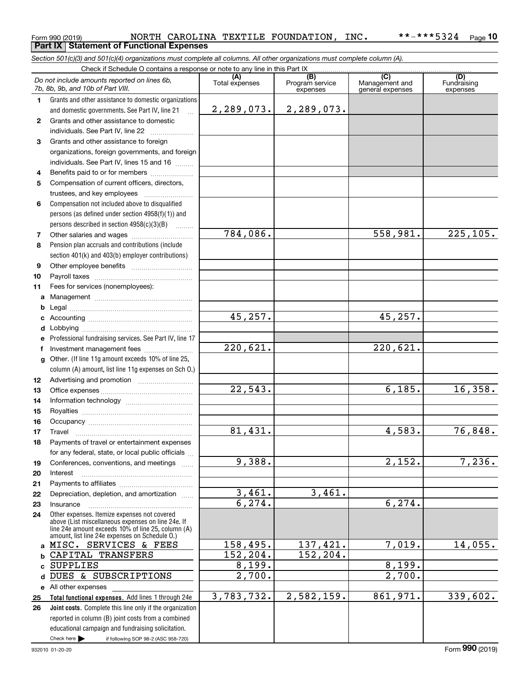### Form 990 (2019) NORTH CAROLINA TEXTILE FOUNDATION,INC**.** \*\*-\*\*\*5324 <sub>Page</sub><br>Part IX | Statement of Functional Expenses **10**

*Section 501(c)(3) and 501(c)(4) organizations must complete all columns. All other organizations must complete column (A).*

|              | Do not include amounts reported on lines 6b,<br>7b, 8b, 9b, and 10b of Part VIII.                                                                                                                          | (A)<br>Total expenses  | (B)<br>Program service<br>expenses | $\overline{(C)}$<br>Management and<br>general expenses | (D)<br>Fundraising<br>expenses |
|--------------|------------------------------------------------------------------------------------------------------------------------------------------------------------------------------------------------------------|------------------------|------------------------------------|--------------------------------------------------------|--------------------------------|
| $\mathbf 1$  | Grants and other assistance to domestic organizations                                                                                                                                                      |                        |                                    |                                                        |                                |
|              | and domestic governments. See Part IV, line 21<br>$\mathbf{r}$                                                                                                                                             | 2, 289, 073.           | 2,289,073.                         |                                                        |                                |
| $\mathbf{2}$ | Grants and other assistance to domestic                                                                                                                                                                    |                        |                                    |                                                        |                                |
|              | individuals. See Part IV, line 22                                                                                                                                                                          |                        |                                    |                                                        |                                |
| 3            | Grants and other assistance to foreign                                                                                                                                                                     |                        |                                    |                                                        |                                |
|              | organizations, foreign governments, and foreign                                                                                                                                                            |                        |                                    |                                                        |                                |
|              | individuals. See Part IV, lines 15 and 16                                                                                                                                                                  |                        |                                    |                                                        |                                |
| 4            | Benefits paid to or for members                                                                                                                                                                            |                        |                                    |                                                        |                                |
| 5            | Compensation of current officers, directors,                                                                                                                                                               |                        |                                    |                                                        |                                |
|              |                                                                                                                                                                                                            |                        |                                    |                                                        |                                |
| 6            | Compensation not included above to disqualified                                                                                                                                                            |                        |                                    |                                                        |                                |
|              | persons (as defined under section 4958(f)(1)) and                                                                                                                                                          |                        |                                    |                                                        |                                |
|              | persons described in section 4958(c)(3)(B)                                                                                                                                                                 |                        |                                    |                                                        |                                |
| 7            | Other salaries and wages                                                                                                                                                                                   | $\overline{784,086}$ . |                                    | 558,981.                                               | $\overline{225,105}$ .         |
| 8            | Pension plan accruals and contributions (include                                                                                                                                                           |                        |                                    |                                                        |                                |
|              | section 401(k) and 403(b) employer contributions)                                                                                                                                                          |                        |                                    |                                                        |                                |
| 9            |                                                                                                                                                                                                            |                        |                                    |                                                        |                                |
| 10           |                                                                                                                                                                                                            |                        |                                    |                                                        |                                |
| 11           | Fees for services (nonemployees):                                                                                                                                                                          |                        |                                    |                                                        |                                |
| a            |                                                                                                                                                                                                            |                        |                                    |                                                        |                                |
| b            |                                                                                                                                                                                                            | 45,257.                |                                    | 45,257.                                                |                                |
| c            |                                                                                                                                                                                                            |                        |                                    |                                                        |                                |
| d            |                                                                                                                                                                                                            |                        |                                    |                                                        |                                |
| e<br>f       | Professional fundraising services. See Part IV, line 17<br>Investment management fees                                                                                                                      | $\overline{220,621}$ . |                                    | $\overline{220}$ , 621.                                |                                |
| g            | Other. (If line 11g amount exceeds 10% of line 25,                                                                                                                                                         |                        |                                    |                                                        |                                |
|              | column (A) amount, list line 11g expenses on Sch O.)                                                                                                                                                       |                        |                                    |                                                        |                                |
| 12           |                                                                                                                                                                                                            |                        |                                    |                                                        |                                |
| 13           |                                                                                                                                                                                                            | $\overline{22}$ , 543. |                                    | 6,185.                                                 | 16,358.                        |
| 14           |                                                                                                                                                                                                            |                        |                                    |                                                        |                                |
| 15           |                                                                                                                                                                                                            |                        |                                    |                                                        |                                |
| 16           |                                                                                                                                                                                                            |                        |                                    |                                                        |                                |
| 17           | Travel                                                                                                                                                                                                     | 81,431.                |                                    | 4,583.                                                 | 76,848.                        |
| 18           | Payments of travel or entertainment expenses                                                                                                                                                               |                        |                                    |                                                        |                                |
|              | for any federal, state, or local public officials                                                                                                                                                          |                        |                                    |                                                        |                                |
| 19           | Conferences, conventions, and meetings                                                                                                                                                                     | 9,388.                 |                                    | $\overline{2,152}$ .                                   | 7,236.                         |
| 20           | Interest                                                                                                                                                                                                   |                        |                                    |                                                        |                                |
| 21           |                                                                                                                                                                                                            |                        |                                    |                                                        |                                |
| 22           | Depreciation, depletion, and amortization                                                                                                                                                                  | 3,461.                 | 3,461.                             |                                                        |                                |
| 23           | Insurance                                                                                                                                                                                                  | 6, 274.                |                                    | 6, 274.                                                |                                |
| 24           | Other expenses. Itemize expenses not covered<br>above (List miscellaneous expenses on line 24e. If<br>line 24e amount exceeds 10% of line 25, column (A)<br>amount, list line 24e expenses on Schedule O.) |                        |                                    |                                                        |                                |
|              | a MISC. SERVICES & FEES                                                                                                                                                                                    | 158,495.               | 137,421.                           | 7,019.                                                 | 14,055.                        |
| b            | CAPITAL TRANSFERS                                                                                                                                                                                          | 152,204.               | 152,204.                           |                                                        |                                |
| C            | <b>SUPPLIES</b>                                                                                                                                                                                            | 8,199.                 |                                    | 8,199.                                                 |                                |
| d            | DUES & SUBSCRIPTIONS                                                                                                                                                                                       | $\overline{2,700}$ .   |                                    | 2,700.                                                 |                                |
|              | e All other expenses                                                                                                                                                                                       |                        |                                    |                                                        |                                |
| 25           | Total functional expenses. Add lines 1 through 24e                                                                                                                                                         | 3,783,732.             | 2,582,159.                         | 861,971.                                               | 339,602.                       |
| 26           | Joint costs. Complete this line only if the organization                                                                                                                                                   |                        |                                    |                                                        |                                |
|              | reported in column (B) joint costs from a combined                                                                                                                                                         |                        |                                    |                                                        |                                |
|              | educational campaign and fundraising solicitation.                                                                                                                                                         |                        |                                    |                                                        |                                |
|              | Check here<br>if following SOP 98-2 (ASC 958-720)                                                                                                                                                          |                        |                                    |                                                        |                                |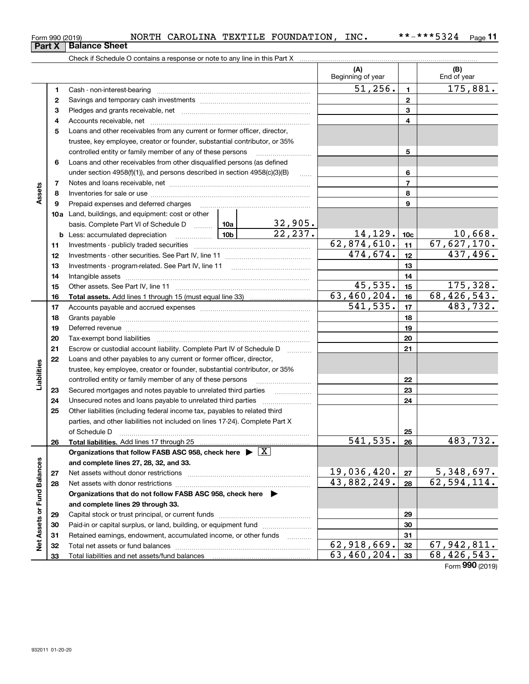| Form 990 (2019) |  | <b>NORTH</b> | CAROLINA ' | TEXTILE FOUNDATION | INC. | ***5324<br>* * $-$ | $P$ age |
|-----------------|--|--------------|------------|--------------------|------|--------------------|---------|
| $\sim$          |  |              |            |                    |      |                    |         |

Check if Schedule O contains a response or note to any line in this Part X **Part X Balance Sheet**

|                             |    |                                                                                                                                                                                                                                |  |                         | (A)<br>Beginning of year |                 | (B)<br>End of year          |
|-----------------------------|----|--------------------------------------------------------------------------------------------------------------------------------------------------------------------------------------------------------------------------------|--|-------------------------|--------------------------|-----------------|-----------------------------|
|                             | 1  |                                                                                                                                                                                                                                |  |                         | 51, 256.                 | $\mathbf{1}$    | 175,881.                    |
|                             | 2  |                                                                                                                                                                                                                                |  |                         |                          | $\mathbf{2}$    |                             |
|                             | 3  |                                                                                                                                                                                                                                |  |                         |                          | 3               |                             |
|                             | 4  |                                                                                                                                                                                                                                |  |                         |                          | 4               |                             |
|                             | 5  | Loans and other receivables from any current or former officer, director,                                                                                                                                                      |  |                         |                          |                 |                             |
|                             |    | trustee, key employee, creator or founder, substantial contributor, or 35%                                                                                                                                                     |  |                         |                          |                 |                             |
|                             |    | controlled entity or family member of any of these persons                                                                                                                                                                     |  |                         |                          | 5               |                             |
|                             | 6  | Loans and other receivables from other disqualified persons (as defined                                                                                                                                                        |  |                         |                          |                 |                             |
|                             |    | under section $4958(f)(1)$ , and persons described in section $4958(c)(3)(B)$                                                                                                                                                  |  | $\sim$                  |                          | 6               |                             |
|                             | 7  |                                                                                                                                                                                                                                |  |                         |                          | $\overline{7}$  |                             |
| Assets                      | 8  |                                                                                                                                                                                                                                |  |                         |                          | 8               |                             |
|                             | 9  | Prepaid expenses and deferred charges                                                                                                                                                                                          |  |                         |                          | 9               |                             |
|                             |    | <b>10a</b> Land, buildings, and equipment: cost or other                                                                                                                                                                       |  |                         |                          |                 |                             |
|                             |    | basis. Complete Part VI of Schedule D  10a                                                                                                                                                                                     |  |                         |                          |                 |                             |
|                             |    | $\frac{10b}{2}$<br><b>b</b> Less: accumulated depreciation                                                                                                                                                                     |  | $\frac{32,905}{22,237}$ | 14,129.                  | 10 <sub>c</sub> | 10,668.                     |
|                             | 11 |                                                                                                                                                                                                                                |  |                         | 62,874,610.              | 11              | 67,627,170.                 |
|                             | 12 |                                                                                                                                                                                                                                |  |                         | 474,674.                 | 12              | 437,496.                    |
|                             | 13 |                                                                                                                                                                                                                                |  |                         |                          | 13              |                             |
|                             | 14 |                                                                                                                                                                                                                                |  |                         |                          | 14              |                             |
|                             | 15 |                                                                                                                                                                                                                                |  |                         | 45,535.                  | 15              | 175,328.                    |
|                             | 16 |                                                                                                                                                                                                                                |  |                         | 63,460,204.              | 16              | 68,426,543.                 |
|                             | 17 |                                                                                                                                                                                                                                |  |                         | 541, 535.                | 17              | 483,732.                    |
|                             | 18 |                                                                                                                                                                                                                                |  |                         |                          | 18              |                             |
|                             | 19 | Deferred revenue manual contracts and contracts are all the contracts and contracts are contracted and contracts are contracted and contract are contracted and contract are contracted and contract are contracted and contra |  | 19                      |                          |                 |                             |
|                             | 20 |                                                                                                                                                                                                                                |  | 20                      |                          |                 |                             |
|                             | 21 | Escrow or custodial account liability. Complete Part IV of Schedule D                                                                                                                                                          |  | 21                      |                          |                 |                             |
|                             | 22 | Loans and other payables to any current or former officer, director,                                                                                                                                                           |  |                         |                          |                 |                             |
| Liabilities                 |    | trustee, key employee, creator or founder, substantial contributor, or 35%                                                                                                                                                     |  |                         |                          |                 |                             |
|                             |    | controlled entity or family member of any of these persons                                                                                                                                                                     |  |                         |                          | 22              |                             |
|                             | 23 | Secured mortgages and notes payable to unrelated third parties                                                                                                                                                                 |  |                         |                          | 23              |                             |
|                             | 24 | Unsecured notes and loans payable to unrelated third parties                                                                                                                                                                   |  |                         |                          | 24              |                             |
|                             | 25 | Other liabilities (including federal income tax, payables to related third                                                                                                                                                     |  |                         |                          |                 |                             |
|                             |    | parties, and other liabilities not included on lines 17-24). Complete Part X                                                                                                                                                   |  |                         |                          |                 |                             |
|                             |    | of Schedule D                                                                                                                                                                                                                  |  |                         |                          | 25              |                             |
|                             | 26 |                                                                                                                                                                                                                                |  |                         | 541, 535.                | 26              | 483,732.                    |
|                             |    | Organizations that follow FASB ASC 958, check here $\blacktriangleright \boxed{X}$                                                                                                                                             |  |                         |                          |                 |                             |
|                             |    | and complete lines 27, 28, 32, and 33.                                                                                                                                                                                         |  |                         |                          |                 |                             |
|                             | 27 | Net assets without donor restrictions                                                                                                                                                                                          |  |                         | 19,036,420.              | 27              | 5,348,697.<br>62, 594, 114. |
|                             | 28 |                                                                                                                                                                                                                                |  |                         | 43,882,249.              | 28              |                             |
|                             |    | Organizations that do not follow FASB ASC 958, check here $\blacktriangleright$                                                                                                                                                |  |                         |                          |                 |                             |
|                             |    | and complete lines 29 through 33.                                                                                                                                                                                              |  |                         |                          |                 |                             |
| Net Assets or Fund Balances | 29 |                                                                                                                                                                                                                                |  |                         | 29                       |                 |                             |
|                             | 30 | Paid-in or capital surplus, or land, building, or equipment fund                                                                                                                                                               |  |                         |                          | 30              |                             |
|                             | 31 | Retained earnings, endowment, accumulated income, or other funds                                                                                                                                                               |  |                         | 62,918,669.              | 31              | 67,942,811.                 |
|                             | 32 |                                                                                                                                                                                                                                |  |                         | 63,460,204.              | 32<br>33        | 68, 426, 543.               |
|                             | 33 |                                                                                                                                                                                                                                |  |                         |                          |                 | Form 990 (2019)             |
|                             |    |                                                                                                                                                                                                                                |  |                         |                          |                 |                             |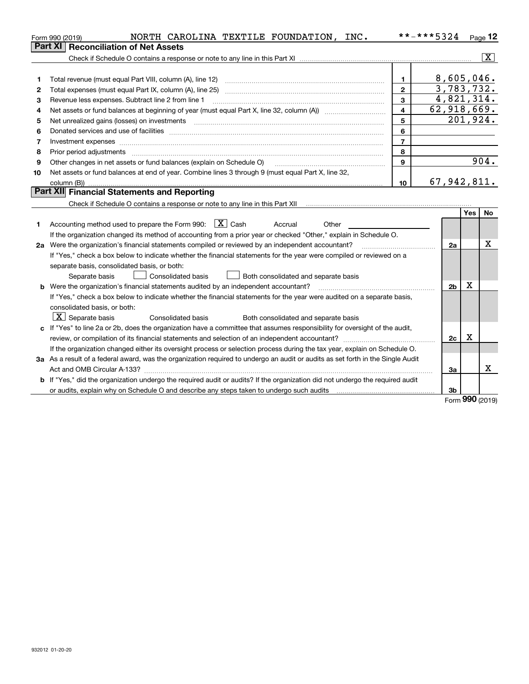|    | NORTH CAROLINA TEXTILE FOUNDATION,<br>INC.<br>Form 990 (2019)                                                                                                                                                                  |    | **-***5324<br>$P_{\text{aqe}}$ 12 |
|----|--------------------------------------------------------------------------------------------------------------------------------------------------------------------------------------------------------------------------------|----|-----------------------------------|
|    | Part XI   Reconciliation of Net Assets                                                                                                                                                                                         |    |                                   |
|    |                                                                                                                                                                                                                                |    | X                                 |
|    |                                                                                                                                                                                                                                |    |                                   |
|    | Total revenue (must equal Part VIII, column (A), line 12)                                                                                                                                                                      |    | 8,605,046.                        |
| 2  | Total expenses (must equal Part IX, column (A), line 25)                                                                                                                                                                       | 2  | 3,783,732.                        |
| 3  | Revenue less expenses. Subtract line 2 from line 1                                                                                                                                                                             | з  | 4,821,314.                        |
| 4  |                                                                                                                                                                                                                                | 4  | 62,918,669.                       |
| 5. | Net unrealized gains (losses) on investments                                                                                                                                                                                   | 5  | 201,924.                          |
| 6  | Donated services and use of facilities                                                                                                                                                                                         | 6  |                                   |
|    | Investment expenses with the contract of the contract of the contract of the contract of the contract of the contract of the contract of the contract of the contract of the contract of the contract of the contract of the c |    |                                   |
| 8  | Prior period adjustments                                                                                                                                                                                                       | 8  |                                   |
| 9  | Other changes in net assets or fund balances (explain on Schedule O)                                                                                                                                                           | 9  | 904.                              |
| 10 | Net assets or fund balances at end of year. Combine lines 3 through 9 (must equal Part X, line 32,                                                                                                                             |    |                                   |
|    | column (B))                                                                                                                                                                                                                    | 10 | 67,942,811.                       |
|    | <b>Dart YIII Einangial Statements and Departing</b>                                                                                                                                                                            |    |                                   |

#### **Part XII Financial Statements and Reporting**

Check if Schedule O contains a response or note to any line in this Part XII **Charlet Contains and Check** if Schedule O contains a response or note to any line in this Part XII

|    |                                                                                                                                 |                | Yes | No. |
|----|---------------------------------------------------------------------------------------------------------------------------------|----------------|-----|-----|
|    | Accounting method used to prepare the Form 990: $X \subset X$ Cash<br>Accrual<br>Other                                          |                |     |     |
|    | If the organization changed its method of accounting from a prior year or checked "Other," explain in Schedule O.               |                |     |     |
| 2a | Were the organization's financial statements compiled or reviewed by an independent accountant?                                 | 2a             |     | x   |
|    | If "Yes," check a box below to indicate whether the financial statements for the year were compiled or reviewed on a            |                |     |     |
|    | separate basis, consolidated basis, or both:                                                                                    |                |     |     |
|    | Consolidated basis<br>Both consolidated and separate basis<br>Separate basis                                                    |                |     |     |
| b  | Were the organization's financial statements audited by an independent accountant?                                              | 2 <sub>b</sub> | х   |     |
|    | If "Yes," check a box below to indicate whether the financial statements for the year were audited on a separate basis,         |                |     |     |
|    | consolidated basis, or both:                                                                                                    |                |     |     |
|    | $\boxed{\text{X}}$ Separate basis<br>Consolidated basis<br>Both consolidated and separate basis                                 |                |     |     |
|    | If "Yes" to line 2a or 2b, does the organization have a committee that assumes responsibility for oversight of the audit,       |                |     |     |
|    | review, or compilation of its financial statements and selection of an independent accountant?                                  | 2c             | х   |     |
|    | If the organization changed either its oversight process or selection process during the tax year, explain on Schedule O.       |                |     |     |
|    | 3a As a result of a federal award, was the organization required to undergo an audit or audits as set forth in the Single Audit |                |     |     |
|    | Act and OMB Circular A-133?                                                                                                     | За             |     | х   |
| b  | If "Yes," did the organization undergo the required audit or audits? If the organization did not undergo the required audit     |                |     |     |
|    | or audits, explain why on Schedule O and describe any steps taken to undergo such audits                                        | 3b             |     |     |

Form (2019) **990**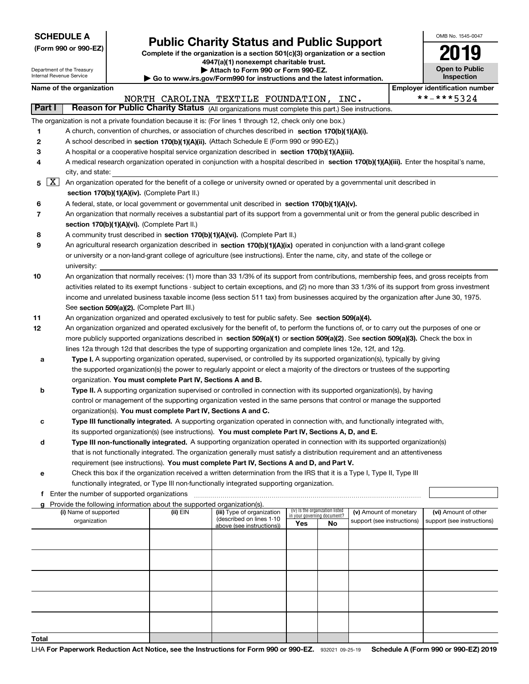|  | <b>SCHEDULE A</b> |  |
|--|-------------------|--|
|  |                   |  |

**(Form 990 or 990-EZ)**

## **Public Charity Status and Public Support**

**Complete if the organization is a section 501(c)(3) organization or a section 4947(a)(1) nonexempt charitable trust.**

OMB No. 1545-0047

**Open to Public**

**2019**

|        | Department of the Treasury<br>Internal Revenue Service |                                                                                      | Attach to Form 990 or Form 990-EZ.<br>Go to www.irs.gov/Form990 for instructions and the latest information.                                  |                                    |                                 |                            | <b>Open to Public</b><br><b>Inspection</b> |
|--------|--------------------------------------------------------|--------------------------------------------------------------------------------------|-----------------------------------------------------------------------------------------------------------------------------------------------|------------------------------------|---------------------------------|----------------------------|--------------------------------------------|
|        | Name of the organization                               |                                                                                      |                                                                                                                                               |                                    |                                 |                            | <b>Employer identification number</b>      |
|        |                                                        |                                                                                      | NORTH CAROLINA TEXTILE FOUNDATION, INC.                                                                                                       |                                    |                                 |                            | **-***5324                                 |
| Part I |                                                        |                                                                                      | Reason for Public Charity Status (All organizations must complete this part.) See instructions.                                               |                                    |                                 |                            |                                            |
|        |                                                        |                                                                                      | The organization is not a private foundation because it is: (For lines 1 through 12, check only one box.)                                     |                                    |                                 |                            |                                            |
| 1      |                                                        |                                                                                      | A church, convention of churches, or association of churches described in section 170(b)(1)(A)(i).                                            |                                    |                                 |                            |                                            |
| 2      |                                                        |                                                                                      | A school described in section 170(b)(1)(A)(ii). (Attach Schedule E (Form 990 or 990-EZ).)                                                     |                                    |                                 |                            |                                            |
| 3      |                                                        |                                                                                      | A hospital or a cooperative hospital service organization described in section 170(b)(1)(A)(iii).                                             |                                    |                                 |                            |                                            |
| 4      |                                                        |                                                                                      | A medical research organization operated in conjunction with a hospital described in section 170(b)(1)(A)(iii). Enter the hospital's name,    |                                    |                                 |                            |                                            |
|        | city, and state:                                       |                                                                                      |                                                                                                                                               |                                    |                                 |                            |                                            |
| 5      | $\mathbf{X}$                                           | section 170(b)(1)(A)(iv). (Complete Part II.)                                        | An organization operated for the benefit of a college or university owned or operated by a governmental unit described in                     |                                    |                                 |                            |                                            |
| 6      |                                                        |                                                                                      | A federal, state, or local government or governmental unit described in section 170(b)(1)(A)(v).                                              |                                    |                                 |                            |                                            |
| 7      |                                                        | section 170(b)(1)(A)(vi). (Complete Part II.)                                        | An organization that normally receives a substantial part of its support from a governmental unit or from the general public described in     |                                    |                                 |                            |                                            |
| 8      |                                                        |                                                                                      | A community trust described in section 170(b)(1)(A)(vi). (Complete Part II.)                                                                  |                                    |                                 |                            |                                            |
| 9      |                                                        |                                                                                      | An agricultural research organization described in section 170(b)(1)(A)(ix) operated in conjunction with a land-grant college                 |                                    |                                 |                            |                                            |
|        | university:                                            |                                                                                      | or university or a non-land-grant college of agriculture (see instructions). Enter the name, city, and state of the college or                |                                    |                                 |                            |                                            |
| 10     |                                                        |                                                                                      | An organization that normally receives: (1) more than 33 1/3% of its support from contributions, membership fees, and gross receipts from     |                                    |                                 |                            |                                            |
|        |                                                        |                                                                                      | activities related to its exempt functions - subject to certain exceptions, and (2) no more than 33 1/3% of its support from gross investment |                                    |                                 |                            |                                            |
|        |                                                        |                                                                                      | income and unrelated business taxable income (less section 511 tax) from businesses acquired by the organization after June 30, 1975.         |                                    |                                 |                            |                                            |
|        |                                                        | See section 509(a)(2). (Complete Part III.)                                          |                                                                                                                                               |                                    |                                 |                            |                                            |
| 11     |                                                        |                                                                                      | An organization organized and operated exclusively to test for public safety. See section 509(a)(4).                                          |                                    |                                 |                            |                                            |
| 12     |                                                        |                                                                                      | An organization organized and operated exclusively for the benefit of, to perform the functions of, or to carry out the purposes of one or    |                                    |                                 |                            |                                            |
|        |                                                        |                                                                                      | more publicly supported organizations described in section 509(a)(1) or section 509(a)(2). See section 509(a)(3). Check the box in            |                                    |                                 |                            |                                            |
|        |                                                        |                                                                                      | lines 12a through 12d that describes the type of supporting organization and complete lines 12e, 12f, and 12g.                                |                                    |                                 |                            |                                            |
| а      |                                                        |                                                                                      | Type I. A supporting organization operated, supervised, or controlled by its supported organization(s), typically by giving                   |                                    |                                 |                            |                                            |
|        |                                                        |                                                                                      | the supported organization(s) the power to regularly appoint or elect a majority of the directors or trustees of the supporting               |                                    |                                 |                            |                                            |
|        |                                                        | organization. You must complete Part IV, Sections A and B.                           |                                                                                                                                               |                                    |                                 |                            |                                            |
| b      |                                                        |                                                                                      | Type II. A supporting organization supervised or controlled in connection with its supported organization(s), by having                       |                                    |                                 |                            |                                            |
|        |                                                        |                                                                                      | control or management of the supporting organization vested in the same persons that control or manage the supported                          |                                    |                                 |                            |                                            |
|        |                                                        | organization(s). You must complete Part IV, Sections A and C.                        |                                                                                                                                               |                                    |                                 |                            |                                            |
| с      |                                                        |                                                                                      | Type III functionally integrated. A supporting organization operated in connection with, and functionally integrated with,                    |                                    |                                 |                            |                                            |
|        |                                                        |                                                                                      | its supported organization(s) (see instructions). You must complete Part IV, Sections A, D, and E.                                            |                                    |                                 |                            |                                            |
| d      |                                                        |                                                                                      | Type III non-functionally integrated. A supporting organization operated in connection with its supported organization(s)                     |                                    |                                 |                            |                                            |
|        |                                                        |                                                                                      | that is not functionally integrated. The organization generally must satisfy a distribution requirement and an attentiveness                  |                                    |                                 |                            |                                            |
|        |                                                        |                                                                                      | requirement (see instructions). You must complete Part IV, Sections A and D, and Part V.                                                      |                                    |                                 |                            |                                            |
| е      |                                                        |                                                                                      | Check this box if the organization received a written determination from the IRS that it is a Type I, Type II, Type III                       |                                    |                                 |                            |                                            |
|        |                                                        |                                                                                      | functionally integrated, or Type III non-functionally integrated supporting organization.                                                     |                                    |                                 |                            |                                            |
|        | f Enter the number of supported organizations          |                                                                                      |                                                                                                                                               |                                    |                                 |                            |                                            |
|        | (i) Name of supported                                  | g Provide the following information about the supported organization(s).<br>(ii) EIN | (iii) Type of organization                                                                                                                    |                                    | (iv) Is the organization listed | (v) Amount of monetary     | (vi) Amount of other                       |
|        | organization                                           |                                                                                      | (described on lines 1-10<br>above (see instructions))                                                                                         | in your governing document?<br>Yes | No                              | support (see instructions) | support (see instructions)                 |
|        |                                                        |                                                                                      |                                                                                                                                               |                                    |                                 |                            |                                            |
|        |                                                        |                                                                                      |                                                                                                                                               |                                    |                                 |                            |                                            |
|        |                                                        |                                                                                      |                                                                                                                                               |                                    |                                 |                            |                                            |
|        |                                                        |                                                                                      |                                                                                                                                               |                                    |                                 |                            |                                            |
|        |                                                        |                                                                                      |                                                                                                                                               |                                    |                                 |                            |                                            |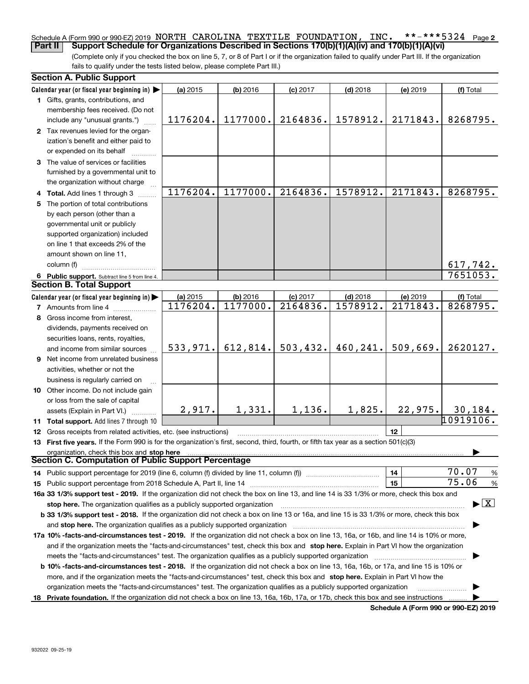#### **2** Schedule A (Form 990 or 990-EZ) 2019 NORTH CAROLINA TEXTILE FOUNDATION , INC. \*\*-\*\*\*5324 page<br>| Part II | Support Schedule for Organizations Described in Sections 170(b)(1)(A)(v) and 170(b)(1)(A)(vi) **Part II Support Schedule for Organizations Described in Sections 170(b)(1)(A)(iv) and 170(b)(1)(A)(vi)**

(Complete only if you checked the box on line 5, 7, or 8 of Part I or if the organization failed to qualify under Part III. If the organization fails to qualify under the tests listed below, please complete Part III.)

| Calendar year (or fiscal year beginning in)<br>(a) 2015<br>$(b)$ 2016<br>$(c)$ 2017<br>$(d)$ 2018<br>(e) 2019<br>(f) Total<br>1 Gifts, grants, contributions, and<br>membership fees received. (Do not<br>1177000.<br>2164836.<br>1578912.<br>2171843.<br>1176204.<br>8268795.<br>include any "unusual grants.")<br>2 Tax revenues levied for the organ-<br>ization's benefit and either paid to<br>or expended on its behalf<br>3 The value of services or facilities<br>furnished by a governmental unit to<br>the organization without charge<br>1176204.<br>1177000.<br>2164836.<br>1578912.<br>2171843.<br>8268795.<br>4 Total. Add lines 1 through 3<br>5 The portion of total contributions<br>by each person (other than a<br>governmental unit or publicly<br>supported organization) included<br>on line 1 that exceeds 2% of the<br>amount shown on line 11,<br>column (f)<br>617,742.<br>7651053.<br>6 Public support. Subtract line 5 from line 4.<br><b>Section B. Total Support</b><br>Calendar year (or fiscal year beginning in)<br>(a) 2015<br>(b) 2016<br>$(d)$ 2018<br>$(c)$ 2017<br>(e) 2019<br>(f) Total<br>1177000.<br>2164836.<br>1578912.<br>2171843.<br>8268795.<br>1176204.<br><b>7</b> Amounts from line 4<br>Gross income from interest,<br>8<br>dividends, payments received on<br>securities loans, rents, royalties,<br>503, 432.<br>460,241.<br>509,669.<br>533,971.<br>612,814.<br>2620127.<br>and income from similar sources<br>9 Net income from unrelated business<br>activities, whether or not the<br>business is regularly carried on<br>10 Other income. Do not include gain<br>or loss from the sale of capital<br>1,331.<br>1,136.<br>1,825.<br>2,917.<br>22,975.<br>30, 184.<br>assets (Explain in Part VI.)<br>10919106.<br>11 Total support. Add lines 7 through 10<br>12<br><b>12</b> Gross receipts from related activities, etc. (see instructions)<br>13 First five years. If the Form 990 is for the organization's first, second, third, fourth, or fifth tax year as a section 501(c)(3)<br>organization, check this box and stop here<br>Section C. Computation of Public Support Percentage<br>70.07<br>%<br>14<br>14 Public support percentage for 2019 (line 6, column (f) divided by line 11, column (f) <i>mummumumumum</i><br>75.06<br>15<br>%<br>16a 33 1/3% support test - 2019. If the organization did not check the box on line 13, and line 14 is 33 1/3% or more, check this box and<br>$\blacktriangleright$ $\vert$ X<br>stop here. The organization qualifies as a publicly supported organization<br>b 33 1/3% support test - 2018. If the organization did not check a box on line 13 or 16a, and line 15 is 33 1/3% or more, check this box<br>and stop here. The organization qualifies as a publicly supported organization<br>17a 10% -facts-and-circumstances test - 2019. If the organization did not check a box on line 13, 16a, or 16b, and line 14 is 10% or more,<br>and if the organization meets the "facts-and-circumstances" test, check this box and stop here. Explain in Part VI how the organization<br>meets the "facts-and-circumstances" test. The organization qualifies as a publicly supported organization<br><b>b 10% -facts-and-circumstances test - 2018.</b> If the organization did not check a box on line 13, 16a, 16b, or 17a, and line 15 is 10% or<br>more, and if the organization meets the "facts-and-circumstances" test, check this box and stop here. Explain in Part VI how the<br>organization meets the "facts-and-circumstances" test. The organization qualifies as a publicly supported organization<br>18 Private foundation. If the organization did not check a box on line 13, 16a, 16b, 17a, or 17b, check this box and see instructions | <b>Section A. Public Support</b> |  |  |  |
|------------------------------------------------------------------------------------------------------------------------------------------------------------------------------------------------------------------------------------------------------------------------------------------------------------------------------------------------------------------------------------------------------------------------------------------------------------------------------------------------------------------------------------------------------------------------------------------------------------------------------------------------------------------------------------------------------------------------------------------------------------------------------------------------------------------------------------------------------------------------------------------------------------------------------------------------------------------------------------------------------------------------------------------------------------------------------------------------------------------------------------------------------------------------------------------------------------------------------------------------------------------------------------------------------------------------------------------------------------------------------------------------------------------------------------------------------------------------------------------------------------------------------------------------------------------------------------------------------------------------------------------------------------------------------------------------------------------------------------------------------------------------------------------------------------------------------------------------------------------------------------------------------------------------------------------------------------------------------------------------------------------------------------------------------------------------------------------------------------------------------------------------------------------------------------------------------------------------------------------------------------------------------------------------------------------------------------------------------------------------------------------------------------------------------------------------------------------------------------------------------------------------------------------------------------------------------------------------------------------------------------------------------------------------------------------------------------------------------------------------------------------------------------------------------------------------------------------------------------------------------------------------------------------------------------------------------------------------------------------------------------------------------------------------------------------------------------------------------------------------------------------------------------------------------------------------------------------------------------------------------------------------------------------------------------------------------------------------------------------------------------------------------------------------------------------------------------------------------------------------------------------------------------------------------------------------------------------------------------------------------------------------------------------------------------------------------------------------------------------------------------------------|----------------------------------|--|--|--|
|                                                                                                                                                                                                                                                                                                                                                                                                                                                                                                                                                                                                                                                                                                                                                                                                                                                                                                                                                                                                                                                                                                                                                                                                                                                                                                                                                                                                                                                                                                                                                                                                                                                                                                                                                                                                                                                                                                                                                                                                                                                                                                                                                                                                                                                                                                                                                                                                                                                                                                                                                                                                                                                                                                                                                                                                                                                                                                                                                                                                                                                                                                                                                                                                                                                                                                                                                                                                                                                                                                                                                                                                                                                                                                                                                                        |                                  |  |  |  |
|                                                                                                                                                                                                                                                                                                                                                                                                                                                                                                                                                                                                                                                                                                                                                                                                                                                                                                                                                                                                                                                                                                                                                                                                                                                                                                                                                                                                                                                                                                                                                                                                                                                                                                                                                                                                                                                                                                                                                                                                                                                                                                                                                                                                                                                                                                                                                                                                                                                                                                                                                                                                                                                                                                                                                                                                                                                                                                                                                                                                                                                                                                                                                                                                                                                                                                                                                                                                                                                                                                                                                                                                                                                                                                                                                                        |                                  |  |  |  |
|                                                                                                                                                                                                                                                                                                                                                                                                                                                                                                                                                                                                                                                                                                                                                                                                                                                                                                                                                                                                                                                                                                                                                                                                                                                                                                                                                                                                                                                                                                                                                                                                                                                                                                                                                                                                                                                                                                                                                                                                                                                                                                                                                                                                                                                                                                                                                                                                                                                                                                                                                                                                                                                                                                                                                                                                                                                                                                                                                                                                                                                                                                                                                                                                                                                                                                                                                                                                                                                                                                                                                                                                                                                                                                                                                                        |                                  |  |  |  |
|                                                                                                                                                                                                                                                                                                                                                                                                                                                                                                                                                                                                                                                                                                                                                                                                                                                                                                                                                                                                                                                                                                                                                                                                                                                                                                                                                                                                                                                                                                                                                                                                                                                                                                                                                                                                                                                                                                                                                                                                                                                                                                                                                                                                                                                                                                                                                                                                                                                                                                                                                                                                                                                                                                                                                                                                                                                                                                                                                                                                                                                                                                                                                                                                                                                                                                                                                                                                                                                                                                                                                                                                                                                                                                                                                                        |                                  |  |  |  |
|                                                                                                                                                                                                                                                                                                                                                                                                                                                                                                                                                                                                                                                                                                                                                                                                                                                                                                                                                                                                                                                                                                                                                                                                                                                                                                                                                                                                                                                                                                                                                                                                                                                                                                                                                                                                                                                                                                                                                                                                                                                                                                                                                                                                                                                                                                                                                                                                                                                                                                                                                                                                                                                                                                                                                                                                                                                                                                                                                                                                                                                                                                                                                                                                                                                                                                                                                                                                                                                                                                                                                                                                                                                                                                                                                                        |                                  |  |  |  |
|                                                                                                                                                                                                                                                                                                                                                                                                                                                                                                                                                                                                                                                                                                                                                                                                                                                                                                                                                                                                                                                                                                                                                                                                                                                                                                                                                                                                                                                                                                                                                                                                                                                                                                                                                                                                                                                                                                                                                                                                                                                                                                                                                                                                                                                                                                                                                                                                                                                                                                                                                                                                                                                                                                                                                                                                                                                                                                                                                                                                                                                                                                                                                                                                                                                                                                                                                                                                                                                                                                                                                                                                                                                                                                                                                                        |                                  |  |  |  |
|                                                                                                                                                                                                                                                                                                                                                                                                                                                                                                                                                                                                                                                                                                                                                                                                                                                                                                                                                                                                                                                                                                                                                                                                                                                                                                                                                                                                                                                                                                                                                                                                                                                                                                                                                                                                                                                                                                                                                                                                                                                                                                                                                                                                                                                                                                                                                                                                                                                                                                                                                                                                                                                                                                                                                                                                                                                                                                                                                                                                                                                                                                                                                                                                                                                                                                                                                                                                                                                                                                                                                                                                                                                                                                                                                                        |                                  |  |  |  |
|                                                                                                                                                                                                                                                                                                                                                                                                                                                                                                                                                                                                                                                                                                                                                                                                                                                                                                                                                                                                                                                                                                                                                                                                                                                                                                                                                                                                                                                                                                                                                                                                                                                                                                                                                                                                                                                                                                                                                                                                                                                                                                                                                                                                                                                                                                                                                                                                                                                                                                                                                                                                                                                                                                                                                                                                                                                                                                                                                                                                                                                                                                                                                                                                                                                                                                                                                                                                                                                                                                                                                                                                                                                                                                                                                                        |                                  |  |  |  |
|                                                                                                                                                                                                                                                                                                                                                                                                                                                                                                                                                                                                                                                                                                                                                                                                                                                                                                                                                                                                                                                                                                                                                                                                                                                                                                                                                                                                                                                                                                                                                                                                                                                                                                                                                                                                                                                                                                                                                                                                                                                                                                                                                                                                                                                                                                                                                                                                                                                                                                                                                                                                                                                                                                                                                                                                                                                                                                                                                                                                                                                                                                                                                                                                                                                                                                                                                                                                                                                                                                                                                                                                                                                                                                                                                                        |                                  |  |  |  |
|                                                                                                                                                                                                                                                                                                                                                                                                                                                                                                                                                                                                                                                                                                                                                                                                                                                                                                                                                                                                                                                                                                                                                                                                                                                                                                                                                                                                                                                                                                                                                                                                                                                                                                                                                                                                                                                                                                                                                                                                                                                                                                                                                                                                                                                                                                                                                                                                                                                                                                                                                                                                                                                                                                                                                                                                                                                                                                                                                                                                                                                                                                                                                                                                                                                                                                                                                                                                                                                                                                                                                                                                                                                                                                                                                                        |                                  |  |  |  |
|                                                                                                                                                                                                                                                                                                                                                                                                                                                                                                                                                                                                                                                                                                                                                                                                                                                                                                                                                                                                                                                                                                                                                                                                                                                                                                                                                                                                                                                                                                                                                                                                                                                                                                                                                                                                                                                                                                                                                                                                                                                                                                                                                                                                                                                                                                                                                                                                                                                                                                                                                                                                                                                                                                                                                                                                                                                                                                                                                                                                                                                                                                                                                                                                                                                                                                                                                                                                                                                                                                                                                                                                                                                                                                                                                                        |                                  |  |  |  |
|                                                                                                                                                                                                                                                                                                                                                                                                                                                                                                                                                                                                                                                                                                                                                                                                                                                                                                                                                                                                                                                                                                                                                                                                                                                                                                                                                                                                                                                                                                                                                                                                                                                                                                                                                                                                                                                                                                                                                                                                                                                                                                                                                                                                                                                                                                                                                                                                                                                                                                                                                                                                                                                                                                                                                                                                                                                                                                                                                                                                                                                                                                                                                                                                                                                                                                                                                                                                                                                                                                                                                                                                                                                                                                                                                                        |                                  |  |  |  |
|                                                                                                                                                                                                                                                                                                                                                                                                                                                                                                                                                                                                                                                                                                                                                                                                                                                                                                                                                                                                                                                                                                                                                                                                                                                                                                                                                                                                                                                                                                                                                                                                                                                                                                                                                                                                                                                                                                                                                                                                                                                                                                                                                                                                                                                                                                                                                                                                                                                                                                                                                                                                                                                                                                                                                                                                                                                                                                                                                                                                                                                                                                                                                                                                                                                                                                                                                                                                                                                                                                                                                                                                                                                                                                                                                                        |                                  |  |  |  |
|                                                                                                                                                                                                                                                                                                                                                                                                                                                                                                                                                                                                                                                                                                                                                                                                                                                                                                                                                                                                                                                                                                                                                                                                                                                                                                                                                                                                                                                                                                                                                                                                                                                                                                                                                                                                                                                                                                                                                                                                                                                                                                                                                                                                                                                                                                                                                                                                                                                                                                                                                                                                                                                                                                                                                                                                                                                                                                                                                                                                                                                                                                                                                                                                                                                                                                                                                                                                                                                                                                                                                                                                                                                                                                                                                                        |                                  |  |  |  |
|                                                                                                                                                                                                                                                                                                                                                                                                                                                                                                                                                                                                                                                                                                                                                                                                                                                                                                                                                                                                                                                                                                                                                                                                                                                                                                                                                                                                                                                                                                                                                                                                                                                                                                                                                                                                                                                                                                                                                                                                                                                                                                                                                                                                                                                                                                                                                                                                                                                                                                                                                                                                                                                                                                                                                                                                                                                                                                                                                                                                                                                                                                                                                                                                                                                                                                                                                                                                                                                                                                                                                                                                                                                                                                                                                                        |                                  |  |  |  |
|                                                                                                                                                                                                                                                                                                                                                                                                                                                                                                                                                                                                                                                                                                                                                                                                                                                                                                                                                                                                                                                                                                                                                                                                                                                                                                                                                                                                                                                                                                                                                                                                                                                                                                                                                                                                                                                                                                                                                                                                                                                                                                                                                                                                                                                                                                                                                                                                                                                                                                                                                                                                                                                                                                                                                                                                                                                                                                                                                                                                                                                                                                                                                                                                                                                                                                                                                                                                                                                                                                                                                                                                                                                                                                                                                                        |                                  |  |  |  |
|                                                                                                                                                                                                                                                                                                                                                                                                                                                                                                                                                                                                                                                                                                                                                                                                                                                                                                                                                                                                                                                                                                                                                                                                                                                                                                                                                                                                                                                                                                                                                                                                                                                                                                                                                                                                                                                                                                                                                                                                                                                                                                                                                                                                                                                                                                                                                                                                                                                                                                                                                                                                                                                                                                                                                                                                                                                                                                                                                                                                                                                                                                                                                                                                                                                                                                                                                                                                                                                                                                                                                                                                                                                                                                                                                                        |                                  |  |  |  |
|                                                                                                                                                                                                                                                                                                                                                                                                                                                                                                                                                                                                                                                                                                                                                                                                                                                                                                                                                                                                                                                                                                                                                                                                                                                                                                                                                                                                                                                                                                                                                                                                                                                                                                                                                                                                                                                                                                                                                                                                                                                                                                                                                                                                                                                                                                                                                                                                                                                                                                                                                                                                                                                                                                                                                                                                                                                                                                                                                                                                                                                                                                                                                                                                                                                                                                                                                                                                                                                                                                                                                                                                                                                                                                                                                                        |                                  |  |  |  |
|                                                                                                                                                                                                                                                                                                                                                                                                                                                                                                                                                                                                                                                                                                                                                                                                                                                                                                                                                                                                                                                                                                                                                                                                                                                                                                                                                                                                                                                                                                                                                                                                                                                                                                                                                                                                                                                                                                                                                                                                                                                                                                                                                                                                                                                                                                                                                                                                                                                                                                                                                                                                                                                                                                                                                                                                                                                                                                                                                                                                                                                                                                                                                                                                                                                                                                                                                                                                                                                                                                                                                                                                                                                                                                                                                                        |                                  |  |  |  |
|                                                                                                                                                                                                                                                                                                                                                                                                                                                                                                                                                                                                                                                                                                                                                                                                                                                                                                                                                                                                                                                                                                                                                                                                                                                                                                                                                                                                                                                                                                                                                                                                                                                                                                                                                                                                                                                                                                                                                                                                                                                                                                                                                                                                                                                                                                                                                                                                                                                                                                                                                                                                                                                                                                                                                                                                                                                                                                                                                                                                                                                                                                                                                                                                                                                                                                                                                                                                                                                                                                                                                                                                                                                                                                                                                                        |                                  |  |  |  |
|                                                                                                                                                                                                                                                                                                                                                                                                                                                                                                                                                                                                                                                                                                                                                                                                                                                                                                                                                                                                                                                                                                                                                                                                                                                                                                                                                                                                                                                                                                                                                                                                                                                                                                                                                                                                                                                                                                                                                                                                                                                                                                                                                                                                                                                                                                                                                                                                                                                                                                                                                                                                                                                                                                                                                                                                                                                                                                                                                                                                                                                                                                                                                                                                                                                                                                                                                                                                                                                                                                                                                                                                                                                                                                                                                                        |                                  |  |  |  |
|                                                                                                                                                                                                                                                                                                                                                                                                                                                                                                                                                                                                                                                                                                                                                                                                                                                                                                                                                                                                                                                                                                                                                                                                                                                                                                                                                                                                                                                                                                                                                                                                                                                                                                                                                                                                                                                                                                                                                                                                                                                                                                                                                                                                                                                                                                                                                                                                                                                                                                                                                                                                                                                                                                                                                                                                                                                                                                                                                                                                                                                                                                                                                                                                                                                                                                                                                                                                                                                                                                                                                                                                                                                                                                                                                                        |                                  |  |  |  |
|                                                                                                                                                                                                                                                                                                                                                                                                                                                                                                                                                                                                                                                                                                                                                                                                                                                                                                                                                                                                                                                                                                                                                                                                                                                                                                                                                                                                                                                                                                                                                                                                                                                                                                                                                                                                                                                                                                                                                                                                                                                                                                                                                                                                                                                                                                                                                                                                                                                                                                                                                                                                                                                                                                                                                                                                                                                                                                                                                                                                                                                                                                                                                                                                                                                                                                                                                                                                                                                                                                                                                                                                                                                                                                                                                                        |                                  |  |  |  |
|                                                                                                                                                                                                                                                                                                                                                                                                                                                                                                                                                                                                                                                                                                                                                                                                                                                                                                                                                                                                                                                                                                                                                                                                                                                                                                                                                                                                                                                                                                                                                                                                                                                                                                                                                                                                                                                                                                                                                                                                                                                                                                                                                                                                                                                                                                                                                                                                                                                                                                                                                                                                                                                                                                                                                                                                                                                                                                                                                                                                                                                                                                                                                                                                                                                                                                                                                                                                                                                                                                                                                                                                                                                                                                                                                                        |                                  |  |  |  |
|                                                                                                                                                                                                                                                                                                                                                                                                                                                                                                                                                                                                                                                                                                                                                                                                                                                                                                                                                                                                                                                                                                                                                                                                                                                                                                                                                                                                                                                                                                                                                                                                                                                                                                                                                                                                                                                                                                                                                                                                                                                                                                                                                                                                                                                                                                                                                                                                                                                                                                                                                                                                                                                                                                                                                                                                                                                                                                                                                                                                                                                                                                                                                                                                                                                                                                                                                                                                                                                                                                                                                                                                                                                                                                                                                                        |                                  |  |  |  |
|                                                                                                                                                                                                                                                                                                                                                                                                                                                                                                                                                                                                                                                                                                                                                                                                                                                                                                                                                                                                                                                                                                                                                                                                                                                                                                                                                                                                                                                                                                                                                                                                                                                                                                                                                                                                                                                                                                                                                                                                                                                                                                                                                                                                                                                                                                                                                                                                                                                                                                                                                                                                                                                                                                                                                                                                                                                                                                                                                                                                                                                                                                                                                                                                                                                                                                                                                                                                                                                                                                                                                                                                                                                                                                                                                                        |                                  |  |  |  |
|                                                                                                                                                                                                                                                                                                                                                                                                                                                                                                                                                                                                                                                                                                                                                                                                                                                                                                                                                                                                                                                                                                                                                                                                                                                                                                                                                                                                                                                                                                                                                                                                                                                                                                                                                                                                                                                                                                                                                                                                                                                                                                                                                                                                                                                                                                                                                                                                                                                                                                                                                                                                                                                                                                                                                                                                                                                                                                                                                                                                                                                                                                                                                                                                                                                                                                                                                                                                                                                                                                                                                                                                                                                                                                                                                                        |                                  |  |  |  |
|                                                                                                                                                                                                                                                                                                                                                                                                                                                                                                                                                                                                                                                                                                                                                                                                                                                                                                                                                                                                                                                                                                                                                                                                                                                                                                                                                                                                                                                                                                                                                                                                                                                                                                                                                                                                                                                                                                                                                                                                                                                                                                                                                                                                                                                                                                                                                                                                                                                                                                                                                                                                                                                                                                                                                                                                                                                                                                                                                                                                                                                                                                                                                                                                                                                                                                                                                                                                                                                                                                                                                                                                                                                                                                                                                                        |                                  |  |  |  |
|                                                                                                                                                                                                                                                                                                                                                                                                                                                                                                                                                                                                                                                                                                                                                                                                                                                                                                                                                                                                                                                                                                                                                                                                                                                                                                                                                                                                                                                                                                                                                                                                                                                                                                                                                                                                                                                                                                                                                                                                                                                                                                                                                                                                                                                                                                                                                                                                                                                                                                                                                                                                                                                                                                                                                                                                                                                                                                                                                                                                                                                                                                                                                                                                                                                                                                                                                                                                                                                                                                                                                                                                                                                                                                                                                                        |                                  |  |  |  |
|                                                                                                                                                                                                                                                                                                                                                                                                                                                                                                                                                                                                                                                                                                                                                                                                                                                                                                                                                                                                                                                                                                                                                                                                                                                                                                                                                                                                                                                                                                                                                                                                                                                                                                                                                                                                                                                                                                                                                                                                                                                                                                                                                                                                                                                                                                                                                                                                                                                                                                                                                                                                                                                                                                                                                                                                                                                                                                                                                                                                                                                                                                                                                                                                                                                                                                                                                                                                                                                                                                                                                                                                                                                                                                                                                                        |                                  |  |  |  |
|                                                                                                                                                                                                                                                                                                                                                                                                                                                                                                                                                                                                                                                                                                                                                                                                                                                                                                                                                                                                                                                                                                                                                                                                                                                                                                                                                                                                                                                                                                                                                                                                                                                                                                                                                                                                                                                                                                                                                                                                                                                                                                                                                                                                                                                                                                                                                                                                                                                                                                                                                                                                                                                                                                                                                                                                                                                                                                                                                                                                                                                                                                                                                                                                                                                                                                                                                                                                                                                                                                                                                                                                                                                                                                                                                                        |                                  |  |  |  |
|                                                                                                                                                                                                                                                                                                                                                                                                                                                                                                                                                                                                                                                                                                                                                                                                                                                                                                                                                                                                                                                                                                                                                                                                                                                                                                                                                                                                                                                                                                                                                                                                                                                                                                                                                                                                                                                                                                                                                                                                                                                                                                                                                                                                                                                                                                                                                                                                                                                                                                                                                                                                                                                                                                                                                                                                                                                                                                                                                                                                                                                                                                                                                                                                                                                                                                                                                                                                                                                                                                                                                                                                                                                                                                                                                                        |                                  |  |  |  |
|                                                                                                                                                                                                                                                                                                                                                                                                                                                                                                                                                                                                                                                                                                                                                                                                                                                                                                                                                                                                                                                                                                                                                                                                                                                                                                                                                                                                                                                                                                                                                                                                                                                                                                                                                                                                                                                                                                                                                                                                                                                                                                                                                                                                                                                                                                                                                                                                                                                                                                                                                                                                                                                                                                                                                                                                                                                                                                                                                                                                                                                                                                                                                                                                                                                                                                                                                                                                                                                                                                                                                                                                                                                                                                                                                                        |                                  |  |  |  |
|                                                                                                                                                                                                                                                                                                                                                                                                                                                                                                                                                                                                                                                                                                                                                                                                                                                                                                                                                                                                                                                                                                                                                                                                                                                                                                                                                                                                                                                                                                                                                                                                                                                                                                                                                                                                                                                                                                                                                                                                                                                                                                                                                                                                                                                                                                                                                                                                                                                                                                                                                                                                                                                                                                                                                                                                                                                                                                                                                                                                                                                                                                                                                                                                                                                                                                                                                                                                                                                                                                                                                                                                                                                                                                                                                                        |                                  |  |  |  |
|                                                                                                                                                                                                                                                                                                                                                                                                                                                                                                                                                                                                                                                                                                                                                                                                                                                                                                                                                                                                                                                                                                                                                                                                                                                                                                                                                                                                                                                                                                                                                                                                                                                                                                                                                                                                                                                                                                                                                                                                                                                                                                                                                                                                                                                                                                                                                                                                                                                                                                                                                                                                                                                                                                                                                                                                                                                                                                                                                                                                                                                                                                                                                                                                                                                                                                                                                                                                                                                                                                                                                                                                                                                                                                                                                                        |                                  |  |  |  |
|                                                                                                                                                                                                                                                                                                                                                                                                                                                                                                                                                                                                                                                                                                                                                                                                                                                                                                                                                                                                                                                                                                                                                                                                                                                                                                                                                                                                                                                                                                                                                                                                                                                                                                                                                                                                                                                                                                                                                                                                                                                                                                                                                                                                                                                                                                                                                                                                                                                                                                                                                                                                                                                                                                                                                                                                                                                                                                                                                                                                                                                                                                                                                                                                                                                                                                                                                                                                                                                                                                                                                                                                                                                                                                                                                                        |                                  |  |  |  |
|                                                                                                                                                                                                                                                                                                                                                                                                                                                                                                                                                                                                                                                                                                                                                                                                                                                                                                                                                                                                                                                                                                                                                                                                                                                                                                                                                                                                                                                                                                                                                                                                                                                                                                                                                                                                                                                                                                                                                                                                                                                                                                                                                                                                                                                                                                                                                                                                                                                                                                                                                                                                                                                                                                                                                                                                                                                                                                                                                                                                                                                                                                                                                                                                                                                                                                                                                                                                                                                                                                                                                                                                                                                                                                                                                                        |                                  |  |  |  |
|                                                                                                                                                                                                                                                                                                                                                                                                                                                                                                                                                                                                                                                                                                                                                                                                                                                                                                                                                                                                                                                                                                                                                                                                                                                                                                                                                                                                                                                                                                                                                                                                                                                                                                                                                                                                                                                                                                                                                                                                                                                                                                                                                                                                                                                                                                                                                                                                                                                                                                                                                                                                                                                                                                                                                                                                                                                                                                                                                                                                                                                                                                                                                                                                                                                                                                                                                                                                                                                                                                                                                                                                                                                                                                                                                                        |                                  |  |  |  |
|                                                                                                                                                                                                                                                                                                                                                                                                                                                                                                                                                                                                                                                                                                                                                                                                                                                                                                                                                                                                                                                                                                                                                                                                                                                                                                                                                                                                                                                                                                                                                                                                                                                                                                                                                                                                                                                                                                                                                                                                                                                                                                                                                                                                                                                                                                                                                                                                                                                                                                                                                                                                                                                                                                                                                                                                                                                                                                                                                                                                                                                                                                                                                                                                                                                                                                                                                                                                                                                                                                                                                                                                                                                                                                                                                                        |                                  |  |  |  |
|                                                                                                                                                                                                                                                                                                                                                                                                                                                                                                                                                                                                                                                                                                                                                                                                                                                                                                                                                                                                                                                                                                                                                                                                                                                                                                                                                                                                                                                                                                                                                                                                                                                                                                                                                                                                                                                                                                                                                                                                                                                                                                                                                                                                                                                                                                                                                                                                                                                                                                                                                                                                                                                                                                                                                                                                                                                                                                                                                                                                                                                                                                                                                                                                                                                                                                                                                                                                                                                                                                                                                                                                                                                                                                                                                                        |                                  |  |  |  |
|                                                                                                                                                                                                                                                                                                                                                                                                                                                                                                                                                                                                                                                                                                                                                                                                                                                                                                                                                                                                                                                                                                                                                                                                                                                                                                                                                                                                                                                                                                                                                                                                                                                                                                                                                                                                                                                                                                                                                                                                                                                                                                                                                                                                                                                                                                                                                                                                                                                                                                                                                                                                                                                                                                                                                                                                                                                                                                                                                                                                                                                                                                                                                                                                                                                                                                                                                                                                                                                                                                                                                                                                                                                                                                                                                                        |                                  |  |  |  |
|                                                                                                                                                                                                                                                                                                                                                                                                                                                                                                                                                                                                                                                                                                                                                                                                                                                                                                                                                                                                                                                                                                                                                                                                                                                                                                                                                                                                                                                                                                                                                                                                                                                                                                                                                                                                                                                                                                                                                                                                                                                                                                                                                                                                                                                                                                                                                                                                                                                                                                                                                                                                                                                                                                                                                                                                                                                                                                                                                                                                                                                                                                                                                                                                                                                                                                                                                                                                                                                                                                                                                                                                                                                                                                                                                                        |                                  |  |  |  |
|                                                                                                                                                                                                                                                                                                                                                                                                                                                                                                                                                                                                                                                                                                                                                                                                                                                                                                                                                                                                                                                                                                                                                                                                                                                                                                                                                                                                                                                                                                                                                                                                                                                                                                                                                                                                                                                                                                                                                                                                                                                                                                                                                                                                                                                                                                                                                                                                                                                                                                                                                                                                                                                                                                                                                                                                                                                                                                                                                                                                                                                                                                                                                                                                                                                                                                                                                                                                                                                                                                                                                                                                                                                                                                                                                                        |                                  |  |  |  |
|                                                                                                                                                                                                                                                                                                                                                                                                                                                                                                                                                                                                                                                                                                                                                                                                                                                                                                                                                                                                                                                                                                                                                                                                                                                                                                                                                                                                                                                                                                                                                                                                                                                                                                                                                                                                                                                                                                                                                                                                                                                                                                                                                                                                                                                                                                                                                                                                                                                                                                                                                                                                                                                                                                                                                                                                                                                                                                                                                                                                                                                                                                                                                                                                                                                                                                                                                                                                                                                                                                                                                                                                                                                                                                                                                                        |                                  |  |  |  |
|                                                                                                                                                                                                                                                                                                                                                                                                                                                                                                                                                                                                                                                                                                                                                                                                                                                                                                                                                                                                                                                                                                                                                                                                                                                                                                                                                                                                                                                                                                                                                                                                                                                                                                                                                                                                                                                                                                                                                                                                                                                                                                                                                                                                                                                                                                                                                                                                                                                                                                                                                                                                                                                                                                                                                                                                                                                                                                                                                                                                                                                                                                                                                                                                                                                                                                                                                                                                                                                                                                                                                                                                                                                                                                                                                                        |                                  |  |  |  |
|                                                                                                                                                                                                                                                                                                                                                                                                                                                                                                                                                                                                                                                                                                                                                                                                                                                                                                                                                                                                                                                                                                                                                                                                                                                                                                                                                                                                                                                                                                                                                                                                                                                                                                                                                                                                                                                                                                                                                                                                                                                                                                                                                                                                                                                                                                                                                                                                                                                                                                                                                                                                                                                                                                                                                                                                                                                                                                                                                                                                                                                                                                                                                                                                                                                                                                                                                                                                                                                                                                                                                                                                                                                                                                                                                                        |                                  |  |  |  |
|                                                                                                                                                                                                                                                                                                                                                                                                                                                                                                                                                                                                                                                                                                                                                                                                                                                                                                                                                                                                                                                                                                                                                                                                                                                                                                                                                                                                                                                                                                                                                                                                                                                                                                                                                                                                                                                                                                                                                                                                                                                                                                                                                                                                                                                                                                                                                                                                                                                                                                                                                                                                                                                                                                                                                                                                                                                                                                                                                                                                                                                                                                                                                                                                                                                                                                                                                                                                                                                                                                                                                                                                                                                                                                                                                                        |                                  |  |  |  |
|                                                                                                                                                                                                                                                                                                                                                                                                                                                                                                                                                                                                                                                                                                                                                                                                                                                                                                                                                                                                                                                                                                                                                                                                                                                                                                                                                                                                                                                                                                                                                                                                                                                                                                                                                                                                                                                                                                                                                                                                                                                                                                                                                                                                                                                                                                                                                                                                                                                                                                                                                                                                                                                                                                                                                                                                                                                                                                                                                                                                                                                                                                                                                                                                                                                                                                                                                                                                                                                                                                                                                                                                                                                                                                                                                                        |                                  |  |  |  |
|                                                                                                                                                                                                                                                                                                                                                                                                                                                                                                                                                                                                                                                                                                                                                                                                                                                                                                                                                                                                                                                                                                                                                                                                                                                                                                                                                                                                                                                                                                                                                                                                                                                                                                                                                                                                                                                                                                                                                                                                                                                                                                                                                                                                                                                                                                                                                                                                                                                                                                                                                                                                                                                                                                                                                                                                                                                                                                                                                                                                                                                                                                                                                                                                                                                                                                                                                                                                                                                                                                                                                                                                                                                                                                                                                                        |                                  |  |  |  |
|                                                                                                                                                                                                                                                                                                                                                                                                                                                                                                                                                                                                                                                                                                                                                                                                                                                                                                                                                                                                                                                                                                                                                                                                                                                                                                                                                                                                                                                                                                                                                                                                                                                                                                                                                                                                                                                                                                                                                                                                                                                                                                                                                                                                                                                                                                                                                                                                                                                                                                                                                                                                                                                                                                                                                                                                                                                                                                                                                                                                                                                                                                                                                                                                                                                                                                                                                                                                                                                                                                                                                                                                                                                                                                                                                                        |                                  |  |  |  |
| <b>Cohodulo A (Form 000 or 000 EZ) 2010</b>                                                                                                                                                                                                                                                                                                                                                                                                                                                                                                                                                                                                                                                                                                                                                                                                                                                                                                                                                                                                                                                                                                                                                                                                                                                                                                                                                                                                                                                                                                                                                                                                                                                                                                                                                                                                                                                                                                                                                                                                                                                                                                                                                                                                                                                                                                                                                                                                                                                                                                                                                                                                                                                                                                                                                                                                                                                                                                                                                                                                                                                                                                                                                                                                                                                                                                                                                                                                                                                                                                                                                                                                                                                                                                                            |                                  |  |  |  |

**Schedule A (Form 990 or 990-EZ) 2019**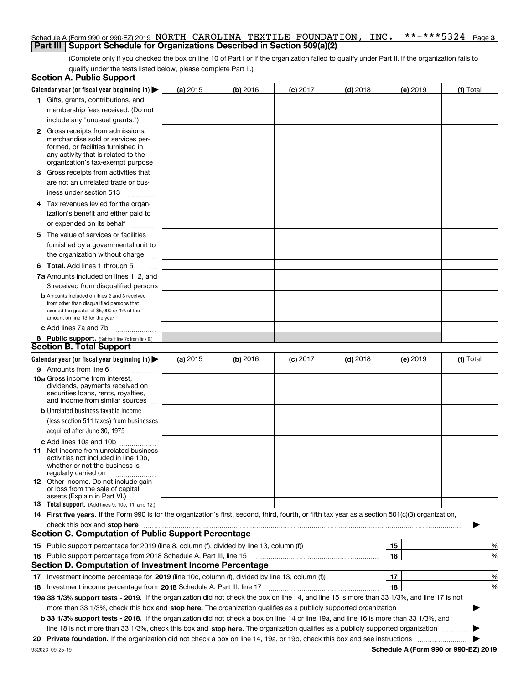#### **3** Schedule A (Form 990 or 990-EZ) 2019 NORTH CAROLINA TEXTILE FOUNDATION , INC. \*\*-\*\*\*5324 Page<br>| Part III | Support Schedule for Organizations Described in Section 509(a)(2) **Part III** | Support Schedule for Organizations Described in Section 509(a)(2)

(Complete only if you checked the box on line 10 of Part I or if the organization failed to qualify under Part II. If the organization fails to qualify under the tests listed below, please complete Part II.)

| <b>Section A. Public Support</b>                                                                                                                                                                                               |          |          |                 |            |    |          |                                      |
|--------------------------------------------------------------------------------------------------------------------------------------------------------------------------------------------------------------------------------|----------|----------|-----------------|------------|----|----------|--------------------------------------|
| Calendar year (or fiscal year beginning in) $\blacktriangleright$                                                                                                                                                              | (a) 2015 | (b) 2016 | $(c)$ 2017      | $(d)$ 2018 |    | (e) 2019 | (f) Total                            |
| 1 Gifts, grants, contributions, and                                                                                                                                                                                            |          |          |                 |            |    |          |                                      |
| membership fees received. (Do not                                                                                                                                                                                              |          |          |                 |            |    |          |                                      |
| include any "unusual grants.")                                                                                                                                                                                                 |          |          |                 |            |    |          |                                      |
| <b>2</b> Gross receipts from admissions,                                                                                                                                                                                       |          |          |                 |            |    |          |                                      |
| merchandise sold or services per-<br>formed, or facilities furnished in                                                                                                                                                        |          |          |                 |            |    |          |                                      |
| any activity that is related to the                                                                                                                                                                                            |          |          |                 |            |    |          |                                      |
| organization's tax-exempt purpose                                                                                                                                                                                              |          |          |                 |            |    |          |                                      |
| 3 Gross receipts from activities that                                                                                                                                                                                          |          |          |                 |            |    |          |                                      |
| are not an unrelated trade or bus-                                                                                                                                                                                             |          |          |                 |            |    |          |                                      |
| iness under section 513                                                                                                                                                                                                        |          |          |                 |            |    |          |                                      |
| 4 Tax revenues levied for the organ-                                                                                                                                                                                           |          |          |                 |            |    |          |                                      |
| ization's benefit and either paid to                                                                                                                                                                                           |          |          |                 |            |    |          |                                      |
| or expended on its behalf<br>.                                                                                                                                                                                                 |          |          |                 |            |    |          |                                      |
| 5 The value of services or facilities                                                                                                                                                                                          |          |          |                 |            |    |          |                                      |
| furnished by a governmental unit to                                                                                                                                                                                            |          |          |                 |            |    |          |                                      |
| the organization without charge                                                                                                                                                                                                |          |          |                 |            |    |          |                                      |
| <b>6 Total.</b> Add lines 1 through 5                                                                                                                                                                                          |          |          |                 |            |    |          |                                      |
| 7a Amounts included on lines 1, 2, and                                                                                                                                                                                         |          |          |                 |            |    |          |                                      |
| 3 received from disqualified persons                                                                                                                                                                                           |          |          |                 |            |    |          |                                      |
| <b>b</b> Amounts included on lines 2 and 3 received                                                                                                                                                                            |          |          |                 |            |    |          |                                      |
| from other than disqualified persons that                                                                                                                                                                                      |          |          |                 |            |    |          |                                      |
| exceed the greater of \$5,000 or 1% of the<br>amount on line 13 for the year                                                                                                                                                   |          |          |                 |            |    |          |                                      |
| c Add lines 7a and 7b                                                                                                                                                                                                          |          |          |                 |            |    |          |                                      |
| 8 Public support. (Subtract line 7c from line 6.)                                                                                                                                                                              |          |          |                 |            |    |          |                                      |
| <b>Section B. Total Support</b>                                                                                                                                                                                                |          |          |                 |            |    |          |                                      |
| Calendar year (or fiscal year beginning in) $\blacktriangleright$                                                                                                                                                              | (a) 2015 | (b) 2016 | <b>(c)</b> 2017 | $(d)$ 2018 |    | (e) 2019 | (f) Total                            |
| 9 Amounts from line 6                                                                                                                                                                                                          |          |          |                 |            |    |          |                                      |
| 10a Gross income from interest,                                                                                                                                                                                                |          |          |                 |            |    |          |                                      |
| dividends, payments received on                                                                                                                                                                                                |          |          |                 |            |    |          |                                      |
| securities loans, rents, royalties,<br>and income from similar sources                                                                                                                                                         |          |          |                 |            |    |          |                                      |
| <b>b</b> Unrelated business taxable income                                                                                                                                                                                     |          |          |                 |            |    |          |                                      |
| (less section 511 taxes) from businesses                                                                                                                                                                                       |          |          |                 |            |    |          |                                      |
| acquired after June 30, 1975                                                                                                                                                                                                   |          |          |                 |            |    |          |                                      |
| c Add lines 10a and 10b                                                                                                                                                                                                        |          |          |                 |            |    |          |                                      |
| 11 Net income from unrelated business                                                                                                                                                                                          |          |          |                 |            |    |          |                                      |
| activities not included in line 10b.                                                                                                                                                                                           |          |          |                 |            |    |          |                                      |
| whether or not the business is<br>regularly carried on                                                                                                                                                                         |          |          |                 |            |    |          |                                      |
| <b>12</b> Other income. Do not include gain                                                                                                                                                                                    |          |          |                 |            |    |          |                                      |
| or loss from the sale of capital                                                                                                                                                                                               |          |          |                 |            |    |          |                                      |
| assets (Explain in Part VI.)<br><b>13</b> Total support. (Add lines 9, 10c, 11, and 12.)                                                                                                                                       |          |          |                 |            |    |          |                                      |
| 14 First five years. If the Form 990 is for the organization's first, second, third, fourth, or fifth tax year as a section 501(c)(3) organization,                                                                            |          |          |                 |            |    |          |                                      |
| check this box and stop here measurements and contact the contract of the contract of the contract of the contract of the contract of the contract of the contract of the contract of the contract of the contract of the cont |          |          |                 |            |    |          |                                      |
| <b>Section C. Computation of Public Support Percentage</b>                                                                                                                                                                     |          |          |                 |            |    |          |                                      |
| 15 Public support percentage for 2019 (line 8, column (f), divided by line 13, column (f))                                                                                                                                     |          |          |                 |            | 15 |          | %                                    |
| 16 Public support percentage from 2018 Schedule A, Part III, line 15                                                                                                                                                           |          |          |                 |            | 16 |          | %                                    |
| <b>Section D. Computation of Investment Income Percentage</b>                                                                                                                                                                  |          |          |                 |            |    |          |                                      |
| 17 Investment income percentage for 2019 (line 10c, column (f), divided by line 13, column (f))                                                                                                                                |          |          |                 |            | 17 |          | %                                    |
| <b>18</b> Investment income percentage from <b>2018</b> Schedule A, Part III, line 17                                                                                                                                          |          |          |                 |            | 18 |          | %                                    |
| 19a 33 1/3% support tests - 2019. If the organization did not check the box on line 14, and line 15 is more than 33 1/3%, and line 17 is not                                                                                   |          |          |                 |            |    |          |                                      |
| more than 33 1/3%, check this box and stop here. The organization qualifies as a publicly supported organization                                                                                                               |          |          |                 |            |    |          | ▶                                    |
| b 33 1/3% support tests - 2018. If the organization did not check a box on line 14 or line 19a, and line 16 is more than 33 1/3%, and                                                                                          |          |          |                 |            |    |          |                                      |
| line 18 is not more than 33 1/3%, check this box and stop here. The organization qualifies as a publicly supported organization                                                                                                |          |          |                 |            |    |          |                                      |
| 20 Private foundation. If the organization did not check a box on line 14, 19a, or 19b, check this box and see instructions                                                                                                    |          |          |                 |            |    |          |                                      |
| 932023 09-25-19                                                                                                                                                                                                                |          |          |                 |            |    |          | Schedule A (Form 990 or 990-EZ) 2019 |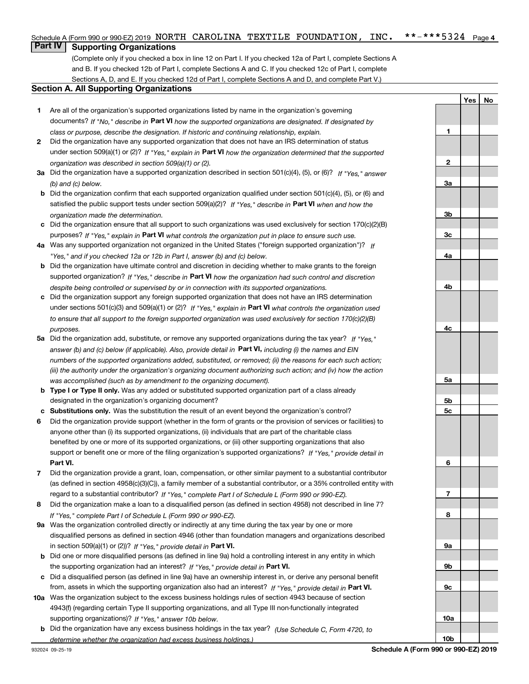#### $***$   $***$  5324 Page 4 Schedule A (Form 990 or 990-EZ) 2019 NORTH CAROLINA TEXTILE FOUNDATION , INC. \*\*-\*\*\*5324 Page<br>L**Part IV L. Supporting Organizations**

### **Part IV Supporting Organizations**

(Complete only if you checked a box in line 12 on Part I. If you checked 12a of Part I, complete Sections A and B. If you checked 12b of Part I, complete Sections A and C. If you checked 12c of Part I, complete Sections A, D, and E. If you checked 12d of Part I, complete Sections A and D, and complete Part V.)

#### **Section A. All Supporting Organizations**

- **1** Are all of the organization's supported organizations listed by name in the organization's governing documents? If "No," describe in **Part VI** how the supported organizations are designated. If designated by *class or purpose, describe the designation. If historic and continuing relationship, explain.*
- **2** Did the organization have any supported organization that does not have an IRS determination of status under section 509(a)(1) or (2)? If "Yes," explain in Part VI how the organization determined that the supported *organization was described in section 509(a)(1) or (2).*
- **3a** Did the organization have a supported organization described in section 501(c)(4), (5), or (6)? If "Yes," answer *(b) and (c) below.*
- **b** Did the organization confirm that each supported organization qualified under section 501(c)(4), (5), or (6) and satisfied the public support tests under section 509(a)(2)? If "Yes," describe in **Part VI** when and how the *organization made the determination.*
- **c**Did the organization ensure that all support to such organizations was used exclusively for section 170(c)(2)(B) purposes? If "Yes," explain in **Part VI** what controls the organization put in place to ensure such use.
- **4a***If* Was any supported organization not organized in the United States ("foreign supported organization")? *"Yes," and if you checked 12a or 12b in Part I, answer (b) and (c) below.*
- **b** Did the organization have ultimate control and discretion in deciding whether to make grants to the foreign supported organization? If "Yes," describe in **Part VI** how the organization had such control and discretion *despite being controlled or supervised by or in connection with its supported organizations.*
- **c** Did the organization support any foreign supported organization that does not have an IRS determination under sections 501(c)(3) and 509(a)(1) or (2)? If "Yes," explain in **Part VI** what controls the organization used *to ensure that all support to the foreign supported organization was used exclusively for section 170(c)(2)(B) purposes.*
- **5a***If "Yes,"* Did the organization add, substitute, or remove any supported organizations during the tax year? answer (b) and (c) below (if applicable). Also, provide detail in **Part VI,** including (i) the names and EIN *numbers of the supported organizations added, substituted, or removed; (ii) the reasons for each such action; (iii) the authority under the organization's organizing document authorizing such action; and (iv) how the action was accomplished (such as by amendment to the organizing document).*
- **b** Type I or Type II only. Was any added or substituted supported organization part of a class already designated in the organization's organizing document?
- **cSubstitutions only.**  Was the substitution the result of an event beyond the organization's control?
- **6** Did the organization provide support (whether in the form of grants or the provision of services or facilities) to **Part VI.** *If "Yes," provide detail in* support or benefit one or more of the filing organization's supported organizations? anyone other than (i) its supported organizations, (ii) individuals that are part of the charitable class benefited by one or more of its supported organizations, or (iii) other supporting organizations that also
- **7**Did the organization provide a grant, loan, compensation, or other similar payment to a substantial contributor *If "Yes," complete Part I of Schedule L (Form 990 or 990-EZ).* regard to a substantial contributor? (as defined in section 4958(c)(3)(C)), a family member of a substantial contributor, or a 35% controlled entity with
- **8** Did the organization make a loan to a disqualified person (as defined in section 4958) not described in line 7? *If "Yes," complete Part I of Schedule L (Form 990 or 990-EZ).*
- **9a** Was the organization controlled directly or indirectly at any time during the tax year by one or more in section 509(a)(1) or (2))? If "Yes," *provide detail in* <code>Part VI.</code> disqualified persons as defined in section 4946 (other than foundation managers and organizations described
- **b** Did one or more disqualified persons (as defined in line 9a) hold a controlling interest in any entity in which the supporting organization had an interest? If "Yes," provide detail in P**art VI**.
- **c**Did a disqualified person (as defined in line 9a) have an ownership interest in, or derive any personal benefit from, assets in which the supporting organization also had an interest? If "Yes," provide detail in P**art VI.**
- **10a** Was the organization subject to the excess business holdings rules of section 4943 because of section supporting organizations)? If "Yes," answer 10b below. 4943(f) (regarding certain Type II supporting organizations, and all Type III non-functionally integrated
- **b** Did the organization have any excess business holdings in the tax year? (Use Schedule C, Form 4720, to *determine whether the organization had excess business holdings.)*

**Yes No**

**1**

**10b**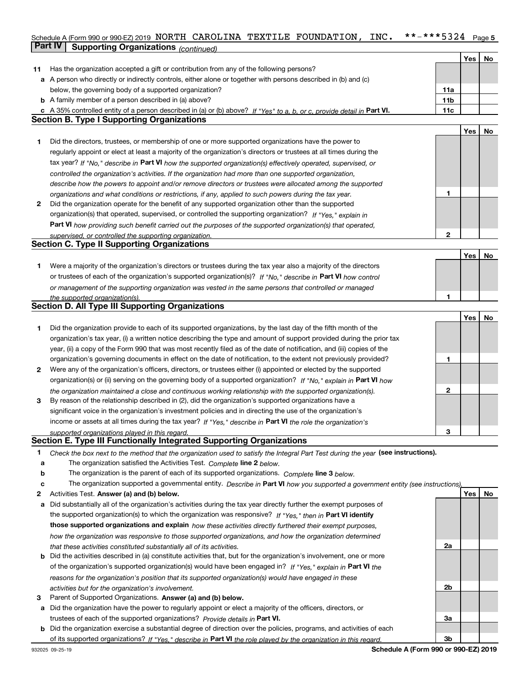### Schedule A (Form 990 or 990-EZ) 2019 NORTH CAROLINA TEXTILE FOUNDATION , INC. \*\*-\*\*\*5324 Page 5<br>L**Part IV L. Supporting Organizations** . . . . . . . . **Part IV Supporting Organizations** *(continued)*

|    |                                                                                                                                                                                                               |                 | Yes | No |
|----|---------------------------------------------------------------------------------------------------------------------------------------------------------------------------------------------------------------|-----------------|-----|----|
| 11 | Has the organization accepted a gift or contribution from any of the following persons?                                                                                                                       |                 |     |    |
|    | a A person who directly or indirectly controls, either alone or together with persons described in (b) and (c)                                                                                                |                 |     |    |
|    | below, the governing body of a supported organization?                                                                                                                                                        | 11a             |     |    |
|    | <b>b</b> A family member of a person described in (a) above?                                                                                                                                                  | 11 <sub>b</sub> |     |    |
| c  | A 35% controlled entity of a person described in (a) or (b) above? If "Yes" to a, b, or c, provide detail in Part VI.                                                                                         | 11c             |     |    |
|    | <b>Section B. Type I Supporting Organizations</b>                                                                                                                                                             |                 |     |    |
|    |                                                                                                                                                                                                               |                 | Yes | No |
| 1  | Did the directors, trustees, or membership of one or more supported organizations have the power to                                                                                                           |                 |     |    |
|    | regularly appoint or elect at least a majority of the organization's directors or trustees at all times during the                                                                                            |                 |     |    |
|    | tax year? If "No," describe in Part VI how the supported organization(s) effectively operated, supervised, or                                                                                                 |                 |     |    |
|    | controlled the organization's activities. If the organization had more than one supported organization,                                                                                                       |                 |     |    |
|    | describe how the powers to appoint and/or remove directors or trustees were allocated among the supported                                                                                                     |                 |     |    |
|    |                                                                                                                                                                                                               | 1               |     |    |
| 2  | organizations and what conditions or restrictions, if any, applied to such powers during the tax year.<br>Did the organization operate for the benefit of any supported organization other than the supported |                 |     |    |
|    |                                                                                                                                                                                                               |                 |     |    |
|    | organization(s) that operated, supervised, or controlled the supporting organization? If "Yes," explain in                                                                                                    |                 |     |    |
|    | Part VI how providing such benefit carried out the purposes of the supported organization(s) that operated,                                                                                                   |                 |     |    |
|    | supervised, or controlled the supporting organization.<br><b>Section C. Type II Supporting Organizations</b>                                                                                                  | $\mathbf{2}$    |     |    |
|    |                                                                                                                                                                                                               |                 |     |    |
|    |                                                                                                                                                                                                               |                 | Yes | No |
| 1. | Were a majority of the organization's directors or trustees during the tax year also a majority of the directors                                                                                              |                 |     |    |
|    | or trustees of each of the organization's supported organization(s)? If "No," describe in Part VI how control                                                                                                 |                 |     |    |
|    | or management of the supporting organization was vested in the same persons that controlled or managed                                                                                                        |                 |     |    |
|    | the supported organization(s).                                                                                                                                                                                | 1               |     |    |
|    | <b>Section D. All Type III Supporting Organizations</b>                                                                                                                                                       |                 |     |    |
|    |                                                                                                                                                                                                               |                 | Yes | No |
| 1  | Did the organization provide to each of its supported organizations, by the last day of the fifth month of the                                                                                                |                 |     |    |
|    | organization's tax year, (i) a written notice describing the type and amount of support provided during the prior tax                                                                                         |                 |     |    |
|    | year, (ii) a copy of the Form 990 that was most recently filed as of the date of notification, and (iii) copies of the                                                                                        |                 |     |    |
|    | organization's governing documents in effect on the date of notification, to the extent not previously provided?                                                                                              | 1               |     |    |
| 2  | Were any of the organization's officers, directors, or trustees either (i) appointed or elected by the supported                                                                                              |                 |     |    |
|    | organization(s) or (ii) serving on the governing body of a supported organization? If "No," explain in Part VI how                                                                                            |                 |     |    |
|    | the organization maintained a close and continuous working relationship with the supported organization(s).                                                                                                   | $\mathbf{2}$    |     |    |
| 3  | By reason of the relationship described in (2), did the organization's supported organizations have a                                                                                                         |                 |     |    |
|    | significant voice in the organization's investment policies and in directing the use of the organization's                                                                                                    |                 |     |    |
|    | income or assets at all times during the tax year? If "Yes," describe in Part VI the role the organization's                                                                                                  |                 |     |    |
|    | supported organizations played in this regard.                                                                                                                                                                | 3               |     |    |
|    | <b>Section E. Type III Functionally Integrated Supporting Organizations</b>                                                                                                                                   |                 |     |    |
| 1  | Check the box next to the method that the organization used to satisfy the Integral Part Test during the year (see instructions).                                                                             |                 |     |    |
| a  | The organization satisfied the Activities Test. Complete line 2 below.                                                                                                                                        |                 |     |    |
| b  | The organization is the parent of each of its supported organizations. Complete line 3 below.                                                                                                                 |                 |     |    |
|    |                                                                                                                                                                                                               |                 |     |    |
| c  | The organization supported a governmental entity. Describe in Part VI how you supported a government entity (see instructions),                                                                               |                 | Yes | No |
| 2  | Activities Test. Answer (a) and (b) below.                                                                                                                                                                    |                 |     |    |
| а  | Did substantially all of the organization's activities during the tax year directly further the exempt purposes of                                                                                            |                 |     |    |
|    | the supported organization(s) to which the organization was responsive? If "Yes." then in Part VI identify                                                                                                    |                 |     |    |
|    | those supported organizations and explain how these activities directly furthered their exempt purposes,                                                                                                      |                 |     |    |
|    | how the organization was responsive to those supported organizations, and how the organization determined                                                                                                     |                 |     |    |
|    | that these activities constituted substantially all of its activities.                                                                                                                                        | 2a              |     |    |
| b  | Did the activities described in (a) constitute activities that, but for the organization's involvement, one or more                                                                                           |                 |     |    |
|    | of the organization's supported organization(s) would have been engaged in? If "Yes," explain in Part VI the                                                                                                  |                 |     |    |
|    | reasons for the organization's position that its supported organization(s) would have engaged in these                                                                                                        |                 |     |    |
|    | activities but for the organization's involvement.                                                                                                                                                            | 2 <sub>b</sub>  |     |    |
| з  | Parent of Supported Organizations. Answer (a) and (b) below.                                                                                                                                                  |                 |     |    |
| а  | Did the organization have the power to regularly appoint or elect a majority of the officers, directors, or                                                                                                   |                 |     |    |
|    | trustees of each of the supported organizations? Provide details in Part VI.                                                                                                                                  | За              |     |    |
| b  | Did the organization exercise a substantial degree of direction over the policies, programs, and activities of each                                                                                           |                 |     |    |
|    | of its supported organizations? If "Yes," describe in Part VI the role played by the organization in this regard.                                                                                             | 3 <sub>b</sub>  |     |    |
|    |                                                                                                                                                                                                               |                 |     |    |

**Schedule A (Form 990 or 990-EZ) 2019**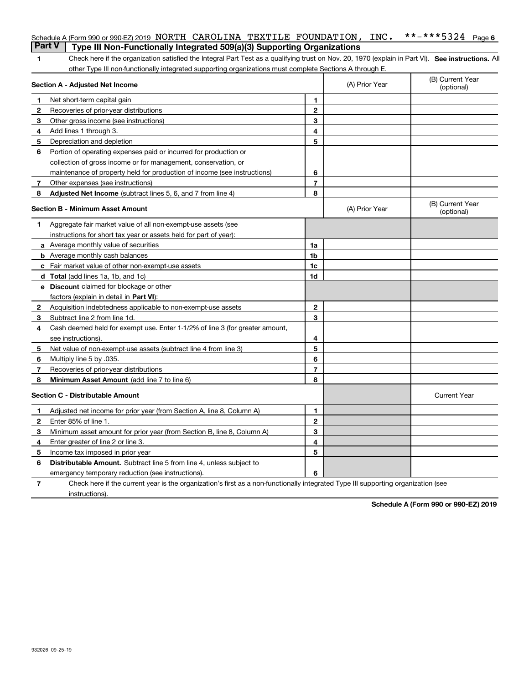|    | Schedule A (Form 990 or 990-EZ) 2019 NORTH CAROLINA TEXTILE FOUNDATION,<br><b>Part V</b>                                                           |                   | INC.           |                                |
|----|----------------------------------------------------------------------------------------------------------------------------------------------------|-------------------|----------------|--------------------------------|
|    | Type III Non-Functionally Integrated 509(a)(3) Supporting Organizations                                                                            |                   |                |                                |
| 1  | Check here if the organization satisfied the Integral Part Test as a qualifying trust on Nov. 20, 1970 (explain in Part VI). See instructions. All |                   |                |                                |
|    | other Type III non-functionally integrated supporting organizations must complete Sections A through E.<br>Section A - Adjusted Net Income         |                   | (A) Prior Year | (B) Current Year<br>(optional) |
|    |                                                                                                                                                    |                   |                |                                |
| 1  | Net short-term capital gain                                                                                                                        | 1<br>$\mathbf{2}$ |                |                                |
| 2  | Recoveries of prior-year distributions                                                                                                             | 3                 |                |                                |
| 3  | Other gross income (see instructions)                                                                                                              | 4                 |                |                                |
| 4  | Add lines 1 through 3.                                                                                                                             | 5                 |                |                                |
| 5  | Depreciation and depletion                                                                                                                         |                   |                |                                |
| 6  | Portion of operating expenses paid or incurred for production or                                                                                   |                   |                |                                |
|    | collection of gross income or for management, conservation, or                                                                                     |                   |                |                                |
|    | maintenance of property held for production of income (see instructions)                                                                           | 6                 |                |                                |
| 7  | Other expenses (see instructions)                                                                                                                  | $\overline{7}$    |                |                                |
| 8  | Adjusted Net Income (subtract lines 5, 6, and 7 from line 4)                                                                                       | 8                 |                |                                |
|    | <b>Section B - Minimum Asset Amount</b>                                                                                                            |                   | (A) Prior Year | (B) Current Year<br>(optional) |
| 1  | Aggregate fair market value of all non-exempt-use assets (see                                                                                      |                   |                |                                |
|    | instructions for short tax year or assets held for part of year):                                                                                  |                   |                |                                |
|    | <b>a</b> Average monthly value of securities                                                                                                       | 1a                |                |                                |
|    | <b>b</b> Average monthly cash balances                                                                                                             | 1b                |                |                                |
|    | c Fair market value of other non-exempt-use assets                                                                                                 | 1c                |                |                                |
|    | d Total (add lines 1a, 1b, and 1c)                                                                                                                 | 1d                |                |                                |
|    | <b>e</b> Discount claimed for blockage or other                                                                                                    |                   |                |                                |
|    | factors (explain in detail in Part VI):                                                                                                            |                   |                |                                |
| 2  | Acquisition indebtedness applicable to non-exempt-use assets                                                                                       | $\mathbf{2}$      |                |                                |
| 3  | Subtract line 2 from line 1d.                                                                                                                      | 3                 |                |                                |
| 4  | Cash deemed held for exempt use. Enter 1-1/2% of line 3 (for greater amount,                                                                       |                   |                |                                |
|    | see instructions).                                                                                                                                 | 4                 |                |                                |
| 5  | Net value of non-exempt-use assets (subtract line 4 from line 3)                                                                                   | 5                 |                |                                |
| 6  | Multiply line 5 by .035.                                                                                                                           | 6                 |                |                                |
| 7  | Recoveries of prior-year distributions                                                                                                             | $\overline{7}$    |                |                                |
| 8  | Minimum Asset Amount (add line 7 to line 6)                                                                                                        | 8                 |                |                                |
|    | <b>Section C - Distributable Amount</b>                                                                                                            |                   |                | <b>Current Year</b>            |
| 1. | Adjusted net income for prior year (from Section A, line 8, Column A)                                                                              | 1                 |                |                                |
|    | Enter 85% of line 1.                                                                                                                               | 2                 |                |                                |
| 3  | Minimum asset amount for prior year (from Section B, line 8, Column A)                                                                             | 3                 |                |                                |
| 4  | Enter greater of line 2 or line 3.                                                                                                                 | 4                 |                |                                |
| 5  | Income tax imposed in prior year                                                                                                                   | 5                 |                |                                |
| 6  | <b>Distributable Amount.</b> Subtract line 5 from line 4, unless subject to                                                                        |                   |                |                                |
|    | emergency temporary reduction (see instructions).                                                                                                  | 6                 |                |                                |
| 7  | Check here if the current year is the organization's first as a non-functionally integrated Type III supporting organization (see                  |                   |                |                                |

instructions).

**Schedule A (Form 990 or 990-EZ) 2019**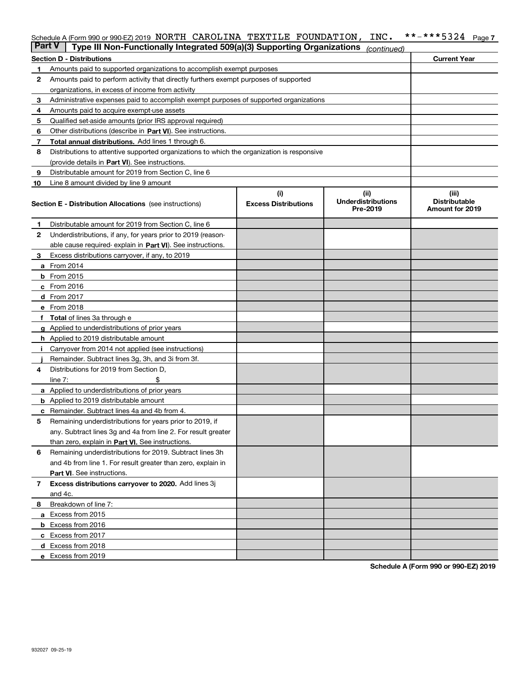# Schedule A (Form 990 or 990-EZ) 2019 NORTH CAROLINA TEXTILE FOUNDATION , INC. \*\*-\*\*\*5324 <sub>Page 7</sub><br>L**Part V** L. Type III Non, Eunotionally Integrated 509(a)(3) Supporting Organizations

| <b>Part V</b> | Type III Non-Functionally Integrated 509(a)(3) Supporting Organizations                    |                                    | (continued)                                   |                                                  |
|---------------|--------------------------------------------------------------------------------------------|------------------------------------|-----------------------------------------------|--------------------------------------------------|
|               | <b>Section D - Distributions</b>                                                           |                                    |                                               | <b>Current Year</b>                              |
| 1             | Amounts paid to supported organizations to accomplish exempt purposes                      |                                    |                                               |                                                  |
| 2             | Amounts paid to perform activity that directly furthers exempt purposes of supported       |                                    |                                               |                                                  |
|               | organizations, in excess of income from activity                                           |                                    |                                               |                                                  |
| 3             | Administrative expenses paid to accomplish exempt purposes of supported organizations      |                                    |                                               |                                                  |
| 4             | Amounts paid to acquire exempt-use assets                                                  |                                    |                                               |                                                  |
| 5             | Qualified set-aside amounts (prior IRS approval required)                                  |                                    |                                               |                                                  |
| 6             | Other distributions (describe in Part VI). See instructions.                               |                                    |                                               |                                                  |
| 7             | <b>Total annual distributions.</b> Add lines 1 through 6.                                  |                                    |                                               |                                                  |
| 8             | Distributions to attentive supported organizations to which the organization is responsive |                                    |                                               |                                                  |
|               | (provide details in Part VI). See instructions.                                            |                                    |                                               |                                                  |
| 9             | Distributable amount for 2019 from Section C, line 6                                       |                                    |                                               |                                                  |
| 10            | Line 8 amount divided by line 9 amount                                                     |                                    |                                               |                                                  |
|               | <b>Section E - Distribution Allocations</b> (see instructions)                             | (i)<br><b>Excess Distributions</b> | (ii)<br><b>Underdistributions</b><br>Pre-2019 | (iii)<br><b>Distributable</b><br>Amount for 2019 |
| 1             | Distributable amount for 2019 from Section C, line 6                                       |                                    |                                               |                                                  |
| 2             | Underdistributions, if any, for years prior to 2019 (reason-                               |                                    |                                               |                                                  |
|               | able cause required- explain in Part VI). See instructions.                                |                                    |                                               |                                                  |
| 3             | Excess distributions carryover, if any, to 2019                                            |                                    |                                               |                                                  |
|               | <b>a</b> From 2014                                                                         |                                    |                                               |                                                  |
|               | <b>b</b> From 2015                                                                         |                                    |                                               |                                                  |
|               | c From 2016                                                                                |                                    |                                               |                                                  |
|               | d From 2017                                                                                |                                    |                                               |                                                  |
|               | e From 2018                                                                                |                                    |                                               |                                                  |
|               | <b>Total</b> of lines 3a through e                                                         |                                    |                                               |                                                  |
|               | <b>g</b> Applied to underdistributions of prior years                                      |                                    |                                               |                                                  |
|               | <b>h</b> Applied to 2019 distributable amount                                              |                                    |                                               |                                                  |
|               | Carryover from 2014 not applied (see instructions)                                         |                                    |                                               |                                                  |
|               | Remainder. Subtract lines 3g, 3h, and 3i from 3f.                                          |                                    |                                               |                                                  |
| 4             | Distributions for 2019 from Section D,                                                     |                                    |                                               |                                                  |
|               | line $7:$                                                                                  |                                    |                                               |                                                  |
|               | <b>a</b> Applied to underdistributions of prior years                                      |                                    |                                               |                                                  |
|               | <b>b</b> Applied to 2019 distributable amount                                              |                                    |                                               |                                                  |
| c             | Remainder. Subtract lines 4a and 4b from 4.                                                |                                    |                                               |                                                  |
| 5             | Remaining underdistributions for years prior to 2019, if                                   |                                    |                                               |                                                  |
|               | any. Subtract lines 3g and 4a from line 2. For result greater                              |                                    |                                               |                                                  |
|               | than zero, explain in Part VI. See instructions.                                           |                                    |                                               |                                                  |
| 6             | Remaining underdistributions for 2019. Subtract lines 3h                                   |                                    |                                               |                                                  |
|               | and 4b from line 1. For result greater than zero, explain in                               |                                    |                                               |                                                  |
|               | Part VI. See instructions.                                                                 |                                    |                                               |                                                  |
| 7             | Excess distributions carryover to 2020. Add lines 3j                                       |                                    |                                               |                                                  |
|               | and 4c.                                                                                    |                                    |                                               |                                                  |
| 8             | Breakdown of line 7:                                                                       |                                    |                                               |                                                  |
|               | a Excess from 2015                                                                         |                                    |                                               |                                                  |
|               | <b>b</b> Excess from 2016                                                                  |                                    |                                               |                                                  |
|               | c Excess from 2017                                                                         |                                    |                                               |                                                  |
|               | d Excess from 2018                                                                         |                                    |                                               |                                                  |
|               | e Excess from 2019                                                                         |                                    |                                               |                                                  |

**Schedule A (Form 990 or 990-EZ) 2019**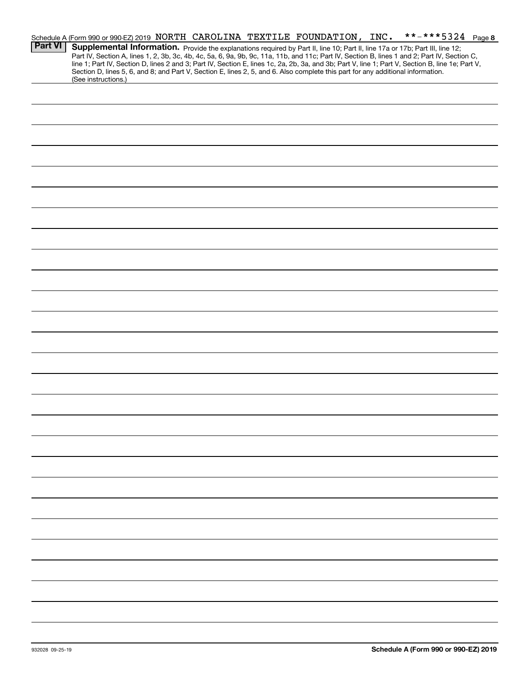|                | **-***5324 Page 8<br>Schedule A (Form 990 or 990-EZ) 2019 NORTH CAROLINA TEXTILE FOUNDATION, INC.                                                                                                                                                                                   |
|----------------|-------------------------------------------------------------------------------------------------------------------------------------------------------------------------------------------------------------------------------------------------------------------------------------|
| <b>Part VI</b> | Supplemental Information. Provide the explanations required by Part II, line 10; Part II, line 17a or 17b; Part III, line 12;                                                                                                                                                       |
|                | Part IV, Section A, lines 1, 2, 3b, 3c, 4b, 4c, 5a, 6, 9a, 9b, 9c, 11a, 11b, and 11c; Part IV, Section B, lines 1 and 2; Part IV, Section C,                                                                                                                                        |
|                | line 1; Part IV, Section D, lines 2 and 3; Part IV, Section E, lines 1c, 2a, 2b, 3a, and 3b; Part V, line 1; Part V, Section B, line 1e; Part V,<br>Section D, lines 5, 6, and 8; and Part V, Section E, lines 2, 5, and 6. Also complete this part for any additional information. |
|                | (See instructions.)                                                                                                                                                                                                                                                                 |
|                |                                                                                                                                                                                                                                                                                     |
|                |                                                                                                                                                                                                                                                                                     |
|                |                                                                                                                                                                                                                                                                                     |
|                |                                                                                                                                                                                                                                                                                     |
|                |                                                                                                                                                                                                                                                                                     |
|                |                                                                                                                                                                                                                                                                                     |
|                |                                                                                                                                                                                                                                                                                     |
|                |                                                                                                                                                                                                                                                                                     |
|                |                                                                                                                                                                                                                                                                                     |
|                |                                                                                                                                                                                                                                                                                     |
|                |                                                                                                                                                                                                                                                                                     |
|                |                                                                                                                                                                                                                                                                                     |
|                |                                                                                                                                                                                                                                                                                     |
|                |                                                                                                                                                                                                                                                                                     |
|                |                                                                                                                                                                                                                                                                                     |
|                |                                                                                                                                                                                                                                                                                     |
|                |                                                                                                                                                                                                                                                                                     |
|                |                                                                                                                                                                                                                                                                                     |
|                |                                                                                                                                                                                                                                                                                     |
|                |                                                                                                                                                                                                                                                                                     |
|                |                                                                                                                                                                                                                                                                                     |
|                |                                                                                                                                                                                                                                                                                     |
|                |                                                                                                                                                                                                                                                                                     |
|                |                                                                                                                                                                                                                                                                                     |
|                |                                                                                                                                                                                                                                                                                     |
|                |                                                                                                                                                                                                                                                                                     |
|                |                                                                                                                                                                                                                                                                                     |
|                |                                                                                                                                                                                                                                                                                     |
|                |                                                                                                                                                                                                                                                                                     |
|                |                                                                                                                                                                                                                                                                                     |
|                |                                                                                                                                                                                                                                                                                     |
|                |                                                                                                                                                                                                                                                                                     |
|                |                                                                                                                                                                                                                                                                                     |
|                |                                                                                                                                                                                                                                                                                     |
|                |                                                                                                                                                                                                                                                                                     |
|                |                                                                                                                                                                                                                                                                                     |
|                |                                                                                                                                                                                                                                                                                     |
|                |                                                                                                                                                                                                                                                                                     |
|                |                                                                                                                                                                                                                                                                                     |
|                |                                                                                                                                                                                                                                                                                     |
|                |                                                                                                                                                                                                                                                                                     |
|                |                                                                                                                                                                                                                                                                                     |
|                |                                                                                                                                                                                                                                                                                     |
|                |                                                                                                                                                                                                                                                                                     |
|                |                                                                                                                                                                                                                                                                                     |
|                |                                                                                                                                                                                                                                                                                     |
|                |                                                                                                                                                                                                                                                                                     |
|                |                                                                                                                                                                                                                                                                                     |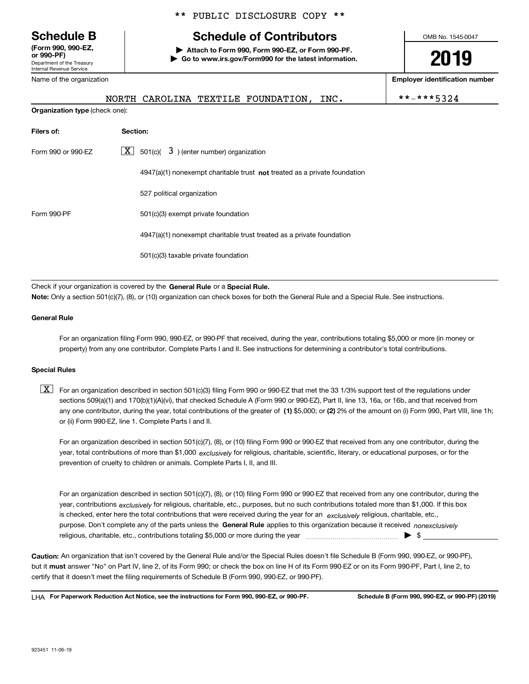Department of the Treasury Internal Revenue Service **(Form 990, 990-EZ, or 990-PF)** Name of the organization

**Organization type** (check one):

### \*\* PUBLIC DISCLOSURE COPY \*\*

# **Schedule B Schedule of Contributors**

**| Attach to Form 990, Form 990-EZ, or Form 990-PF. | Go to www.irs.gov/Form990 for the latest information.** OMB No. 1545-0047

**2019**

**Employer identification number**

| NORTH CAROLINA TEXTILE FOUNDATION, INC. |  |  |
|-----------------------------------------|--|--|
|                                         |  |  |

 $***-***5324$ 

| Filers of:         | Section:                                                                    |  |
|--------------------|-----------------------------------------------------------------------------|--|
| Form 990 or 990-EZ | $\boxed{\mathbf{X}}$ 501(c)( 3) (enter number) organization                 |  |
|                    | $4947(a)(1)$ nonexempt charitable trust not treated as a private foundation |  |
|                    | 527 political organization                                                  |  |
| Form 990-PF        | 501(c)(3) exempt private foundation                                         |  |
|                    | 4947(a)(1) nonexempt charitable trust treated as a private foundation       |  |
|                    | 501(c)(3) taxable private foundation                                        |  |

Check if your organization is covered by the **General Rule** or a **Special Rule.**<br>Nota: Only a section 501(c)(7), (8), or (10) erganization can chock boxes for be **Note:**  Only a section 501(c)(7), (8), or (10) organization can check boxes for both the General Rule and a Special Rule. See instructions.

#### **General Rule**

For an organization filing Form 990, 990-EZ, or 990-PF that received, during the year, contributions totaling \$5,000 or more (in money or property) from any one contributor. Complete Parts I and II. See instructions for determining a contributor's total contributions.

#### **Special Rules**

any one contributor, during the year, total contributions of the greater of  $\,$  (1) \$5,000; or **(2)** 2% of the amount on (i) Form 990, Part VIII, line 1h;  $\boxed{\textbf{X}}$  For an organization described in section 501(c)(3) filing Form 990 or 990-EZ that met the 33 1/3% support test of the regulations under sections 509(a)(1) and 170(b)(1)(A)(vi), that checked Schedule A (Form 990 or 990-EZ), Part II, line 13, 16a, or 16b, and that received from or (ii) Form 990-EZ, line 1. Complete Parts I and II.

year, total contributions of more than \$1,000 *exclusively* for religious, charitable, scientific, literary, or educational purposes, or for the For an organization described in section 501(c)(7), (8), or (10) filing Form 990 or 990-EZ that received from any one contributor, during the prevention of cruelty to children or animals. Complete Parts I, II, and III.

purpose. Don't complete any of the parts unless the **General Rule** applies to this organization because it received *nonexclusively* year, contributions <sub>exclusively</sub> for religious, charitable, etc., purposes, but no such contributions totaled more than \$1,000. If this box is checked, enter here the total contributions that were received during the year for an  $\;$ exclusively religious, charitable, etc., For an organization described in section 501(c)(7), (8), or (10) filing Form 990 or 990-EZ that received from any one contributor, during the religious, charitable, etc., contributions totaling \$5,000 or more during the year  $\Box$ — $\Box$   $\Box$ 

**Caution:**  An organization that isn't covered by the General Rule and/or the Special Rules doesn't file Schedule B (Form 990, 990-EZ, or 990-PF), but it **must** answer "No" on Part IV, line 2, of its Form 990; or check the box on line H of its Form 990-EZ or on its Form 990-PF, Part I, line 2, to<br>cortify that it doesn't meet the filipe requirements of Schodule B (Fer certify that it doesn't meet the filing requirements of Schedule B (Form 990, 990-EZ, or 990-PF).

**For Paperwork Reduction Act Notice, see the instructions for Form 990, 990-EZ, or 990-PF. Schedule B (Form 990, 990-EZ, or 990-PF) (2019)** LHA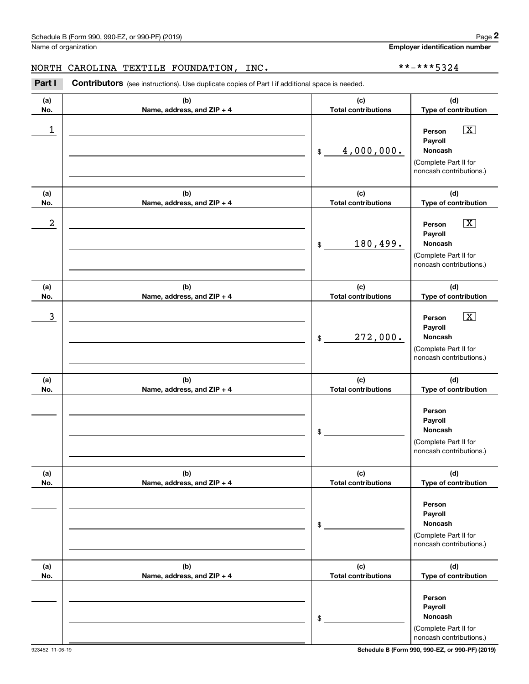Name of organization

**Employer identification number**

### NORTH CAROLINA TEXTILE FOUNDATION, INC.  $\star \star - \star \star \star 5324$

**(a)No.(b)Name, address, and ZIP + 4 (c)Total contributions (d)Type of contribution PersonPayrollNoncash(a)No.(b)Name, address, and ZIP + 4 (c)Total contributions (d)Type of contribution PersonPayrollNoncash(a)No.(b)Name, address, and ZIP + 4 (c)Total contributions (d)Type of contribution Person PayrollNoncash(a) No.(b) Name, address, and ZIP + 4 (c) Total contributions (d) Type of contribution PersonPayrollNoncash(a) No.(b)Name, address, and ZIP + 4 (c) Total contributions (d) Type of contribution Person PayrollNoncash(a) No.(b)Name, address, and ZIP + 4 (c) Total contributions (d)Type of contribution PersonPayrollNoncash**Contributors (see instructions). Use duplicate copies of Part I if additional space is needed. \$(Complete Part II for noncash contributions.) \$(Complete Part II for noncash contributions.) \$(Complete Part II for noncash contributions.) \$(Complete Part II for noncash contributions.) \$(Complete Part II for noncash contributions.) \$(Complete Part II for noncash contributions.) **2** Chedule B (Form 990, 990-EZ, or 990-PF) (2019)<br> **2Part I CAROLINA TEXTILE FOUNDATION, INC.**<br> **Part I Contributors** (see instructions). Use duplicate copies of Part I if additional space is needed.  $\boxed{\mathbf{X}}$  $\boxed{\mathbf{X}}$  $\sqrt{X}$  $\begin{array}{c|c|c|c|c|c} 1 & \hspace{1.5cm} & \hspace{1.5cm} & \hspace{1.5cm} & \hspace{1.5cm} & \hspace{1.5cm} & \hspace{1.5cm} & \hspace{1.5cm} & \hspace{1.5cm} & \hspace{1.5cm} & \hspace{1.5cm} & \hspace{1.5cm} & \hspace{1.5cm} & \hspace{1.5cm} & \hspace{1.5cm} & \hspace{1.5cm} & \hspace{1.5cm} & \hspace{1.5cm} & \hspace{1.5cm} & \hspace{1.5cm} & \hspace{1.5cm} &$ 4,000,000.  $2$  | Person  $\overline{\text{X}}$ 180,499.  $\overline{3}$  | Person  $\overline{X}$ 272,000.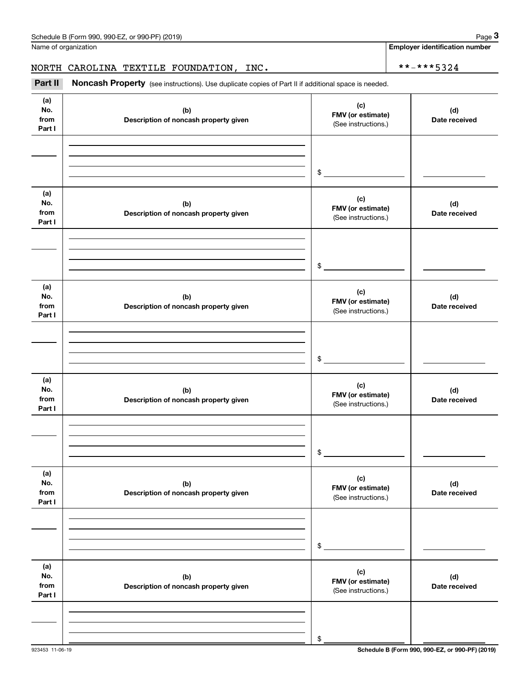### NORTH CAROLINA TEXTILE FOUNDATION, INC.  $\vert$  \*\*-\*\*\*5324

|                              | Schedule B (Form 990, 990-EZ, or 990-PF) (2019)                                                     |                                                 | Page 3                                |
|------------------------------|-----------------------------------------------------------------------------------------------------|-------------------------------------------------|---------------------------------------|
|                              | Name of organization                                                                                |                                                 | <b>Employer identification number</b> |
|                              | NORTH CAROLINA TEXTILE FOUNDATION, INC.                                                             | **-***5324                                      |                                       |
| Part II                      | Noncash Property (see instructions). Use duplicate copies of Part II if additional space is needed. |                                                 |                                       |
| (a)<br>No.<br>from<br>Part I | (b)<br>Description of noncash property given                                                        | (c)<br>FMV (or estimate)<br>(See instructions.) | (d)<br>Date received                  |
|                              |                                                                                                     | \$                                              |                                       |
| (a)<br>No.<br>from<br>Part I | (b)<br>Description of noncash property given                                                        | (c)<br>FMV (or estimate)<br>(See instructions.) | (d)<br>Date received                  |
|                              |                                                                                                     | \$                                              |                                       |
| (a)<br>No.<br>from<br>Part I | (b)<br>Description of noncash property given                                                        | (c)<br>FMV (or estimate)<br>(See instructions.) | (d)<br>Date received                  |
|                              |                                                                                                     | \$                                              |                                       |
| (a)<br>No.<br>from<br>Part I | (b)<br>Description of noncash property given                                                        | (c)<br>FMV (or estimate)<br>(See instructions.) | (d)<br>Date received                  |
|                              |                                                                                                     | \$                                              |                                       |
| (a)<br>No.<br>from<br>Part I | (b)<br>Description of noncash property given                                                        | (c)<br>FMV (or estimate)<br>(See instructions.) | (d)<br>Date received                  |
|                              |                                                                                                     | \$                                              |                                       |
| (a)<br>No.<br>from<br>Part I | (b)<br>Description of noncash property given                                                        | (c)<br>FMV (or estimate)<br>(See instructions.) | (d)<br>Date received                  |
|                              |                                                                                                     | \$                                              |                                       |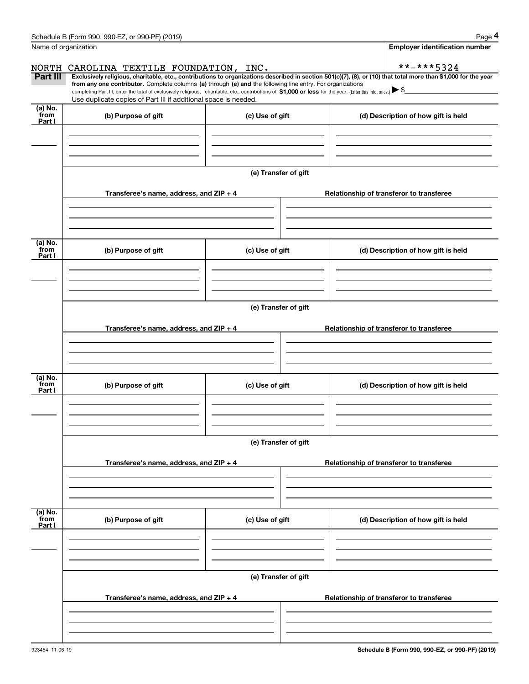|                           | Schedule B (Form 990, 990-EZ, or 990-PF) (2019)                                                                                                                                                                                                       |                      | Page 4                                                                                                                                                         |  |  |  |
|---------------------------|-------------------------------------------------------------------------------------------------------------------------------------------------------------------------------------------------------------------------------------------------------|----------------------|----------------------------------------------------------------------------------------------------------------------------------------------------------------|--|--|--|
| Name of organization      |                                                                                                                                                                                                                                                       |                      | <b>Employer identification number</b>                                                                                                                          |  |  |  |
| NORTH                     | CAROLINA TEXTILE FOUNDATION, INC.                                                                                                                                                                                                                     |                      | **-***5324                                                                                                                                                     |  |  |  |
| Part III                  | from any one contributor. Complete columns (a) through (e) and the following line entry. For organizations                                                                                                                                            |                      | Exclusively religious, charitable, etc., contributions to organizations described in section 501(c)(7), (8), or (10) that total more than \$1,000 for the year |  |  |  |
|                           | completing Part III, enter the total of exclusively religious, charitable, etc., contributions of $$1,000$ or less for the year. (Enter this info. once.) $\blacktriangleright$ \$<br>Use duplicate copies of Part III if additional space is needed. |                      |                                                                                                                                                                |  |  |  |
| (a) No.<br>from<br>Part I | (b) Purpose of gift                                                                                                                                                                                                                                   | (c) Use of gift      | (d) Description of how gift is held                                                                                                                            |  |  |  |
|                           |                                                                                                                                                                                                                                                       |                      |                                                                                                                                                                |  |  |  |
|                           |                                                                                                                                                                                                                                                       |                      |                                                                                                                                                                |  |  |  |
|                           | Transferee's name, address, and ZIP + 4                                                                                                                                                                                                               | (e) Transfer of gift | Relationship of transferor to transferee                                                                                                                       |  |  |  |
|                           |                                                                                                                                                                                                                                                       |                      |                                                                                                                                                                |  |  |  |
|                           |                                                                                                                                                                                                                                                       |                      |                                                                                                                                                                |  |  |  |
| (a) No.<br>from<br>Part I | (b) Purpose of gift                                                                                                                                                                                                                                   | (c) Use of gift      | (d) Description of how gift is held                                                                                                                            |  |  |  |
|                           |                                                                                                                                                                                                                                                       |                      |                                                                                                                                                                |  |  |  |
|                           |                                                                                                                                                                                                                                                       |                      |                                                                                                                                                                |  |  |  |
|                           | (e) Transfer of gift                                                                                                                                                                                                                                  |                      |                                                                                                                                                                |  |  |  |
|                           | Transferee's name, address, and $ZIP + 4$                                                                                                                                                                                                             |                      | Relationship of transferor to transferee                                                                                                                       |  |  |  |
|                           |                                                                                                                                                                                                                                                       |                      |                                                                                                                                                                |  |  |  |
|                           |                                                                                                                                                                                                                                                       |                      |                                                                                                                                                                |  |  |  |
| (a) No.<br>from<br>Part I | (b) Purpose of gift                                                                                                                                                                                                                                   | (c) Use of gift      | (d) Description of how gift is held                                                                                                                            |  |  |  |
|                           |                                                                                                                                                                                                                                                       |                      |                                                                                                                                                                |  |  |  |
|                           |                                                                                                                                                                                                                                                       |                      |                                                                                                                                                                |  |  |  |
|                           | (e) Transfer of gift                                                                                                                                                                                                                                  |                      |                                                                                                                                                                |  |  |  |
|                           | Transferee's name, address, and $ZIP + 4$                                                                                                                                                                                                             |                      | Relationship of transferor to transferee                                                                                                                       |  |  |  |
|                           |                                                                                                                                                                                                                                                       |                      |                                                                                                                                                                |  |  |  |
| (a) No.<br>from           | (b) Purpose of gift                                                                                                                                                                                                                                   | (c) Use of gift      | (d) Description of how gift is held                                                                                                                            |  |  |  |
| Part I                    |                                                                                                                                                                                                                                                       |                      |                                                                                                                                                                |  |  |  |
|                           |                                                                                                                                                                                                                                                       |                      |                                                                                                                                                                |  |  |  |
|                           | (e) Transfer of gift                                                                                                                                                                                                                                  |                      |                                                                                                                                                                |  |  |  |
|                           | Transferee's name, address, and ZIP + 4                                                                                                                                                                                                               |                      | Relationship of transferor to transferee                                                                                                                       |  |  |  |
|                           |                                                                                                                                                                                                                                                       |                      |                                                                                                                                                                |  |  |  |
|                           |                                                                                                                                                                                                                                                       |                      |                                                                                                                                                                |  |  |  |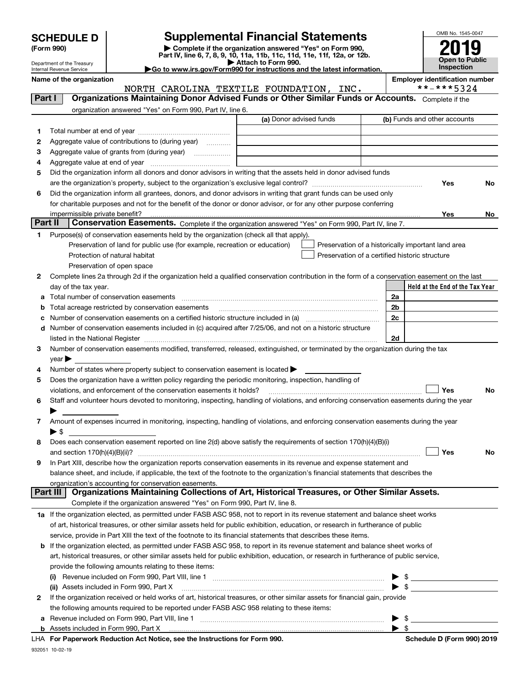| <b>SCHEDULE D</b> |
|-------------------|
|-------------------|

| (Form 990) |  |
|------------|--|
|------------|--|

## **SCHEDULE D Supplemental Financial Statements**

(Form 990)<br>
Pepartment of the Treasury<br>
Department of the Treasury<br>
Department of the Treasury<br>
Department of the Treasury<br> **Co to www.irs.gov/Form990 for instructions and the latest information.**<br> **Co to www.irs.gov/Form9** 



Department of the Treasury Internal Revenue Service

**Name of the oriental conducts**  $\begin{bmatrix} \mathsf{R}^1 \end{bmatrix}$  Employer identification number

|         | NORTH CAROLINA TEXTILE FOUNDATION, INC.                                                                                                                                                                                       | **-***5324                                         |
|---------|-------------------------------------------------------------------------------------------------------------------------------------------------------------------------------------------------------------------------------|----------------------------------------------------|
| Part I  | Organizations Maintaining Donor Advised Funds or Other Similar Funds or Accounts. Complete if the                                                                                                                             |                                                    |
|         | organization answered "Yes" on Form 990, Part IV, line 6.                                                                                                                                                                     |                                                    |
|         | (a) Donor advised funds                                                                                                                                                                                                       | (b) Funds and other accounts                       |
| 1       |                                                                                                                                                                                                                               |                                                    |
| 2       | Aggregate value of contributions to (during year)                                                                                                                                                                             |                                                    |
| з       |                                                                                                                                                                                                                               |                                                    |
| 4       |                                                                                                                                                                                                                               |                                                    |
| 5       | Did the organization inform all donors and donor advisors in writing that the assets held in donor advised funds                                                                                                              |                                                    |
|         |                                                                                                                                                                                                                               | Yes<br>No                                          |
| 6       | Did the organization inform all grantees, donors, and donor advisors in writing that grant funds can be used only                                                                                                             |                                                    |
|         | for charitable purposes and not for the benefit of the donor or donor advisor, or for any other purpose conferring                                                                                                            |                                                    |
|         | impermissible private benefit?                                                                                                                                                                                                | Yes                                                |
| Part II | Conservation Easements. Complete if the organization answered "Yes" on Form 990, Part IV, line 7.                                                                                                                             | No                                                 |
|         |                                                                                                                                                                                                                               |                                                    |
| 1       | Purpose(s) of conservation easements held by the organization (check all that apply).                                                                                                                                         |                                                    |
|         | Preservation of land for public use (for example, recreation or education)                                                                                                                                                    | Preservation of a historically important land area |
|         | Protection of natural habitat                                                                                                                                                                                                 | Preservation of a certified historic structure     |
|         | Preservation of open space                                                                                                                                                                                                    |                                                    |
| 2       | Complete lines 2a through 2d if the organization held a qualified conservation contribution in the form of a conservation easement on the last                                                                                |                                                    |
|         | day of the tax year.                                                                                                                                                                                                          | Held at the End of the Tax Year                    |
| а       |                                                                                                                                                                                                                               | 2a                                                 |
| b       | Total acreage restricted by conservation easements                                                                                                                                                                            | 2b                                                 |
| с       |                                                                                                                                                                                                                               | 2c                                                 |
|         | d Number of conservation easements included in (c) acquired after 7/25/06, and not on a historic structure                                                                                                                    |                                                    |
|         | listed in the National Register [11, 1200] [12] The National Register [11, 1200] [12] The National Register [11, 1200] [12] The National Register [11, 1200] [12] The National Register [11, 1200] [12] The National Register | 2d                                                 |
| З.      | Number of conservation easements modified, transferred, released, extinguished, or terminated by the organization during the tax                                                                                              |                                                    |
|         | $year \blacktriangleright$                                                                                                                                                                                                    |                                                    |
| 4       | Number of states where property subject to conservation easement is located >                                                                                                                                                 |                                                    |
| 5       | Does the organization have a written policy regarding the periodic monitoring, inspection, handling of                                                                                                                        |                                                    |
|         | violations, and enforcement of the conservation easements it holds?                                                                                                                                                           | Yes<br>No                                          |
| 6       | Staff and volunteer hours devoted to monitoring, inspecting, handling of violations, and enforcing conservation easements during the year                                                                                     |                                                    |
|         |                                                                                                                                                                                                                               |                                                    |
| 7       | Amount of expenses incurred in monitoring, inspecting, handling of violations, and enforcing conservation easements during the year                                                                                           |                                                    |
|         | $\blacktriangleright$ \$                                                                                                                                                                                                      |                                                    |
| 8       | Does each conservation easement reported on line 2(d) above satisfy the requirements of section 170(h)(4)(B)(i)                                                                                                               |                                                    |
|         |                                                                                                                                                                                                                               | Yes<br>No                                          |
| 9       | In Part XIII, describe how the organization reports conservation easements in its revenue and expense statement and                                                                                                           |                                                    |
|         | balance sheet, and include, if applicable, the text of the footnote to the organization's financial statements that describes the                                                                                             |                                                    |
|         | organization's accounting for conservation easements.<br>Organizations Maintaining Collections of Art, Historical Treasures, or Other Similar Assets.<br>Part III                                                             |                                                    |
|         | Complete if the organization answered "Yes" on Form 990, Part IV, line 8.                                                                                                                                                     |                                                    |
|         |                                                                                                                                                                                                                               |                                                    |
|         | 1a If the organization elected, as permitted under FASB ASC 958, not to report in its revenue statement and balance sheet works                                                                                               |                                                    |
|         | of art, historical treasures, or other similar assets held for public exhibition, education, or research in furtherance of public                                                                                             |                                                    |
|         | service, provide in Part XIII the text of the footnote to its financial statements that describes these items.                                                                                                                |                                                    |
|         | b If the organization elected, as permitted under FASB ASC 958, to report in its revenue statement and balance sheet works of                                                                                                 |                                                    |
|         | art, historical treasures, or other similar assets held for public exhibition, education, or research in furtherance of public service,                                                                                       |                                                    |
|         | provide the following amounts relating to these items:                                                                                                                                                                        |                                                    |
|         |                                                                                                                                                                                                                               | \$                                                 |
|         | (ii) Assets included in Form 990, Part X                                                                                                                                                                                      | $\bullet$ \$                                       |
| 2       | If the organization received or held works of art, historical treasures, or other similar assets for financial gain, provide                                                                                                  |                                                    |
|         | the following amounts required to be reported under FASB ASC 958 relating to these items:                                                                                                                                     |                                                    |
| а       | Revenue included on Form 990, Part VIII, line 1<br>Appate included in Form 000, Dort V.                                                                                                                                       | \$                                                 |
|         |                                                                                                                                                                                                                               |                                                    |

**b** Assets included in Form 990, Part X

|  |  |  |  | LHA For Paperwork Reduction Act Notice, see the Instructions for Form 990. |  |
|--|--|--|--|----------------------------------------------------------------------------|--|
|--|--|--|--|----------------------------------------------------------------------------|--|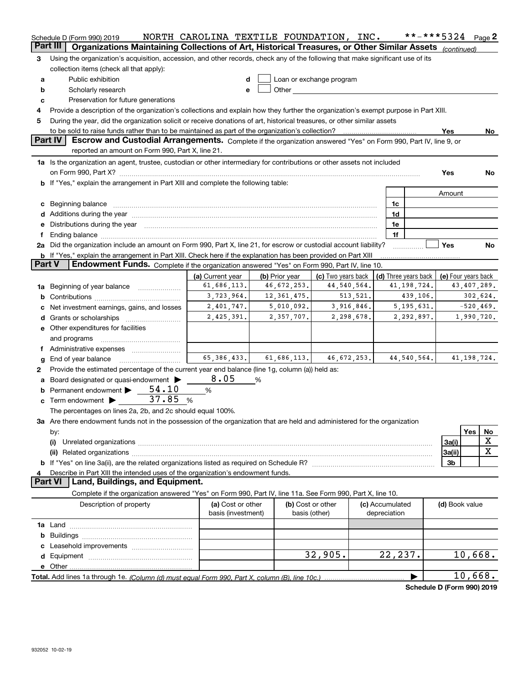| Organizations Maintaining Collections of Art, Historical Treasures, or Other Similar Assets (continued)<br>Part III<br>Using the organization's acquisition, accession, and other records, check any of the following that make significant use of its<br>3<br>collection items (check all that apply):<br>Public exhibition<br>Loan or exchange program<br>d<br>а<br>Other and the control of the control of the control of the control of the control of the control of the control of the control of the control of the control of the control of the control of the control of the control of th<br>Scholarly research<br>b<br>е<br>Preservation for future generations<br>c<br>Provide a description of the organization's collections and explain how they further the organization's exempt purpose in Part XIII.<br>4<br>During the year, did the organization solicit or receive donations of art, historical treasures, or other similar assets<br>5<br>Yes<br>No.<br>Part IV<br>Escrow and Custodial Arrangements. Complete if the organization answered "Yes" on Form 990, Part IV, line 9, or<br>reported an amount on Form 990, Part X, line 21.<br>1a Is the organization an agent, trustee, custodian or other intermediary for contributions or other assets not included<br>Yes<br>No<br>b If "Yes," explain the arrangement in Part XIII and complete the following table:<br>Amount<br>1c<br>c Beginning balance measurements and the contract of the contract of the contract of the contract of the contract of the contract of the contract of the contract of the contract of the contract of the contract of the contr<br>1d<br>Distributions during the year manufactured and continuum and contained and the year manufactured and contained<br>1e<br>1f<br>2a Did the organization include an amount on Form 990, Part X, line 21, for escrow or custodial account liability?<br>Yes<br>No.<br><b>b</b> If "Yes," explain the arrangement in Part XIII. Check here if the explanation has been provided on Part XIII<br><b>Part V</b><br><b>Endowment Funds.</b> Complete if the organization answered "Yes" on Form 990, Part IV, line 10.<br>(c) Two years back<br>(a) Current year<br>(b) Prior year<br>(d) Three years back<br>(e) Four years back<br>61,686,113.<br>44, 540, 564.<br>41, 198, 724.<br>43,407,289.<br>46,672,253.<br>Beginning of year balance <i>manumman</i><br>1a<br>3,723,964.<br>12, 361, 475.<br>513, 521.<br>439,106.<br>302,624.<br>b<br>2,401,747.<br>5,010,092.<br>3,916,846.<br>5, 195, 631.<br>$-520, 469.$<br>Net investment earnings, gains, and losses<br>2,425,391.<br>2,357,707.<br>2,298,678.<br>2,292,897.<br>1,990,720.<br>e Other expenditures for facilities<br>and programs<br>65, 386, 433.<br>61,686,113.<br>46, 672, 253.<br>44, 540, 564.<br>41, 198, 724.<br>End of year balance<br>g<br>Provide the estimated percentage of the current year end balance (line 1g, column (a)) held as:<br>2<br>8.05<br>Board designated or quasi-endowment ><br>℅<br>а<br>54.10<br>Permanent endowment<br>$\%$<br>c Term endowment $\triangleright$ 37.85<br>%<br>The percentages on lines 2a, 2b, and 2c should equal 100%.<br>3a Are there endowment funds not in the possession of the organization that are held and administered for the organization<br>Yes<br>No<br>by:<br>X<br>3a(i)<br>(i)<br>$\mathbf X$<br>3a(ii)<br>(ii)<br>3 <sub>b</sub><br>Describe in Part XIII the intended uses of the organization's endowment funds.<br><b>Part VI</b><br>Land, Buildings, and Equipment.<br>Complete if the organization answered "Yes" on Form 990, Part IV, line 11a. See Form 990, Part X, line 10.<br>Description of property<br>(a) Cost or other<br>(b) Cost or other<br>(c) Accumulated<br>(d) Book value<br>basis (investment)<br>depreciation<br>basis (other)<br>32,905.<br>22,237.<br>10,668.<br>10,668.<br>Total. Add lines 1a through 1e. (Column (d) must equal Form 990. Part X. column (B). line 10c.)<br>Schedule D (Form 990) 2019 | Schedule D (Form 990) 2019 | NORTH CAROLINA TEXTILE FOUNDATION, INC. |  |  | **-***5324 $Page 2$ |  |
|-------------------------------------------------------------------------------------------------------------------------------------------------------------------------------------------------------------------------------------------------------------------------------------------------------------------------------------------------------------------------------------------------------------------------------------------------------------------------------------------------------------------------------------------------------------------------------------------------------------------------------------------------------------------------------------------------------------------------------------------------------------------------------------------------------------------------------------------------------------------------------------------------------------------------------------------------------------------------------------------------------------------------------------------------------------------------------------------------------------------------------------------------------------------------------------------------------------------------------------------------------------------------------------------------------------------------------------------------------------------------------------------------------------------------------------------------------------------------------------------------------------------------------------------------------------------------------------------------------------------------------------------------------------------------------------------------------------------------------------------------------------------------------------------------------------------------------------------------------------------------------------------------------------------------------------------------------------------------------------------------------------------------------------------------------------------------------------------------------------------------------------------------------------------------------------------------------------------------------------------------------------------------------------------------------------------------------------------------------------------------------------------------------------------------------------------------------------------------------------------------------------------------------------------------------------------------------------------------------------------------------------------------------------------------------------------------------------------------------------------------------------------------------------------------------------------------------------------------------------------------------------------------------------------------------------------------------------------------------------------------------------------------------------------------------------------------------------------------------------------------------------------------------------------------------------------------------------------------------------------------------------------------------------------------------------------------------------------------------------------------------------------------------------------------------------------------------------------------------------------------------------------------------------------------------------------------------------------------------------------------------------------------------------------------------------------------------------------------------------------------------------------------------------------------------------------------------------------------------------------------------------------------------------------------------------------------------------------------------------------------------------------------|----------------------------|-----------------------------------------|--|--|---------------------|--|
|                                                                                                                                                                                                                                                                                                                                                                                                                                                                                                                                                                                                                                                                                                                                                                                                                                                                                                                                                                                                                                                                                                                                                                                                                                                                                                                                                                                                                                                                                                                                                                                                                                                                                                                                                                                                                                                                                                                                                                                                                                                                                                                                                                                                                                                                                                                                                                                                                                                                                                                                                                                                                                                                                                                                                                                                                                                                                                                                                                                                                                                                                                                                                                                                                                                                                                                                                                                                                                                                                                                                                                                                                                                                                                                                                                                                                                                                                                                                                                                                                         |                            |                                         |  |  |                     |  |
|                                                                                                                                                                                                                                                                                                                                                                                                                                                                                                                                                                                                                                                                                                                                                                                                                                                                                                                                                                                                                                                                                                                                                                                                                                                                                                                                                                                                                                                                                                                                                                                                                                                                                                                                                                                                                                                                                                                                                                                                                                                                                                                                                                                                                                                                                                                                                                                                                                                                                                                                                                                                                                                                                                                                                                                                                                                                                                                                                                                                                                                                                                                                                                                                                                                                                                                                                                                                                                                                                                                                                                                                                                                                                                                                                                                                                                                                                                                                                                                                                         |                            |                                         |  |  |                     |  |
|                                                                                                                                                                                                                                                                                                                                                                                                                                                                                                                                                                                                                                                                                                                                                                                                                                                                                                                                                                                                                                                                                                                                                                                                                                                                                                                                                                                                                                                                                                                                                                                                                                                                                                                                                                                                                                                                                                                                                                                                                                                                                                                                                                                                                                                                                                                                                                                                                                                                                                                                                                                                                                                                                                                                                                                                                                                                                                                                                                                                                                                                                                                                                                                                                                                                                                                                                                                                                                                                                                                                                                                                                                                                                                                                                                                                                                                                                                                                                                                                                         |                            |                                         |  |  |                     |  |
|                                                                                                                                                                                                                                                                                                                                                                                                                                                                                                                                                                                                                                                                                                                                                                                                                                                                                                                                                                                                                                                                                                                                                                                                                                                                                                                                                                                                                                                                                                                                                                                                                                                                                                                                                                                                                                                                                                                                                                                                                                                                                                                                                                                                                                                                                                                                                                                                                                                                                                                                                                                                                                                                                                                                                                                                                                                                                                                                                                                                                                                                                                                                                                                                                                                                                                                                                                                                                                                                                                                                                                                                                                                                                                                                                                                                                                                                                                                                                                                                                         |                            |                                         |  |  |                     |  |
|                                                                                                                                                                                                                                                                                                                                                                                                                                                                                                                                                                                                                                                                                                                                                                                                                                                                                                                                                                                                                                                                                                                                                                                                                                                                                                                                                                                                                                                                                                                                                                                                                                                                                                                                                                                                                                                                                                                                                                                                                                                                                                                                                                                                                                                                                                                                                                                                                                                                                                                                                                                                                                                                                                                                                                                                                                                                                                                                                                                                                                                                                                                                                                                                                                                                                                                                                                                                                                                                                                                                                                                                                                                                                                                                                                                                                                                                                                                                                                                                                         |                            |                                         |  |  |                     |  |
|                                                                                                                                                                                                                                                                                                                                                                                                                                                                                                                                                                                                                                                                                                                                                                                                                                                                                                                                                                                                                                                                                                                                                                                                                                                                                                                                                                                                                                                                                                                                                                                                                                                                                                                                                                                                                                                                                                                                                                                                                                                                                                                                                                                                                                                                                                                                                                                                                                                                                                                                                                                                                                                                                                                                                                                                                                                                                                                                                                                                                                                                                                                                                                                                                                                                                                                                                                                                                                                                                                                                                                                                                                                                                                                                                                                                                                                                                                                                                                                                                         |                            |                                         |  |  |                     |  |
|                                                                                                                                                                                                                                                                                                                                                                                                                                                                                                                                                                                                                                                                                                                                                                                                                                                                                                                                                                                                                                                                                                                                                                                                                                                                                                                                                                                                                                                                                                                                                                                                                                                                                                                                                                                                                                                                                                                                                                                                                                                                                                                                                                                                                                                                                                                                                                                                                                                                                                                                                                                                                                                                                                                                                                                                                                                                                                                                                                                                                                                                                                                                                                                                                                                                                                                                                                                                                                                                                                                                                                                                                                                                                                                                                                                                                                                                                                                                                                                                                         |                            |                                         |  |  |                     |  |
|                                                                                                                                                                                                                                                                                                                                                                                                                                                                                                                                                                                                                                                                                                                                                                                                                                                                                                                                                                                                                                                                                                                                                                                                                                                                                                                                                                                                                                                                                                                                                                                                                                                                                                                                                                                                                                                                                                                                                                                                                                                                                                                                                                                                                                                                                                                                                                                                                                                                                                                                                                                                                                                                                                                                                                                                                                                                                                                                                                                                                                                                                                                                                                                                                                                                                                                                                                                                                                                                                                                                                                                                                                                                                                                                                                                                                                                                                                                                                                                                                         |                            |                                         |  |  |                     |  |
|                                                                                                                                                                                                                                                                                                                                                                                                                                                                                                                                                                                                                                                                                                                                                                                                                                                                                                                                                                                                                                                                                                                                                                                                                                                                                                                                                                                                                                                                                                                                                                                                                                                                                                                                                                                                                                                                                                                                                                                                                                                                                                                                                                                                                                                                                                                                                                                                                                                                                                                                                                                                                                                                                                                                                                                                                                                                                                                                                                                                                                                                                                                                                                                                                                                                                                                                                                                                                                                                                                                                                                                                                                                                                                                                                                                                                                                                                                                                                                                                                         |                            |                                         |  |  |                     |  |
|                                                                                                                                                                                                                                                                                                                                                                                                                                                                                                                                                                                                                                                                                                                                                                                                                                                                                                                                                                                                                                                                                                                                                                                                                                                                                                                                                                                                                                                                                                                                                                                                                                                                                                                                                                                                                                                                                                                                                                                                                                                                                                                                                                                                                                                                                                                                                                                                                                                                                                                                                                                                                                                                                                                                                                                                                                                                                                                                                                                                                                                                                                                                                                                                                                                                                                                                                                                                                                                                                                                                                                                                                                                                                                                                                                                                                                                                                                                                                                                                                         |                            |                                         |  |  |                     |  |
|                                                                                                                                                                                                                                                                                                                                                                                                                                                                                                                                                                                                                                                                                                                                                                                                                                                                                                                                                                                                                                                                                                                                                                                                                                                                                                                                                                                                                                                                                                                                                                                                                                                                                                                                                                                                                                                                                                                                                                                                                                                                                                                                                                                                                                                                                                                                                                                                                                                                                                                                                                                                                                                                                                                                                                                                                                                                                                                                                                                                                                                                                                                                                                                                                                                                                                                                                                                                                                                                                                                                                                                                                                                                                                                                                                                                                                                                                                                                                                                                                         |                            |                                         |  |  |                     |  |
|                                                                                                                                                                                                                                                                                                                                                                                                                                                                                                                                                                                                                                                                                                                                                                                                                                                                                                                                                                                                                                                                                                                                                                                                                                                                                                                                                                                                                                                                                                                                                                                                                                                                                                                                                                                                                                                                                                                                                                                                                                                                                                                                                                                                                                                                                                                                                                                                                                                                                                                                                                                                                                                                                                                                                                                                                                                                                                                                                                                                                                                                                                                                                                                                                                                                                                                                                                                                                                                                                                                                                                                                                                                                                                                                                                                                                                                                                                                                                                                                                         |                            |                                         |  |  |                     |  |
|                                                                                                                                                                                                                                                                                                                                                                                                                                                                                                                                                                                                                                                                                                                                                                                                                                                                                                                                                                                                                                                                                                                                                                                                                                                                                                                                                                                                                                                                                                                                                                                                                                                                                                                                                                                                                                                                                                                                                                                                                                                                                                                                                                                                                                                                                                                                                                                                                                                                                                                                                                                                                                                                                                                                                                                                                                                                                                                                                                                                                                                                                                                                                                                                                                                                                                                                                                                                                                                                                                                                                                                                                                                                                                                                                                                                                                                                                                                                                                                                                         |                            |                                         |  |  |                     |  |
|                                                                                                                                                                                                                                                                                                                                                                                                                                                                                                                                                                                                                                                                                                                                                                                                                                                                                                                                                                                                                                                                                                                                                                                                                                                                                                                                                                                                                                                                                                                                                                                                                                                                                                                                                                                                                                                                                                                                                                                                                                                                                                                                                                                                                                                                                                                                                                                                                                                                                                                                                                                                                                                                                                                                                                                                                                                                                                                                                                                                                                                                                                                                                                                                                                                                                                                                                                                                                                                                                                                                                                                                                                                                                                                                                                                                                                                                                                                                                                                                                         |                            |                                         |  |  |                     |  |
|                                                                                                                                                                                                                                                                                                                                                                                                                                                                                                                                                                                                                                                                                                                                                                                                                                                                                                                                                                                                                                                                                                                                                                                                                                                                                                                                                                                                                                                                                                                                                                                                                                                                                                                                                                                                                                                                                                                                                                                                                                                                                                                                                                                                                                                                                                                                                                                                                                                                                                                                                                                                                                                                                                                                                                                                                                                                                                                                                                                                                                                                                                                                                                                                                                                                                                                                                                                                                                                                                                                                                                                                                                                                                                                                                                                                                                                                                                                                                                                                                         |                            |                                         |  |  |                     |  |
|                                                                                                                                                                                                                                                                                                                                                                                                                                                                                                                                                                                                                                                                                                                                                                                                                                                                                                                                                                                                                                                                                                                                                                                                                                                                                                                                                                                                                                                                                                                                                                                                                                                                                                                                                                                                                                                                                                                                                                                                                                                                                                                                                                                                                                                                                                                                                                                                                                                                                                                                                                                                                                                                                                                                                                                                                                                                                                                                                                                                                                                                                                                                                                                                                                                                                                                                                                                                                                                                                                                                                                                                                                                                                                                                                                                                                                                                                                                                                                                                                         |                            |                                         |  |  |                     |  |
|                                                                                                                                                                                                                                                                                                                                                                                                                                                                                                                                                                                                                                                                                                                                                                                                                                                                                                                                                                                                                                                                                                                                                                                                                                                                                                                                                                                                                                                                                                                                                                                                                                                                                                                                                                                                                                                                                                                                                                                                                                                                                                                                                                                                                                                                                                                                                                                                                                                                                                                                                                                                                                                                                                                                                                                                                                                                                                                                                                                                                                                                                                                                                                                                                                                                                                                                                                                                                                                                                                                                                                                                                                                                                                                                                                                                                                                                                                                                                                                                                         |                            |                                         |  |  |                     |  |
|                                                                                                                                                                                                                                                                                                                                                                                                                                                                                                                                                                                                                                                                                                                                                                                                                                                                                                                                                                                                                                                                                                                                                                                                                                                                                                                                                                                                                                                                                                                                                                                                                                                                                                                                                                                                                                                                                                                                                                                                                                                                                                                                                                                                                                                                                                                                                                                                                                                                                                                                                                                                                                                                                                                                                                                                                                                                                                                                                                                                                                                                                                                                                                                                                                                                                                                                                                                                                                                                                                                                                                                                                                                                                                                                                                                                                                                                                                                                                                                                                         |                            |                                         |  |  |                     |  |
|                                                                                                                                                                                                                                                                                                                                                                                                                                                                                                                                                                                                                                                                                                                                                                                                                                                                                                                                                                                                                                                                                                                                                                                                                                                                                                                                                                                                                                                                                                                                                                                                                                                                                                                                                                                                                                                                                                                                                                                                                                                                                                                                                                                                                                                                                                                                                                                                                                                                                                                                                                                                                                                                                                                                                                                                                                                                                                                                                                                                                                                                                                                                                                                                                                                                                                                                                                                                                                                                                                                                                                                                                                                                                                                                                                                                                                                                                                                                                                                                                         |                            |                                         |  |  |                     |  |
|                                                                                                                                                                                                                                                                                                                                                                                                                                                                                                                                                                                                                                                                                                                                                                                                                                                                                                                                                                                                                                                                                                                                                                                                                                                                                                                                                                                                                                                                                                                                                                                                                                                                                                                                                                                                                                                                                                                                                                                                                                                                                                                                                                                                                                                                                                                                                                                                                                                                                                                                                                                                                                                                                                                                                                                                                                                                                                                                                                                                                                                                                                                                                                                                                                                                                                                                                                                                                                                                                                                                                                                                                                                                                                                                                                                                                                                                                                                                                                                                                         |                            |                                         |  |  |                     |  |
|                                                                                                                                                                                                                                                                                                                                                                                                                                                                                                                                                                                                                                                                                                                                                                                                                                                                                                                                                                                                                                                                                                                                                                                                                                                                                                                                                                                                                                                                                                                                                                                                                                                                                                                                                                                                                                                                                                                                                                                                                                                                                                                                                                                                                                                                                                                                                                                                                                                                                                                                                                                                                                                                                                                                                                                                                                                                                                                                                                                                                                                                                                                                                                                                                                                                                                                                                                                                                                                                                                                                                                                                                                                                                                                                                                                                                                                                                                                                                                                                                         |                            |                                         |  |  |                     |  |
|                                                                                                                                                                                                                                                                                                                                                                                                                                                                                                                                                                                                                                                                                                                                                                                                                                                                                                                                                                                                                                                                                                                                                                                                                                                                                                                                                                                                                                                                                                                                                                                                                                                                                                                                                                                                                                                                                                                                                                                                                                                                                                                                                                                                                                                                                                                                                                                                                                                                                                                                                                                                                                                                                                                                                                                                                                                                                                                                                                                                                                                                                                                                                                                                                                                                                                                                                                                                                                                                                                                                                                                                                                                                                                                                                                                                                                                                                                                                                                                                                         |                            |                                         |  |  |                     |  |
|                                                                                                                                                                                                                                                                                                                                                                                                                                                                                                                                                                                                                                                                                                                                                                                                                                                                                                                                                                                                                                                                                                                                                                                                                                                                                                                                                                                                                                                                                                                                                                                                                                                                                                                                                                                                                                                                                                                                                                                                                                                                                                                                                                                                                                                                                                                                                                                                                                                                                                                                                                                                                                                                                                                                                                                                                                                                                                                                                                                                                                                                                                                                                                                                                                                                                                                                                                                                                                                                                                                                                                                                                                                                                                                                                                                                                                                                                                                                                                                                                         |                            |                                         |  |  |                     |  |
|                                                                                                                                                                                                                                                                                                                                                                                                                                                                                                                                                                                                                                                                                                                                                                                                                                                                                                                                                                                                                                                                                                                                                                                                                                                                                                                                                                                                                                                                                                                                                                                                                                                                                                                                                                                                                                                                                                                                                                                                                                                                                                                                                                                                                                                                                                                                                                                                                                                                                                                                                                                                                                                                                                                                                                                                                                                                                                                                                                                                                                                                                                                                                                                                                                                                                                                                                                                                                                                                                                                                                                                                                                                                                                                                                                                                                                                                                                                                                                                                                         |                            |                                         |  |  |                     |  |
|                                                                                                                                                                                                                                                                                                                                                                                                                                                                                                                                                                                                                                                                                                                                                                                                                                                                                                                                                                                                                                                                                                                                                                                                                                                                                                                                                                                                                                                                                                                                                                                                                                                                                                                                                                                                                                                                                                                                                                                                                                                                                                                                                                                                                                                                                                                                                                                                                                                                                                                                                                                                                                                                                                                                                                                                                                                                                                                                                                                                                                                                                                                                                                                                                                                                                                                                                                                                                                                                                                                                                                                                                                                                                                                                                                                                                                                                                                                                                                                                                         |                            |                                         |  |  |                     |  |
|                                                                                                                                                                                                                                                                                                                                                                                                                                                                                                                                                                                                                                                                                                                                                                                                                                                                                                                                                                                                                                                                                                                                                                                                                                                                                                                                                                                                                                                                                                                                                                                                                                                                                                                                                                                                                                                                                                                                                                                                                                                                                                                                                                                                                                                                                                                                                                                                                                                                                                                                                                                                                                                                                                                                                                                                                                                                                                                                                                                                                                                                                                                                                                                                                                                                                                                                                                                                                                                                                                                                                                                                                                                                                                                                                                                                                                                                                                                                                                                                                         |                            |                                         |  |  |                     |  |
|                                                                                                                                                                                                                                                                                                                                                                                                                                                                                                                                                                                                                                                                                                                                                                                                                                                                                                                                                                                                                                                                                                                                                                                                                                                                                                                                                                                                                                                                                                                                                                                                                                                                                                                                                                                                                                                                                                                                                                                                                                                                                                                                                                                                                                                                                                                                                                                                                                                                                                                                                                                                                                                                                                                                                                                                                                                                                                                                                                                                                                                                                                                                                                                                                                                                                                                                                                                                                                                                                                                                                                                                                                                                                                                                                                                                                                                                                                                                                                                                                         |                            |                                         |  |  |                     |  |
|                                                                                                                                                                                                                                                                                                                                                                                                                                                                                                                                                                                                                                                                                                                                                                                                                                                                                                                                                                                                                                                                                                                                                                                                                                                                                                                                                                                                                                                                                                                                                                                                                                                                                                                                                                                                                                                                                                                                                                                                                                                                                                                                                                                                                                                                                                                                                                                                                                                                                                                                                                                                                                                                                                                                                                                                                                                                                                                                                                                                                                                                                                                                                                                                                                                                                                                                                                                                                                                                                                                                                                                                                                                                                                                                                                                                                                                                                                                                                                                                                         |                            |                                         |  |  |                     |  |
|                                                                                                                                                                                                                                                                                                                                                                                                                                                                                                                                                                                                                                                                                                                                                                                                                                                                                                                                                                                                                                                                                                                                                                                                                                                                                                                                                                                                                                                                                                                                                                                                                                                                                                                                                                                                                                                                                                                                                                                                                                                                                                                                                                                                                                                                                                                                                                                                                                                                                                                                                                                                                                                                                                                                                                                                                                                                                                                                                                                                                                                                                                                                                                                                                                                                                                                                                                                                                                                                                                                                                                                                                                                                                                                                                                                                                                                                                                                                                                                                                         |                            |                                         |  |  |                     |  |
|                                                                                                                                                                                                                                                                                                                                                                                                                                                                                                                                                                                                                                                                                                                                                                                                                                                                                                                                                                                                                                                                                                                                                                                                                                                                                                                                                                                                                                                                                                                                                                                                                                                                                                                                                                                                                                                                                                                                                                                                                                                                                                                                                                                                                                                                                                                                                                                                                                                                                                                                                                                                                                                                                                                                                                                                                                                                                                                                                                                                                                                                                                                                                                                                                                                                                                                                                                                                                                                                                                                                                                                                                                                                                                                                                                                                                                                                                                                                                                                                                         |                            |                                         |  |  |                     |  |
|                                                                                                                                                                                                                                                                                                                                                                                                                                                                                                                                                                                                                                                                                                                                                                                                                                                                                                                                                                                                                                                                                                                                                                                                                                                                                                                                                                                                                                                                                                                                                                                                                                                                                                                                                                                                                                                                                                                                                                                                                                                                                                                                                                                                                                                                                                                                                                                                                                                                                                                                                                                                                                                                                                                                                                                                                                                                                                                                                                                                                                                                                                                                                                                                                                                                                                                                                                                                                                                                                                                                                                                                                                                                                                                                                                                                                                                                                                                                                                                                                         |                            |                                         |  |  |                     |  |
|                                                                                                                                                                                                                                                                                                                                                                                                                                                                                                                                                                                                                                                                                                                                                                                                                                                                                                                                                                                                                                                                                                                                                                                                                                                                                                                                                                                                                                                                                                                                                                                                                                                                                                                                                                                                                                                                                                                                                                                                                                                                                                                                                                                                                                                                                                                                                                                                                                                                                                                                                                                                                                                                                                                                                                                                                                                                                                                                                                                                                                                                                                                                                                                                                                                                                                                                                                                                                                                                                                                                                                                                                                                                                                                                                                                                                                                                                                                                                                                                                         |                            |                                         |  |  |                     |  |
|                                                                                                                                                                                                                                                                                                                                                                                                                                                                                                                                                                                                                                                                                                                                                                                                                                                                                                                                                                                                                                                                                                                                                                                                                                                                                                                                                                                                                                                                                                                                                                                                                                                                                                                                                                                                                                                                                                                                                                                                                                                                                                                                                                                                                                                                                                                                                                                                                                                                                                                                                                                                                                                                                                                                                                                                                                                                                                                                                                                                                                                                                                                                                                                                                                                                                                                                                                                                                                                                                                                                                                                                                                                                                                                                                                                                                                                                                                                                                                                                                         |                            |                                         |  |  |                     |  |
|                                                                                                                                                                                                                                                                                                                                                                                                                                                                                                                                                                                                                                                                                                                                                                                                                                                                                                                                                                                                                                                                                                                                                                                                                                                                                                                                                                                                                                                                                                                                                                                                                                                                                                                                                                                                                                                                                                                                                                                                                                                                                                                                                                                                                                                                                                                                                                                                                                                                                                                                                                                                                                                                                                                                                                                                                                                                                                                                                                                                                                                                                                                                                                                                                                                                                                                                                                                                                                                                                                                                                                                                                                                                                                                                                                                                                                                                                                                                                                                                                         |                            |                                         |  |  |                     |  |
|                                                                                                                                                                                                                                                                                                                                                                                                                                                                                                                                                                                                                                                                                                                                                                                                                                                                                                                                                                                                                                                                                                                                                                                                                                                                                                                                                                                                                                                                                                                                                                                                                                                                                                                                                                                                                                                                                                                                                                                                                                                                                                                                                                                                                                                                                                                                                                                                                                                                                                                                                                                                                                                                                                                                                                                                                                                                                                                                                                                                                                                                                                                                                                                                                                                                                                                                                                                                                                                                                                                                                                                                                                                                                                                                                                                                                                                                                                                                                                                                                         |                            |                                         |  |  |                     |  |
|                                                                                                                                                                                                                                                                                                                                                                                                                                                                                                                                                                                                                                                                                                                                                                                                                                                                                                                                                                                                                                                                                                                                                                                                                                                                                                                                                                                                                                                                                                                                                                                                                                                                                                                                                                                                                                                                                                                                                                                                                                                                                                                                                                                                                                                                                                                                                                                                                                                                                                                                                                                                                                                                                                                                                                                                                                                                                                                                                                                                                                                                                                                                                                                                                                                                                                                                                                                                                                                                                                                                                                                                                                                                                                                                                                                                                                                                                                                                                                                                                         |                            |                                         |  |  |                     |  |
|                                                                                                                                                                                                                                                                                                                                                                                                                                                                                                                                                                                                                                                                                                                                                                                                                                                                                                                                                                                                                                                                                                                                                                                                                                                                                                                                                                                                                                                                                                                                                                                                                                                                                                                                                                                                                                                                                                                                                                                                                                                                                                                                                                                                                                                                                                                                                                                                                                                                                                                                                                                                                                                                                                                                                                                                                                                                                                                                                                                                                                                                                                                                                                                                                                                                                                                                                                                                                                                                                                                                                                                                                                                                                                                                                                                                                                                                                                                                                                                                                         |                            |                                         |  |  |                     |  |
|                                                                                                                                                                                                                                                                                                                                                                                                                                                                                                                                                                                                                                                                                                                                                                                                                                                                                                                                                                                                                                                                                                                                                                                                                                                                                                                                                                                                                                                                                                                                                                                                                                                                                                                                                                                                                                                                                                                                                                                                                                                                                                                                                                                                                                                                                                                                                                                                                                                                                                                                                                                                                                                                                                                                                                                                                                                                                                                                                                                                                                                                                                                                                                                                                                                                                                                                                                                                                                                                                                                                                                                                                                                                                                                                                                                                                                                                                                                                                                                                                         |                            |                                         |  |  |                     |  |
|                                                                                                                                                                                                                                                                                                                                                                                                                                                                                                                                                                                                                                                                                                                                                                                                                                                                                                                                                                                                                                                                                                                                                                                                                                                                                                                                                                                                                                                                                                                                                                                                                                                                                                                                                                                                                                                                                                                                                                                                                                                                                                                                                                                                                                                                                                                                                                                                                                                                                                                                                                                                                                                                                                                                                                                                                                                                                                                                                                                                                                                                                                                                                                                                                                                                                                                                                                                                                                                                                                                                                                                                                                                                                                                                                                                                                                                                                                                                                                                                                         |                            |                                         |  |  |                     |  |
|                                                                                                                                                                                                                                                                                                                                                                                                                                                                                                                                                                                                                                                                                                                                                                                                                                                                                                                                                                                                                                                                                                                                                                                                                                                                                                                                                                                                                                                                                                                                                                                                                                                                                                                                                                                                                                                                                                                                                                                                                                                                                                                                                                                                                                                                                                                                                                                                                                                                                                                                                                                                                                                                                                                                                                                                                                                                                                                                                                                                                                                                                                                                                                                                                                                                                                                                                                                                                                                                                                                                                                                                                                                                                                                                                                                                                                                                                                                                                                                                                         |                            |                                         |  |  |                     |  |
|                                                                                                                                                                                                                                                                                                                                                                                                                                                                                                                                                                                                                                                                                                                                                                                                                                                                                                                                                                                                                                                                                                                                                                                                                                                                                                                                                                                                                                                                                                                                                                                                                                                                                                                                                                                                                                                                                                                                                                                                                                                                                                                                                                                                                                                                                                                                                                                                                                                                                                                                                                                                                                                                                                                                                                                                                                                                                                                                                                                                                                                                                                                                                                                                                                                                                                                                                                                                                                                                                                                                                                                                                                                                                                                                                                                                                                                                                                                                                                                                                         |                            |                                         |  |  |                     |  |
|                                                                                                                                                                                                                                                                                                                                                                                                                                                                                                                                                                                                                                                                                                                                                                                                                                                                                                                                                                                                                                                                                                                                                                                                                                                                                                                                                                                                                                                                                                                                                                                                                                                                                                                                                                                                                                                                                                                                                                                                                                                                                                                                                                                                                                                                                                                                                                                                                                                                                                                                                                                                                                                                                                                                                                                                                                                                                                                                                                                                                                                                                                                                                                                                                                                                                                                                                                                                                                                                                                                                                                                                                                                                                                                                                                                                                                                                                                                                                                                                                         |                            |                                         |  |  |                     |  |
|                                                                                                                                                                                                                                                                                                                                                                                                                                                                                                                                                                                                                                                                                                                                                                                                                                                                                                                                                                                                                                                                                                                                                                                                                                                                                                                                                                                                                                                                                                                                                                                                                                                                                                                                                                                                                                                                                                                                                                                                                                                                                                                                                                                                                                                                                                                                                                                                                                                                                                                                                                                                                                                                                                                                                                                                                                                                                                                                                                                                                                                                                                                                                                                                                                                                                                                                                                                                                                                                                                                                                                                                                                                                                                                                                                                                                                                                                                                                                                                                                         |                            |                                         |  |  |                     |  |
|                                                                                                                                                                                                                                                                                                                                                                                                                                                                                                                                                                                                                                                                                                                                                                                                                                                                                                                                                                                                                                                                                                                                                                                                                                                                                                                                                                                                                                                                                                                                                                                                                                                                                                                                                                                                                                                                                                                                                                                                                                                                                                                                                                                                                                                                                                                                                                                                                                                                                                                                                                                                                                                                                                                                                                                                                                                                                                                                                                                                                                                                                                                                                                                                                                                                                                                                                                                                                                                                                                                                                                                                                                                                                                                                                                                                                                                                                                                                                                                                                         |                            |                                         |  |  |                     |  |
|                                                                                                                                                                                                                                                                                                                                                                                                                                                                                                                                                                                                                                                                                                                                                                                                                                                                                                                                                                                                                                                                                                                                                                                                                                                                                                                                                                                                                                                                                                                                                                                                                                                                                                                                                                                                                                                                                                                                                                                                                                                                                                                                                                                                                                                                                                                                                                                                                                                                                                                                                                                                                                                                                                                                                                                                                                                                                                                                                                                                                                                                                                                                                                                                                                                                                                                                                                                                                                                                                                                                                                                                                                                                                                                                                                                                                                                                                                                                                                                                                         |                            |                                         |  |  |                     |  |
|                                                                                                                                                                                                                                                                                                                                                                                                                                                                                                                                                                                                                                                                                                                                                                                                                                                                                                                                                                                                                                                                                                                                                                                                                                                                                                                                                                                                                                                                                                                                                                                                                                                                                                                                                                                                                                                                                                                                                                                                                                                                                                                                                                                                                                                                                                                                                                                                                                                                                                                                                                                                                                                                                                                                                                                                                                                                                                                                                                                                                                                                                                                                                                                                                                                                                                                                                                                                                                                                                                                                                                                                                                                                                                                                                                                                                                                                                                                                                                                                                         |                            |                                         |  |  |                     |  |
|                                                                                                                                                                                                                                                                                                                                                                                                                                                                                                                                                                                                                                                                                                                                                                                                                                                                                                                                                                                                                                                                                                                                                                                                                                                                                                                                                                                                                                                                                                                                                                                                                                                                                                                                                                                                                                                                                                                                                                                                                                                                                                                                                                                                                                                                                                                                                                                                                                                                                                                                                                                                                                                                                                                                                                                                                                                                                                                                                                                                                                                                                                                                                                                                                                                                                                                                                                                                                                                                                                                                                                                                                                                                                                                                                                                                                                                                                                                                                                                                                         |                            |                                         |  |  |                     |  |
|                                                                                                                                                                                                                                                                                                                                                                                                                                                                                                                                                                                                                                                                                                                                                                                                                                                                                                                                                                                                                                                                                                                                                                                                                                                                                                                                                                                                                                                                                                                                                                                                                                                                                                                                                                                                                                                                                                                                                                                                                                                                                                                                                                                                                                                                                                                                                                                                                                                                                                                                                                                                                                                                                                                                                                                                                                                                                                                                                                                                                                                                                                                                                                                                                                                                                                                                                                                                                                                                                                                                                                                                                                                                                                                                                                                                                                                                                                                                                                                                                         |                            |                                         |  |  |                     |  |
|                                                                                                                                                                                                                                                                                                                                                                                                                                                                                                                                                                                                                                                                                                                                                                                                                                                                                                                                                                                                                                                                                                                                                                                                                                                                                                                                                                                                                                                                                                                                                                                                                                                                                                                                                                                                                                                                                                                                                                                                                                                                                                                                                                                                                                                                                                                                                                                                                                                                                                                                                                                                                                                                                                                                                                                                                                                                                                                                                                                                                                                                                                                                                                                                                                                                                                                                                                                                                                                                                                                                                                                                                                                                                                                                                                                                                                                                                                                                                                                                                         |                            |                                         |  |  |                     |  |
|                                                                                                                                                                                                                                                                                                                                                                                                                                                                                                                                                                                                                                                                                                                                                                                                                                                                                                                                                                                                                                                                                                                                                                                                                                                                                                                                                                                                                                                                                                                                                                                                                                                                                                                                                                                                                                                                                                                                                                                                                                                                                                                                                                                                                                                                                                                                                                                                                                                                                                                                                                                                                                                                                                                                                                                                                                                                                                                                                                                                                                                                                                                                                                                                                                                                                                                                                                                                                                                                                                                                                                                                                                                                                                                                                                                                                                                                                                                                                                                                                         |                            |                                         |  |  |                     |  |
|                                                                                                                                                                                                                                                                                                                                                                                                                                                                                                                                                                                                                                                                                                                                                                                                                                                                                                                                                                                                                                                                                                                                                                                                                                                                                                                                                                                                                                                                                                                                                                                                                                                                                                                                                                                                                                                                                                                                                                                                                                                                                                                                                                                                                                                                                                                                                                                                                                                                                                                                                                                                                                                                                                                                                                                                                                                                                                                                                                                                                                                                                                                                                                                                                                                                                                                                                                                                                                                                                                                                                                                                                                                                                                                                                                                                                                                                                                                                                                                                                         |                            |                                         |  |  |                     |  |
|                                                                                                                                                                                                                                                                                                                                                                                                                                                                                                                                                                                                                                                                                                                                                                                                                                                                                                                                                                                                                                                                                                                                                                                                                                                                                                                                                                                                                                                                                                                                                                                                                                                                                                                                                                                                                                                                                                                                                                                                                                                                                                                                                                                                                                                                                                                                                                                                                                                                                                                                                                                                                                                                                                                                                                                                                                                                                                                                                                                                                                                                                                                                                                                                                                                                                                                                                                                                                                                                                                                                                                                                                                                                                                                                                                                                                                                                                                                                                                                                                         |                            |                                         |  |  |                     |  |
|                                                                                                                                                                                                                                                                                                                                                                                                                                                                                                                                                                                                                                                                                                                                                                                                                                                                                                                                                                                                                                                                                                                                                                                                                                                                                                                                                                                                                                                                                                                                                                                                                                                                                                                                                                                                                                                                                                                                                                                                                                                                                                                                                                                                                                                                                                                                                                                                                                                                                                                                                                                                                                                                                                                                                                                                                                                                                                                                                                                                                                                                                                                                                                                                                                                                                                                                                                                                                                                                                                                                                                                                                                                                                                                                                                                                                                                                                                                                                                                                                         |                            |                                         |  |  |                     |  |

932052 10-02-19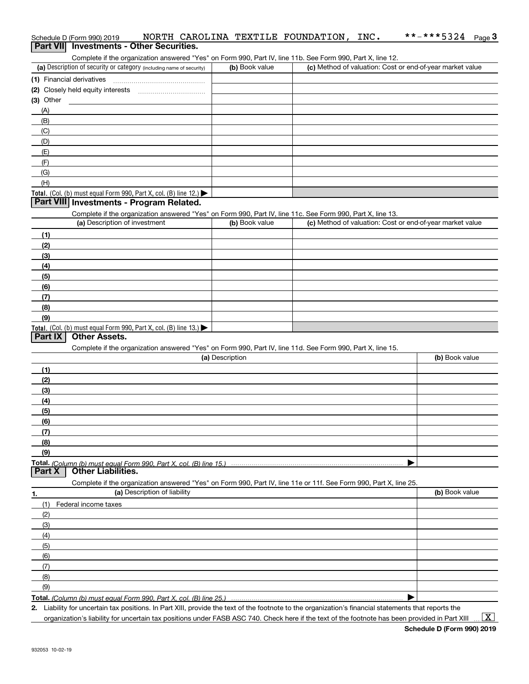|                  | Schedule D (Form 990) 2019                                                                                        |                              |                 |                | NORTH CAROLINA TEXTILE FOUNDATION, INC. | **-***5324<br>Page $3$                                                                                                                               |
|------------------|-------------------------------------------------------------------------------------------------------------------|------------------------------|-----------------|----------------|-----------------------------------------|------------------------------------------------------------------------------------------------------------------------------------------------------|
| <b>Part VIII</b> | <b>Investments - Other Securities.</b>                                                                            |                              |                 |                |                                         |                                                                                                                                                      |
|                  | Complete if the organization answered "Yes" on Form 990, Part IV, line 11b. See Form 990, Part X, line 12.        |                              |                 |                |                                         |                                                                                                                                                      |
|                  | (a) Description of security or category (including name of security)                                              |                              |                 | (b) Book value |                                         | (c) Method of valuation: Cost or end-of-year market value                                                                                            |
|                  | (1) Financial derivatives                                                                                         |                              |                 |                |                                         |                                                                                                                                                      |
|                  |                                                                                                                   |                              |                 |                |                                         |                                                                                                                                                      |
| $(3)$ Other      |                                                                                                                   |                              |                 |                |                                         |                                                                                                                                                      |
| (A)              |                                                                                                                   |                              |                 |                |                                         |                                                                                                                                                      |
| (B)              |                                                                                                                   |                              |                 |                |                                         |                                                                                                                                                      |
| (C)              |                                                                                                                   |                              |                 |                |                                         |                                                                                                                                                      |
| (D)              |                                                                                                                   |                              |                 |                |                                         |                                                                                                                                                      |
| (E)              |                                                                                                                   |                              |                 |                |                                         |                                                                                                                                                      |
| (F)              |                                                                                                                   |                              |                 |                |                                         |                                                                                                                                                      |
| (G)              |                                                                                                                   |                              |                 |                |                                         |                                                                                                                                                      |
| (H)              |                                                                                                                   |                              |                 |                |                                         |                                                                                                                                                      |
|                  | Total. (Col. (b) must equal Form 990, Part X, col. (B) line 12.) $\blacktriangleright$                            |                              |                 |                |                                         |                                                                                                                                                      |
|                  | Part VIII Investments - Program Related.                                                                          |                              |                 |                |                                         |                                                                                                                                                      |
|                  | Complete if the organization answered "Yes" on Form 990, Part IV, line 11c. See Form 990, Part X, line 13.        |                              |                 |                |                                         |                                                                                                                                                      |
|                  | (a) Description of investment                                                                                     |                              |                 | (b) Book value |                                         | (c) Method of valuation: Cost or end-of-year market value                                                                                            |
| (1)              |                                                                                                                   |                              |                 |                |                                         |                                                                                                                                                      |
| (2)              |                                                                                                                   |                              |                 |                |                                         |                                                                                                                                                      |
| (3)              |                                                                                                                   |                              |                 |                |                                         |                                                                                                                                                      |
| (4)              |                                                                                                                   |                              |                 |                |                                         |                                                                                                                                                      |
| (5)              |                                                                                                                   |                              |                 |                |                                         |                                                                                                                                                      |
| (6)              |                                                                                                                   |                              |                 |                |                                         |                                                                                                                                                      |
| (7)              |                                                                                                                   |                              |                 |                |                                         |                                                                                                                                                      |
| (8)              |                                                                                                                   |                              |                 |                |                                         |                                                                                                                                                      |
| (9)              |                                                                                                                   |                              |                 |                |                                         |                                                                                                                                                      |
|                  | <b>Total.</b> (Col. (b) must equal Form 990, Part X, col. (B) line $13.$<br><b>Other Assets.</b>                  |                              |                 |                |                                         |                                                                                                                                                      |
| Part $ X $       |                                                                                                                   |                              |                 |                |                                         |                                                                                                                                                      |
|                  | Complete if the organization answered "Yes" on Form 990, Part IV, line 11d. See Form 990, Part X, line 15.        |                              |                 |                |                                         |                                                                                                                                                      |
|                  |                                                                                                                   |                              | (a) Description |                |                                         | (b) Book value                                                                                                                                       |
| (1)              |                                                                                                                   |                              |                 |                |                                         |                                                                                                                                                      |
| (2)              |                                                                                                                   |                              |                 |                |                                         |                                                                                                                                                      |
| (3)              |                                                                                                                   |                              |                 |                |                                         |                                                                                                                                                      |
| (4)              |                                                                                                                   |                              |                 |                |                                         |                                                                                                                                                      |
| (5)              |                                                                                                                   |                              |                 |                |                                         |                                                                                                                                                      |
| (6)              |                                                                                                                   |                              |                 |                |                                         |                                                                                                                                                      |
| (7)              |                                                                                                                   |                              |                 |                |                                         |                                                                                                                                                      |
| (8)              |                                                                                                                   |                              |                 |                |                                         |                                                                                                                                                      |
| (9)              |                                                                                                                   |                              |                 |                |                                         |                                                                                                                                                      |
| Part X           | <b>Other Liabilities.</b>                                                                                         |                              |                 |                |                                         |                                                                                                                                                      |
|                  | Complete if the organization answered "Yes" on Form 990, Part IV, line 11e or 11f. See Form 990, Part X, line 25. |                              |                 |                |                                         |                                                                                                                                                      |
|                  |                                                                                                                   | (a) Description of liability |                 |                |                                         | (b) Book value                                                                                                                                       |
| 1.<br>(1)        | Federal income taxes                                                                                              |                              |                 |                |                                         |                                                                                                                                                      |
| (2)              |                                                                                                                   |                              |                 |                |                                         |                                                                                                                                                      |
| (3)              |                                                                                                                   |                              |                 |                |                                         |                                                                                                                                                      |
| (4)              |                                                                                                                   |                              |                 |                |                                         |                                                                                                                                                      |
|                  |                                                                                                                   |                              |                 |                |                                         |                                                                                                                                                      |
| (5)<br>(6)       |                                                                                                                   |                              |                 |                |                                         |                                                                                                                                                      |
| (7)              |                                                                                                                   |                              |                 |                |                                         |                                                                                                                                                      |
| (8)              |                                                                                                                   |                              |                 |                |                                         |                                                                                                                                                      |
| (9)              |                                                                                                                   |                              |                 |                |                                         |                                                                                                                                                      |
|                  |                                                                                                                   |                              |                 |                |                                         |                                                                                                                                                      |
|                  |                                                                                                                   |                              |                 |                |                                         | 2. Liability for uncertain tax positions. In Part XIII, provide the text of the footnote to the organization's financial statements that reports the |
|                  |                                                                                                                   |                              |                 |                |                                         |                                                                                                                                                      |

organization's liability for uncertain tax positions under FASB ASC 740. Check here if the text of the footnote has been provided in Part XIII

 $\vert$  X  $\vert$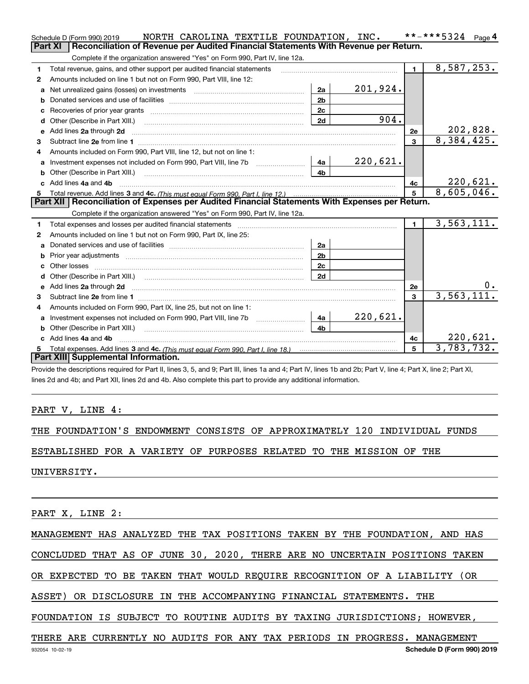|              | NORTH CAROLINA TEXTILE FOUNDATION, INC.<br>Schedule D (Form 990) 2019                                                                                          |                |                 |                 | **-***5324<br>Page 4    |
|--------------|----------------------------------------------------------------------------------------------------------------------------------------------------------------|----------------|-----------------|-----------------|-------------------------|
|              | Reconciliation of Revenue per Audited Financial Statements With Revenue per Return.<br>Part XI                                                                 |                |                 |                 |                         |
|              | Complete if the organization answered "Yes" on Form 990, Part IV, line 12a.                                                                                    |                |                 |                 |                         |
| 1            | Total revenue, gains, and other support per audited financial statements                                                                                       |                |                 | $\blacksquare$  | 8,587,253.              |
| $\mathbf{2}$ | Amounts included on line 1 but not on Form 990, Part VIII, line 12:                                                                                            |                |                 |                 |                         |
| a            |                                                                                                                                                                | 2a             | 201,924.        |                 |                         |
| b            |                                                                                                                                                                | 2 <sub>b</sub> |                 |                 |                         |
| с            |                                                                                                                                                                | 2c             |                 |                 |                         |
|              |                                                                                                                                                                | 2d             | 904.            |                 |                         |
| e            | Add lines 2a through 2d                                                                                                                                        |                |                 | 2е              | 202,828.                |
| з            | Subtract line 2e from line 1 <b>manufacture in the contract of the 2e</b> from line 1                                                                          |                |                 | 3               | 8,384,425.              |
| 4            | Amounts included on Form 990, Part VIII, line 12, but not on line 1:                                                                                           |                |                 |                 |                         |
| а            |                                                                                                                                                                | 4a             | <u>220,621.</u> |                 |                         |
| b            | Other (Describe in Part XIII.) <b>Construction Contract Construction</b> Chemistry Chemistry Chemistry Chemistry Chemistry                                     | 4b             |                 |                 |                         |
|              | Add lines 4a and 4b                                                                                                                                            |                |                 | 4c              | 220,621.                |
|              |                                                                                                                                                                |                |                 | 5               | 8,605,046.              |
|              | Part XII   Reconciliation of Expenses per Audited Financial Statements With Expenses per Return.                                                               |                |                 |                 |                         |
|              | Complete if the organization answered "Yes" on Form 990, Part IV, line 12a.                                                                                    |                |                 |                 |                         |
| 1            | Total expenses and losses per audited financial statements                                                                                                     |                |                 | $\blacksquare$  | $\overline{3,563},111.$ |
| 2            | Amounts included on line 1 but not on Form 990, Part IX, line 25:                                                                                              |                |                 |                 |                         |
| a            |                                                                                                                                                                | 2a             |                 |                 |                         |
| b            |                                                                                                                                                                | 2 <sub>b</sub> |                 |                 |                         |
|              |                                                                                                                                                                | 2c             |                 |                 |                         |
| d            |                                                                                                                                                                | 2d             |                 |                 |                         |
| e            | Add lines 2a through 2d <b>must be a constructed as the constant of the constant of the constant of the construction</b>                                       |                |                 | 2e              | υ.                      |
| 3            |                                                                                                                                                                |                |                 | 3               | 3,563,111.              |
| 4            | Amounts included on Form 990, Part IX, line 25, but not on line 1:                                                                                             |                |                 |                 |                         |
| a            | Investment expenses not included on Form 990, Part VIII, line 7b [1001111111111111111111111111111111                                                           | 4a             | 220,621.        |                 |                         |
| b            |                                                                                                                                                                | 4h             |                 |                 |                         |
|              | Add lines 4a and 4b                                                                                                                                            |                |                 | 4с              | 220,621.                |
| 5.           |                                                                                                                                                                |                |                 | $5\overline{5}$ | 3,783,732.              |
|              | Part XIII Supplemental Information.                                                                                                                            |                |                 |                 |                         |
|              | Provide the descriptions required for Part II, lines 3, 5, and 9; Part III, lines 1a and 4; Part IV, lines 1b and 2b; Part V, line 4; Part X, line 2; Part XI, |                |                 |                 |                         |

lines 2d and 4b; and Part XII, lines 2d and 4b. Also complete this part to provide any additional information.

PART V, LINE 4:

THE FOUNDATION'S ENDOWMENT CONSISTS OF APPROXIMATELY 120 INDIVIDUAL FUNDS

ESTABLISHED FOR A VARIETY OF PURPOSES RELATED TO THE MISSION OF THE

UNIVERSITY.

PART X, LINE 2:

MANAGEMENT HAS ANALYZED THE TAX POSITIONS TAKEN BY THE FOUNDATION, AND HAS

CONCLUDED THAT AS OF JUNE 30, 2020, THERE ARE NO UNCERTAIN POSITIONS TAKEN

OR EXPECTED TO BE TAKEN THAT WOULD REQUIRE RECOGNITION OF A LIABILITY (OR

ASSET) OR DISCLOSURE IN THE ACCOMPANYING FINANCIAL STATEMENTS. THE

FOUNDATION IS SUBJECT TO ROUTINE AUDITS BY TAXING JURISDICTIONS; HOWEVER,

THERE ARE CURRENTLY NO AUDITS FOR ANY TAX PERIODS IN PROGRESS. MANAGEMENT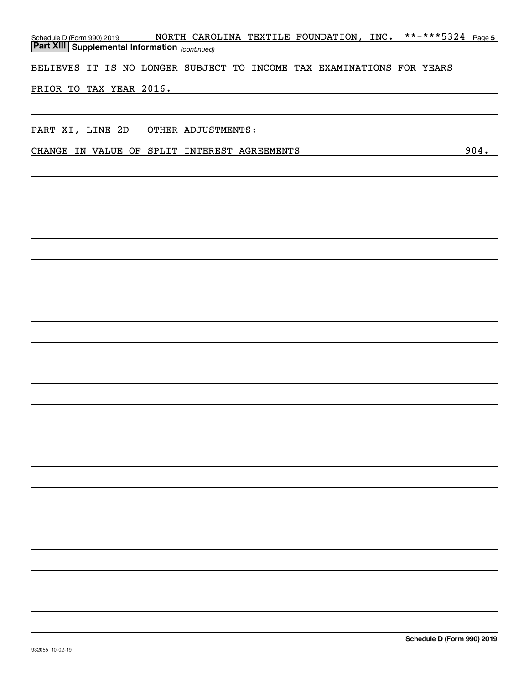| NORTH CAROLINA TEXTILE FOUNDATION, INC.<br>Schedule D (Form 990) 2019 NORTH CARO |      |
|----------------------------------------------------------------------------------|------|
|                                                                                  |      |
| BELIEVES IT IS NO LONGER SUBJECT TO INCOME TAX EXAMINATIONS FOR YEARS            |      |
| PRIOR TO TAX YEAR 2016.                                                          |      |
|                                                                                  |      |
|                                                                                  |      |
| PART XI, LINE 2D - OTHER ADJUSTMENTS:                                            |      |
| CHANGE IN VALUE OF SPLIT INTEREST AGREEMENTS                                     | 904. |
|                                                                                  |      |
|                                                                                  |      |
|                                                                                  |      |
|                                                                                  |      |
|                                                                                  |      |
|                                                                                  |      |
|                                                                                  |      |
|                                                                                  |      |
|                                                                                  |      |
|                                                                                  |      |
|                                                                                  |      |
|                                                                                  |      |
|                                                                                  |      |
|                                                                                  |      |
|                                                                                  |      |
|                                                                                  |      |
|                                                                                  |      |
|                                                                                  |      |
|                                                                                  |      |
|                                                                                  |      |
|                                                                                  |      |
|                                                                                  |      |
|                                                                                  |      |
|                                                                                  |      |
|                                                                                  |      |
|                                                                                  |      |
|                                                                                  |      |
|                                                                                  |      |
|                                                                                  |      |
|                                                                                  |      |
|                                                                                  |      |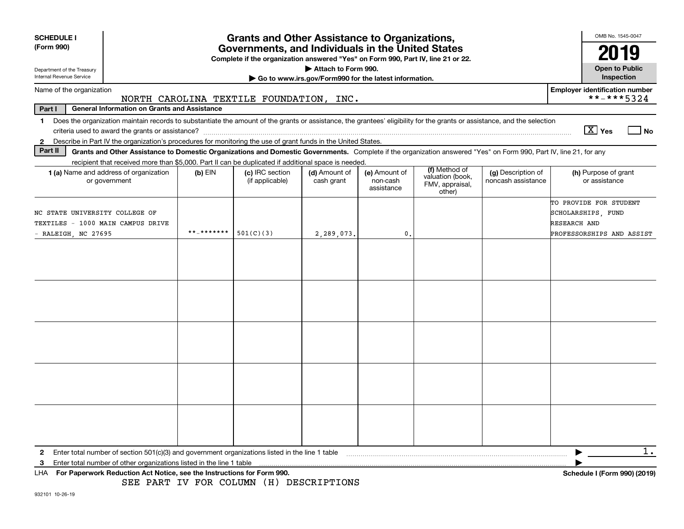| <b>SCHEDULE I</b>                                                                                                                                                                                                                                                                                          |                                                                                                                                               |            | <b>Grants and Other Assistance to Organizations,</b>                                                                                      |                                                                              |                                         |                                                                |                                                                                                                                                                    | OMB No. 1545-0047                                                                         |  |  |
|------------------------------------------------------------------------------------------------------------------------------------------------------------------------------------------------------------------------------------------------------------------------------------------------------------|-----------------------------------------------------------------------------------------------------------------------------------------------|------------|-------------------------------------------------------------------------------------------------------------------------------------------|------------------------------------------------------------------------------|-----------------------------------------|----------------------------------------------------------------|--------------------------------------------------------------------------------------------------------------------------------------------------------------------|-------------------------------------------------------------------------------------------|--|--|
| (Form 990)                                                                                                                                                                                                                                                                                                 | Governments, and Individuals in the United States<br>2019<br>Complete if the organization answered "Yes" on Form 990, Part IV, line 21 or 22. |            |                                                                                                                                           |                                                                              |                                         |                                                                |                                                                                                                                                                    |                                                                                           |  |  |
| Department of the Treasury<br>Internal Revenue Service                                                                                                                                                                                                                                                     |                                                                                                                                               |            |                                                                                                                                           | Attach to Form 990.<br>Go to www.irs.gov/Form990 for the latest information. |                                         |                                                                |                                                                                                                                                                    | <b>Open to Public</b><br><b>Inspection</b>                                                |  |  |
| Name of the organization                                                                                                                                                                                                                                                                                   |                                                                                                                                               |            | NORTH CAROLINA TEXTILE FOUNDATION, INC.                                                                                                   |                                                                              |                                         |                                                                |                                                                                                                                                                    | <b>Employer identification number</b><br>**-***5324                                       |  |  |
| <b>General Information on Grants and Assistance</b><br>Part I                                                                                                                                                                                                                                              |                                                                                                                                               |            |                                                                                                                                           |                                                                              |                                         |                                                                |                                                                                                                                                                    |                                                                                           |  |  |
| Does the organization maintain records to substantiate the amount of the grants or assistance, the grantees' eligibility for the grants or assistance, and the selection<br>$\mathbf 1$<br>2 Describe in Part IV the organization's procedures for monitoring the use of grant funds in the United States. |                                                                                                                                               |            |                                                                                                                                           |                                                                              |                                         |                                                                |                                                                                                                                                                    | $\boxed{\text{X}}$ Yes<br>l No                                                            |  |  |
| Part II                                                                                                                                                                                                                                                                                                    |                                                                                                                                               |            |                                                                                                                                           |                                                                              |                                         |                                                                | Grants and Other Assistance to Domestic Organizations and Domestic Governments. Complete if the organization answered "Yes" on Form 990, Part IV, line 21, for any |                                                                                           |  |  |
| 1 (a) Name and address of organization<br>or government                                                                                                                                                                                                                                                    |                                                                                                                                               | $(b)$ EIN  | recipient that received more than \$5,000. Part II can be duplicated if additional space is needed.<br>(c) IRC section<br>(if applicable) | (d) Amount of<br>cash grant                                                  | (e) Amount of<br>non-cash<br>assistance | (f) Method of<br>valuation (book,<br>FMV, appraisal,<br>other) | (g) Description of<br>noncash assistance                                                                                                                           | (h) Purpose of grant<br>or assistance                                                     |  |  |
| NC STATE UNIVERSITY COLLEGE OF<br>TEXTILES - 1000 MAIN CAMPUS DRIVE<br>$-$ RALEIGH, NC 27695                                                                                                                                                                                                               |                                                                                                                                               | **_******* | 501(C)(3)                                                                                                                                 | 2,289,073.                                                                   | 0.                                      |                                                                |                                                                                                                                                                    | TO PROVIDE FOR STUDENT<br>SCHOLARSHIPS, FUND<br>RESEARCH AND<br>PROFESSORSHIPS AND ASSIST |  |  |
|                                                                                                                                                                                                                                                                                                            |                                                                                                                                               |            |                                                                                                                                           |                                                                              |                                         |                                                                |                                                                                                                                                                    |                                                                                           |  |  |
|                                                                                                                                                                                                                                                                                                            |                                                                                                                                               |            |                                                                                                                                           |                                                                              |                                         |                                                                |                                                                                                                                                                    |                                                                                           |  |  |
|                                                                                                                                                                                                                                                                                                            |                                                                                                                                               |            |                                                                                                                                           |                                                                              |                                         |                                                                |                                                                                                                                                                    |                                                                                           |  |  |
|                                                                                                                                                                                                                                                                                                            |                                                                                                                                               |            |                                                                                                                                           |                                                                              |                                         |                                                                |                                                                                                                                                                    |                                                                                           |  |  |
|                                                                                                                                                                                                                                                                                                            |                                                                                                                                               |            |                                                                                                                                           |                                                                              |                                         |                                                                |                                                                                                                                                                    |                                                                                           |  |  |
| Enter total number of section 501(c)(3) and government organizations listed in the line 1 table<br>$\mathbf{2}$<br>Enter total number of other organizations listed in the line 1 table<br>з                                                                                                               |                                                                                                                                               |            |                                                                                                                                           |                                                                              |                                         |                                                                |                                                                                                                                                                    | $1$ .                                                                                     |  |  |
| For Paperwork Reduction Act Notice, see the Instructions for Form 990.<br>LHA.                                                                                                                                                                                                                             |                                                                                                                                               |            |                                                                                                                                           |                                                                              |                                         |                                                                |                                                                                                                                                                    | Schedule I (Form 990) (2019)                                                              |  |  |

SEE PART IV FOR COLUMN (H) DESCRIPTIONS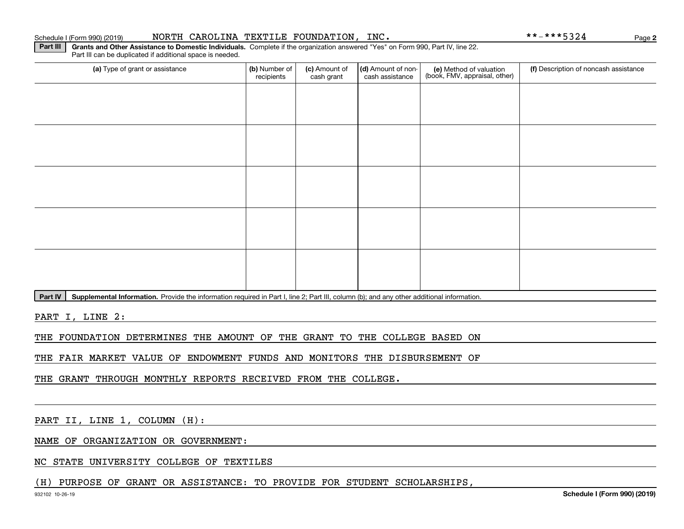#### Schedule I (Form 990) (2019) NORTH CAROLINA TEXTILE FOUNDATION, INC。 \*\*-\*\*\*5324 Page

**Part III** | Grants and Other Assistance to Domestic Individuals. Complete if the organization answered "Yes" on Form 990, Part IV, line 22.

(a) Type of grant or assistance **Audity Commet Audio Commet Commet Commet Commet Commet Commet Commet Commet Comme** Part III can be duplicated if additional space is needed. (e) Method of valuation (book, FMV, appraisal, other) recipients(c) Amount of cash grant (d) Amount of noncash assistance (f) Description of noncash assistance

**Part IV** | Supplemental Information. Provide the information required in Part I, line 2; Part III, column (b); and any other additional information.<br>

PART I, LINE 2:

THE FOUNDATION DETERMINES THE AMOUNT OF THE GRANT TO THE COLLEGE BASED ON

THE FAIR MARKET VALUE OF ENDOWMENT FUNDS AND MONITORS THE DISBURSEMENT OF

THE GRANT THROUGH MONTHLY REPORTS RECEIVED FROM THE COLLEGE.

PART II, LINE 1, COLUMN (H):

NAME OF ORGANIZATION OR GOVERNMENT:

NC STATE UNIVERSITY COLLEGE OF TEXTILES

(H) PURPOSE OF GRANT OR ASSISTANCE: TO PROVIDE FOR STUDENT SCHOLARSHIPS,

**2**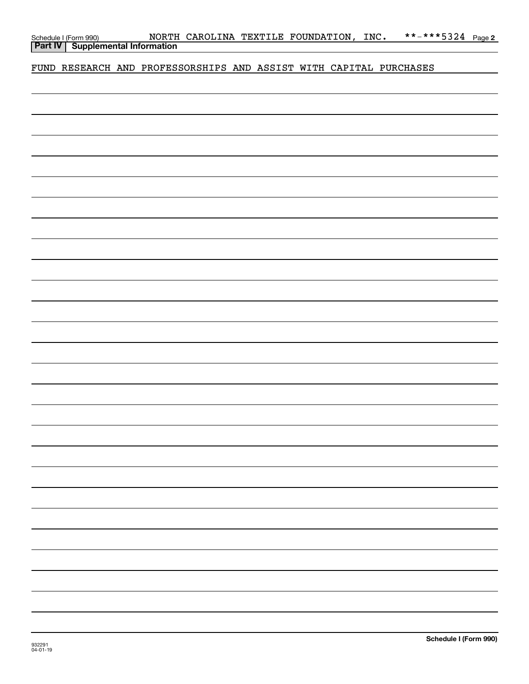| Schedule I (Form 990)                     |  | NORTH CAROLINA TEXTILE FOUNDATION, INC. |  |  |
|-------------------------------------------|--|-----------------------------------------|--|--|
| <b>Part IV   Supplemental Information</b> |  |                                         |  |  |

FUND RESEARCH AND PROFESSORSHIPS AND ASSIST WITH CAPITAL PURCHASES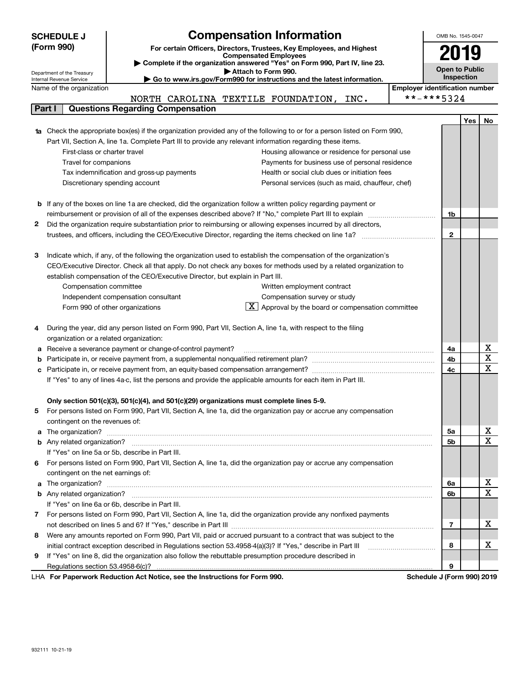|   | <b>SCHEDULE J</b>                                                                                                                                       | <b>Compensation Information</b>                                                                                                                                                                                       | OMB No. 1545-0047                     |            |                         |  |  |  |  |
|---|---------------------------------------------------------------------------------------------------------------------------------------------------------|-----------------------------------------------------------------------------------------------------------------------------------------------------------------------------------------------------------------------|---------------------------------------|------------|-------------------------|--|--|--|--|
|   | (Form 990)                                                                                                                                              | For certain Officers, Directors, Trustees, Key Employees, and Highest<br><b>Compensated Employees</b>                                                                                                                 |                                       | 2019       |                         |  |  |  |  |
|   |                                                                                                                                                         | Complete if the organization answered "Yes" on Form 990, Part IV, line 23.                                                                                                                                            | <b>Open to Public</b>                 |            |                         |  |  |  |  |
|   | Attach to Form 990.<br>Department of the Treasury<br>Go to www.irs.gov/Form990 for instructions and the latest information.<br>Internal Revenue Service |                                                                                                                                                                                                                       |                                       |            |                         |  |  |  |  |
|   | Name of the organization                                                                                                                                |                                                                                                                                                                                                                       | <b>Employer identification number</b> | Inspection |                         |  |  |  |  |
|   |                                                                                                                                                         | NORTH CAROLINA TEXTILE FOUNDATION, INC.                                                                                                                                                                               | **-***5324                            |            |                         |  |  |  |  |
|   | Part I                                                                                                                                                  | <b>Questions Regarding Compensation</b>                                                                                                                                                                               |                                       |            |                         |  |  |  |  |
|   |                                                                                                                                                         |                                                                                                                                                                                                                       |                                       | Yes        | No                      |  |  |  |  |
|   |                                                                                                                                                         | <b>1a</b> Check the appropriate box(es) if the organization provided any of the following to or for a person listed on Form 990,                                                                                      |                                       |            |                         |  |  |  |  |
|   |                                                                                                                                                         | Part VII, Section A, line 1a. Complete Part III to provide any relevant information regarding these items.                                                                                                            |                                       |            |                         |  |  |  |  |
|   | First-class or charter travel                                                                                                                           | Housing allowance or residence for personal use                                                                                                                                                                       |                                       |            |                         |  |  |  |  |
|   | Travel for companions                                                                                                                                   | Payments for business use of personal residence                                                                                                                                                                       |                                       |            |                         |  |  |  |  |
|   |                                                                                                                                                         | Tax indemnification and gross-up payments<br>Health or social club dues or initiation fees                                                                                                                            |                                       |            |                         |  |  |  |  |
|   |                                                                                                                                                         | Discretionary spending account<br>Personal services (such as maid, chauffeur, chef)                                                                                                                                   |                                       |            |                         |  |  |  |  |
|   |                                                                                                                                                         |                                                                                                                                                                                                                       |                                       |            |                         |  |  |  |  |
|   |                                                                                                                                                         | <b>b</b> If any of the boxes on line 1a are checked, did the organization follow a written policy regarding payment or                                                                                                |                                       |            |                         |  |  |  |  |
|   |                                                                                                                                                         |                                                                                                                                                                                                                       | 1b                                    |            |                         |  |  |  |  |
| 2 |                                                                                                                                                         | Did the organization require substantiation prior to reimbursing or allowing expenses incurred by all directors,                                                                                                      |                                       |            |                         |  |  |  |  |
|   |                                                                                                                                                         |                                                                                                                                                                                                                       | $\mathbf{2}$                          |            |                         |  |  |  |  |
|   |                                                                                                                                                         |                                                                                                                                                                                                                       |                                       |            |                         |  |  |  |  |
| з |                                                                                                                                                         | Indicate which, if any, of the following the organization used to establish the compensation of the organization's                                                                                                    |                                       |            |                         |  |  |  |  |
|   |                                                                                                                                                         | CEO/Executive Director. Check all that apply. Do not check any boxes for methods used by a related organization to                                                                                                    |                                       |            |                         |  |  |  |  |
|   |                                                                                                                                                         | establish compensation of the CEO/Executive Director, but explain in Part III.                                                                                                                                        |                                       |            |                         |  |  |  |  |
|   | Compensation committee                                                                                                                                  | Written employment contract<br>Compensation survey or study                                                                                                                                                           |                                       |            |                         |  |  |  |  |
|   |                                                                                                                                                         | Independent compensation consultant<br>$\lfloor \underline{X} \rfloor$ Approval by the board or compensation committee<br>Form 990 of other organizations                                                             |                                       |            |                         |  |  |  |  |
|   |                                                                                                                                                         |                                                                                                                                                                                                                       |                                       |            |                         |  |  |  |  |
| 4 |                                                                                                                                                         | During the year, did any person listed on Form 990, Part VII, Section A, line 1a, with respect to the filing                                                                                                          |                                       |            |                         |  |  |  |  |
|   | organization or a related organization:                                                                                                                 |                                                                                                                                                                                                                       |                                       |            |                         |  |  |  |  |
| а |                                                                                                                                                         | Receive a severance payment or change-of-control payment?                                                                                                                                                             | 4a                                    |            | X                       |  |  |  |  |
| b |                                                                                                                                                         |                                                                                                                                                                                                                       | 4b                                    |            | $\overline{\mathtt{x}}$ |  |  |  |  |
| с |                                                                                                                                                         |                                                                                                                                                                                                                       | 4c                                    |            | X                       |  |  |  |  |
|   |                                                                                                                                                         | If "Yes" to any of lines 4a-c, list the persons and provide the applicable amounts for each item in Part III.                                                                                                         |                                       |            |                         |  |  |  |  |
|   |                                                                                                                                                         |                                                                                                                                                                                                                       |                                       |            |                         |  |  |  |  |
|   |                                                                                                                                                         | Only section 501(c)(3), 501(c)(4), and 501(c)(29) organizations must complete lines 5-9.                                                                                                                              |                                       |            |                         |  |  |  |  |
|   |                                                                                                                                                         | For persons listed on Form 990, Part VII, Section A, line 1a, did the organization pay or accrue any compensation                                                                                                     |                                       |            |                         |  |  |  |  |
|   | contingent on the revenues of:                                                                                                                          |                                                                                                                                                                                                                       |                                       |            |                         |  |  |  |  |
|   |                                                                                                                                                         | a The organization? <b>Constitution</b> and the organization? <b>Constitution</b> and the organization?                                                                                                               | 5a                                    |            | х                       |  |  |  |  |
|   |                                                                                                                                                         |                                                                                                                                                                                                                       | 5b                                    |            | X                       |  |  |  |  |
|   |                                                                                                                                                         | If "Yes" on line 5a or 5b, describe in Part III.                                                                                                                                                                      |                                       |            |                         |  |  |  |  |
| 6 |                                                                                                                                                         | For persons listed on Form 990, Part VII, Section A, line 1a, did the organization pay or accrue any compensation                                                                                                     |                                       |            |                         |  |  |  |  |
|   | contingent on the net earnings of:                                                                                                                      |                                                                                                                                                                                                                       |                                       |            |                         |  |  |  |  |
|   |                                                                                                                                                         | a The organization? <b>Constitution</b> and the organization? <b>Constitution</b> and the organization?                                                                                                               | 6a                                    |            | X<br>X                  |  |  |  |  |
|   |                                                                                                                                                         |                                                                                                                                                                                                                       | 6b                                    |            |                         |  |  |  |  |
|   |                                                                                                                                                         | If "Yes" on line 6a or 6b, describe in Part III.                                                                                                                                                                      |                                       |            |                         |  |  |  |  |
|   |                                                                                                                                                         | 7 For persons listed on Form 990, Part VII, Section A, line 1a, did the organization provide any nonfixed payments                                                                                                    |                                       |            | Χ                       |  |  |  |  |
|   |                                                                                                                                                         | Were any amounts reported on Form 990, Part VII, paid or accrued pursuant to a contract that was subject to the                                                                                                       | 7                                     |            |                         |  |  |  |  |
| 8 |                                                                                                                                                         |                                                                                                                                                                                                                       | 8                                     |            | х                       |  |  |  |  |
| 9 |                                                                                                                                                         | initial contract exception described in Regulations section 53.4958-4(a)(3)? If "Yes," describe in Part III<br>If "Yes" on line 8, did the organization also follow the rebuttable presumption procedure described in |                                       |            |                         |  |  |  |  |
|   | Regulations section 53.4958-6(c)?                                                                                                                       |                                                                                                                                                                                                                       | 9                                     |            |                         |  |  |  |  |
|   |                                                                                                                                                         | LHA For Paperwork Reduction Act Notice, see the Instructions for Form 990.                                                                                                                                            | Schedule J (Form 990) 2019            |            |                         |  |  |  |  |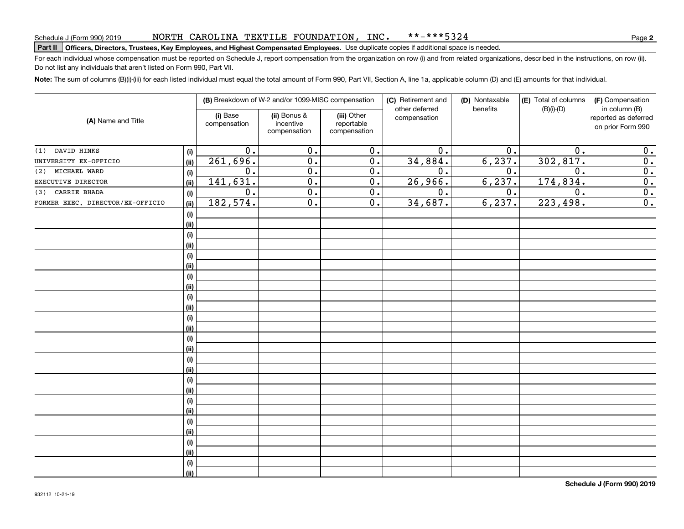#### NORTH CAROLINA TEXTILE FOUNDATION, INC. \*\*-\*\*\*5324

# **Part II Officers, Directors, Trustees, Key Employees, and Highest Compensated Employees.**  Schedule J (Form 990) 2019 Page Use duplicate copies if additional space is needed.

For each individual whose compensation must be reported on Schedule J, report compensation from the organization on row (i) and from related organizations, described in the instructions, on row (ii). Do not list any individuals that aren't listed on Form 990, Part VII.

**Note:**  The sum of columns (B)(i)-(iii) for each listed individual must equal the total amount of Form 990, Part VII, Section A, line 1a, applicable column (D) and (E) amounts for that individual.

|                                  |      |                          | (B) Breakdown of W-2 and/or 1099-MISC compensation |                                           |                                | (D) Nontaxable   | (E) Total of columns | (F) Compensation                                           |  |
|----------------------------------|------|--------------------------|----------------------------------------------------|-------------------------------------------|--------------------------------|------------------|----------------------|------------------------------------------------------------|--|
| (A) Name and Title               |      | (i) Base<br>compensation | (ii) Bonus &<br>incentive<br>compensation          | (iii) Other<br>reportable<br>compensation | other deferred<br>compensation | benefits         | $(B)(i)-(D)$         | in column (B)<br>reported as deferred<br>on prior Form 990 |  |
| (1) DAVID HINKS                  | (i)  | 0.                       | 0.                                                 | 0.                                        | 0.                             | 0.               | 0.                   | 0.                                                         |  |
| UNIVERSITY EX-OFFICIO            | (ii) | 261,696.                 | $\overline{0}$ .                                   | $\overline{0}$ .                          | 34,884.                        | 6, 237.          | 302,817.             | $\overline{0}$ .                                           |  |
| MICHAEL WARD<br>(2)              | (i)  | $0$ .                    | $\overline{0}$ .                                   | $\overline{0}$ .                          | 0.                             | 0.               | 0.                   | $\overline{0}$ .                                           |  |
| EXECUTIVE DIRECTOR               | (ii) | 141,631.                 | $\overline{0}$ .                                   | $\overline{0}$ .                          | 26,966.                        | 6, 237.          | 174,834.             | $\overline{0}$ .                                           |  |
| CARRIE BHADA<br>(3)              | (i)  | $\overline{0}$ .         | $\overline{0}$ .                                   | $\overline{0}$ .                          | $\overline{0}$ .               | $\overline{0}$ . | 0.                   | $\overline{0}$ .                                           |  |
| FORMER EXEC. DIRECTOR/EX-OFFICIO | (ii) | 182,574.                 | $\overline{0}$ .                                   | $\overline{0}$ .                          | 34,687.                        | 6, 237.          | 223,498.             | $\overline{0}$ .                                           |  |
|                                  | (i)  |                          |                                                    |                                           |                                |                  |                      |                                                            |  |
|                                  | (ii) |                          |                                                    |                                           |                                |                  |                      |                                                            |  |
|                                  | (i)  |                          |                                                    |                                           |                                |                  |                      |                                                            |  |
|                                  | (ii) |                          |                                                    |                                           |                                |                  |                      |                                                            |  |
|                                  | (i)  |                          |                                                    |                                           |                                |                  |                      |                                                            |  |
|                                  | (ii) |                          |                                                    |                                           |                                |                  |                      |                                                            |  |
|                                  | (i)  |                          |                                                    |                                           |                                |                  |                      |                                                            |  |
|                                  | (ii) |                          |                                                    |                                           |                                |                  |                      |                                                            |  |
|                                  | (i)  |                          |                                                    |                                           |                                |                  |                      |                                                            |  |
|                                  | (ii) |                          |                                                    |                                           |                                |                  |                      |                                                            |  |
|                                  | (i)  |                          |                                                    |                                           |                                |                  |                      |                                                            |  |
|                                  | (ii) |                          |                                                    |                                           |                                |                  |                      |                                                            |  |
|                                  | (i)  |                          |                                                    |                                           |                                |                  |                      |                                                            |  |
|                                  | (ii) |                          |                                                    |                                           |                                |                  |                      |                                                            |  |
|                                  | (i)  |                          |                                                    |                                           |                                |                  |                      |                                                            |  |
|                                  | (ii) |                          |                                                    |                                           |                                |                  |                      |                                                            |  |
|                                  | (i)  |                          |                                                    |                                           |                                |                  |                      |                                                            |  |
|                                  | (ii) |                          |                                                    |                                           |                                |                  |                      |                                                            |  |
|                                  | (i)  |                          |                                                    |                                           |                                |                  |                      |                                                            |  |
|                                  | (ii) |                          |                                                    |                                           |                                |                  |                      |                                                            |  |
|                                  | (i)  |                          |                                                    |                                           |                                |                  |                      |                                                            |  |
|                                  | (ii) |                          |                                                    |                                           |                                |                  |                      |                                                            |  |
|                                  | (i)  |                          |                                                    |                                           |                                |                  |                      |                                                            |  |
|                                  | (ii) |                          |                                                    |                                           |                                |                  |                      |                                                            |  |
|                                  | (i)  |                          |                                                    |                                           |                                |                  |                      |                                                            |  |
|                                  | (ii) |                          |                                                    |                                           |                                |                  |                      |                                                            |  |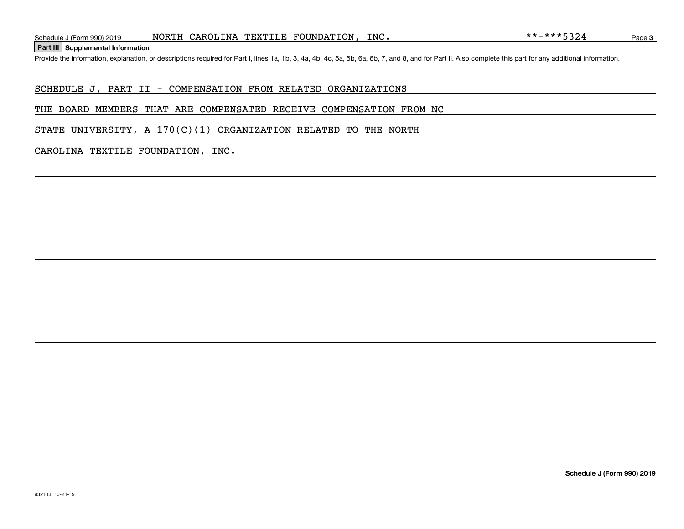**Part III Supplemental Information**

### SCHEDULE J, PART II - COMPENSATION FROM RELATED ORGANIZATIONS

#### THE BOARD MEMBERS THAT ARE COMPENSATED RECEIVE COMPENSATION FROM NC

STATE UNIVERSITY, A  $170(C)(1)$  ORGANIZATION RELATED TO THE NORTH

#### CAROLINA TEXTILE FOUNDATION, INC.

**Schedule J (Form 990) 2019**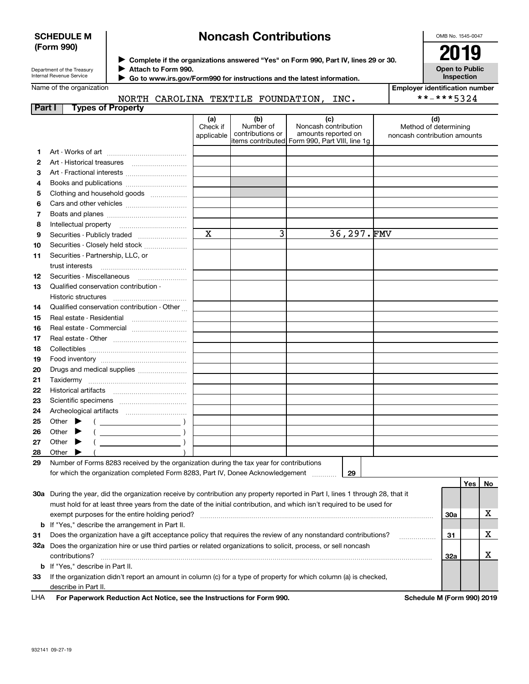#### **SCHEDULE M (Form 990)**

# **Noncash Contributions**

OMB No. 1545-0047

Department of the Treasury Internal Revenue Service

**Complete if the organizations answered "Yes" on Form 990, Part IV, lines 29 or 30.** <sup>J</sup>**2019**

**Attach to Form 990.** J  **Go to www.irs.gov/Form990 for instructions and the latest information.** J **Open to Public Inspection**

|  | Name of the organization |
|--|--------------------------|
|--|--------------------------|

NORTH CAROLINA TEXTILE FOUNDATION, INC.

| <b>Employer identification number</b> |
|---------------------------------------|
| **-***5324                            |

| Part I |       | <b>Types of Property</b>                                                                                                            |                               |                                                           |                                                                                    |                                                              |     |     |
|--------|-------|-------------------------------------------------------------------------------------------------------------------------------------|-------------------------------|-----------------------------------------------------------|------------------------------------------------------------------------------------|--------------------------------------------------------------|-----|-----|
|        |       |                                                                                                                                     | (a)<br>Check if<br>applicable | (b)<br>Number of<br>contributions or<br>items contributed | (c)<br>Noncash contribution<br>amounts reported on<br>Form 990, Part VIII, line 1g | (d)<br>Method of determining<br>noncash contribution amounts |     |     |
| 1.     |       |                                                                                                                                     |                               |                                                           |                                                                                    |                                                              |     |     |
| 2      |       |                                                                                                                                     |                               |                                                           |                                                                                    |                                                              |     |     |
| з      |       | Art - Fractional interests                                                                                                          |                               |                                                           |                                                                                    |                                                              |     |     |
| 4      |       | Books and publications                                                                                                              |                               |                                                           |                                                                                    |                                                              |     |     |
| 5      |       | Clothing and household goods                                                                                                        |                               |                                                           |                                                                                    |                                                              |     |     |
| 6      |       |                                                                                                                                     |                               |                                                           |                                                                                    |                                                              |     |     |
| 7      |       |                                                                                                                                     |                               |                                                           |                                                                                    |                                                              |     |     |
| 8      |       | Intellectual property                                                                                                               |                               |                                                           |                                                                                    |                                                              |     |     |
| 9      |       | Securities - Publicly traded                                                                                                        | $\mathbf x$                   | 3                                                         | 36,297.FMV                                                                         |                                                              |     |     |
| 10     |       | Securities - Closely held stock                                                                                                     |                               |                                                           |                                                                                    |                                                              |     |     |
| 11     |       | Securities - Partnership, LLC, or<br>trust interests                                                                                |                               |                                                           |                                                                                    |                                                              |     |     |
| 12     |       | Securities - Miscellaneous                                                                                                          |                               |                                                           |                                                                                    |                                                              |     |     |
| 13     |       | Qualified conservation contribution -                                                                                               |                               |                                                           |                                                                                    |                                                              |     |     |
|        |       | Historic structures                                                                                                                 |                               |                                                           |                                                                                    |                                                              |     |     |
| 14     |       | Qualified conservation contribution - Other                                                                                         |                               |                                                           |                                                                                    |                                                              |     |     |
| 15     |       | Real estate - Residential                                                                                                           |                               |                                                           |                                                                                    |                                                              |     |     |
| 16     |       | Real estate - Commercial                                                                                                            |                               |                                                           |                                                                                    |                                                              |     |     |
| 17     |       |                                                                                                                                     |                               |                                                           |                                                                                    |                                                              |     |     |
| 18     |       |                                                                                                                                     |                               |                                                           |                                                                                    |                                                              |     |     |
| 19     |       |                                                                                                                                     |                               |                                                           |                                                                                    |                                                              |     |     |
| 20     |       | Drugs and medical supplies                                                                                                          |                               |                                                           |                                                                                    |                                                              |     |     |
| 21     |       | Taxidermy                                                                                                                           |                               |                                                           |                                                                                    |                                                              |     |     |
| 22     |       |                                                                                                                                     |                               |                                                           |                                                                                    |                                                              |     |     |
| 23     |       |                                                                                                                                     |                               |                                                           |                                                                                    |                                                              |     |     |
| 24     |       |                                                                                                                                     |                               |                                                           |                                                                                    |                                                              |     |     |
| 25     |       | Other $\blacktriangleright$<br>$\overline{a}$                                                                                       |                               |                                                           |                                                                                    |                                                              |     |     |
| 26     | Other |                                                                                                                                     |                               |                                                           |                                                                                    |                                                              |     |     |
| 27     | Other |                                                                                                                                     |                               |                                                           |                                                                                    |                                                              |     |     |
| 28     | Other |                                                                                                                                     |                               |                                                           |                                                                                    |                                                              |     |     |
| 29     |       | Number of Forms 8283 received by the organization during the tax year for contributions                                             |                               |                                                           |                                                                                    |                                                              |     |     |
|        |       | for which the organization completed Form 8283, Part IV, Donee Acknowledgement                                                      |                               |                                                           | 29                                                                                 |                                                              | Yes | No. |
|        |       | 30a During the year, did the organization receive by contribution any property reported in Part I, lines 1 through 28, that it      |                               |                                                           |                                                                                    |                                                              |     |     |
|        |       | must hold for at least three years from the date of the initial contribution, and which isn't required to be used for               |                               |                                                           |                                                                                    |                                                              |     |     |
|        |       | exempt purposes for the entire holding period?                                                                                      |                               |                                                           |                                                                                    |                                                              | 30a | х   |
|        |       | <b>b</b> If "Yes," describe the arrangement in Part II.                                                                             |                               |                                                           |                                                                                    |                                                              |     |     |
| 31     |       | Does the organization have a gift acceptance policy that requires the review of any nonstandard contributions?                      |                               |                                                           |                                                                                    |                                                              | 31  | х   |
|        |       | 32a Does the organization hire or use third parties or related organizations to solicit, process, or sell noncash<br>contributions? |                               |                                                           |                                                                                    |                                                              | 32a | х   |
|        |       | <b>b</b> If "Yes," describe in Part II.                                                                                             |                               |                                                           |                                                                                    |                                                              |     |     |
| 33     |       | If the organization didn't report an amount in column (c) for a type of property for which column (a) is checked,                   |                               |                                                           |                                                                                    |                                                              |     |     |

describe in Part II.

For Paperwork Reduction Act Notice, see the Instructions for Form 990. Schedule M (Form 990) 2019 LHA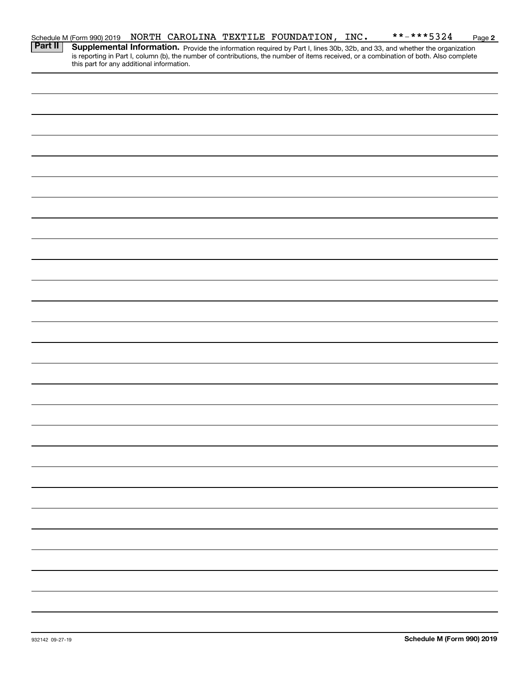|                | Schedule M (Form 990) 2019                |  | NORTH CAROLINA TEXTILE FOUNDATION, INC. | **-***5324                                                                                                                                                                                                                          | Page 2 |
|----------------|-------------------------------------------|--|-----------------------------------------|-------------------------------------------------------------------------------------------------------------------------------------------------------------------------------------------------------------------------------------|--------|
| <b>Part II</b> | this part for any additional information. |  |                                         | <b>Supplemental Information.</b> Provide the information required by Part I, lines 30b, 32b, and 33, and whether the organization is reporting in Part I, column (b), the number of contributions, the number of items received, or |        |
|                |                                           |  |                                         |                                                                                                                                                                                                                                     |        |
|                |                                           |  |                                         |                                                                                                                                                                                                                                     |        |
|                |                                           |  |                                         |                                                                                                                                                                                                                                     |        |
|                |                                           |  |                                         |                                                                                                                                                                                                                                     |        |
|                |                                           |  |                                         |                                                                                                                                                                                                                                     |        |
|                |                                           |  |                                         |                                                                                                                                                                                                                                     |        |
|                |                                           |  |                                         |                                                                                                                                                                                                                                     |        |
|                |                                           |  |                                         |                                                                                                                                                                                                                                     |        |
|                |                                           |  |                                         |                                                                                                                                                                                                                                     |        |
|                |                                           |  |                                         |                                                                                                                                                                                                                                     |        |
|                |                                           |  |                                         |                                                                                                                                                                                                                                     |        |
|                |                                           |  |                                         |                                                                                                                                                                                                                                     |        |
|                |                                           |  |                                         |                                                                                                                                                                                                                                     |        |
|                |                                           |  |                                         |                                                                                                                                                                                                                                     |        |
|                |                                           |  |                                         |                                                                                                                                                                                                                                     |        |
|                |                                           |  |                                         |                                                                                                                                                                                                                                     |        |
|                |                                           |  |                                         |                                                                                                                                                                                                                                     |        |
|                |                                           |  |                                         |                                                                                                                                                                                                                                     |        |
|                |                                           |  |                                         |                                                                                                                                                                                                                                     |        |
|                |                                           |  |                                         |                                                                                                                                                                                                                                     |        |
|                |                                           |  |                                         |                                                                                                                                                                                                                                     |        |
|                |                                           |  |                                         |                                                                                                                                                                                                                                     |        |
|                |                                           |  |                                         |                                                                                                                                                                                                                                     |        |
|                |                                           |  |                                         |                                                                                                                                                                                                                                     |        |
|                |                                           |  |                                         |                                                                                                                                                                                                                                     |        |
|                |                                           |  |                                         |                                                                                                                                                                                                                                     |        |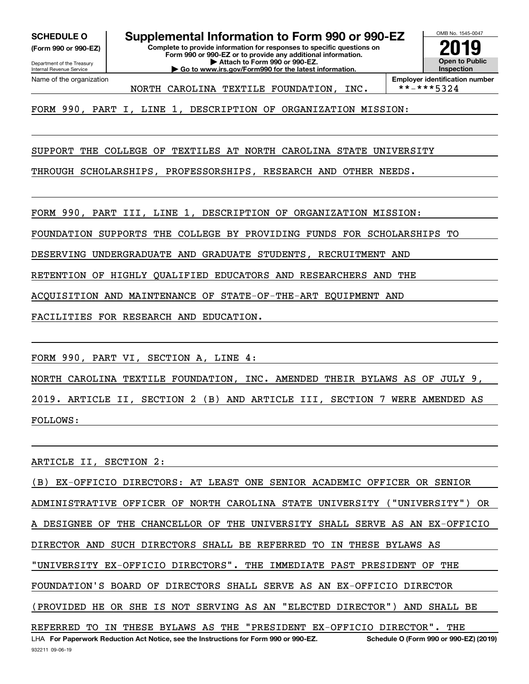**(Form 990 or 990-EZ)**

Department of the Treasury

Internal Revenue Service Name of the organization

**SCHEDULE O Supplemental Information to Form 990 or 990-EZ**

**Complete to provide information for responses to specific questions on Form 990 or 990-EZ or to provide any additional information. | Attach to Form 990 or 990-EZ. | Go to www.irs.gov/Form990 for the latest information.**



NORTH CAROLINA TEXTILE FOUNDATION, INC.

FORM 990, PART I, LINE 1, DESCRIPTION OF ORGANIZATION MISSION:

SUPPORT THE COLLEGE OF TEXTILES AT NORTH CAROLINA STATE UNIVERSITY

THROUGH SCHOLARSHIPS, PROFESSORSHIPS, RESEARCH AND OTHER NEEDS.

FORM 990, PART III, LINE 1, DESCRIPTION OF ORGANIZATION MISSION:

FOUNDATION SUPPORTS THE COLLEGE BY PROVIDING FUNDS FOR SCHOLARSHIPS TO

DESERVING UNDERGRADUATE AND GRADUATE STUDENTS, RECRUITMENT AND

RETENTION OF HIGHLY QUALIFIED EDUCATORS AND RESEARCHERS AND THE

ACQUISITION AND MAINTENANCE OF STATE-OF-THE-ART EQUIPMENT AND

FACILITIES FOR RESEARCH AND EDUCATION.

FORM 990, PART VI, SECTION A, LINE 4:

NORTH CAROLINA TEXTILE FOUNDATION, INC. AMENDED THEIR BYLAWS AS OF JULY 9, 2019. ARTICLE II, SECTION 2 (B) AND ARTICLE III, SECTION 7 WERE AMENDED AS

FOLLOWS:

ARTICLE II, SECTION 2:

LHA For Paperwork Reduction Act Notice, see the Instructions for Form 990 or 990-EZ. Schedule O (Form 990 or 990-EZ) (2019) (B) EX-OFFICIO DIRECTORS: AT LEAST ONE SENIOR ACADEMIC OFFICER OR SENIOR ADMINISTRATIVE OFFICER OF NORTH CAROLINA STATE UNIVERSITY ("UNIVERSITY") OR A DESIGNEE OF THE CHANCELLOR OF THE UNIVERSITY SHALL SERVE AS AN EX-OFFICIO DIRECTOR AND SUCH DIRECTORS SHALL BE REFERRED TO IN THESE BYLAWS AS "UNIVERSITY EX-OFFICIO DIRECTORS". THE IMMEDIATE PAST PRESIDENT OF THE FOUNDATION'S BOARD OF DIRECTORS SHALL SERVE AS AN EX-OFFICIO DIRECTOR (PROVIDED HE OR SHE IS NOT SERVING AS AN "ELECTED DIRECTOR") AND SHALL BE REFERRED TO IN THESE BYLAWS AS THE "PRESIDENT EX-OFFICIO DIRECTOR". THE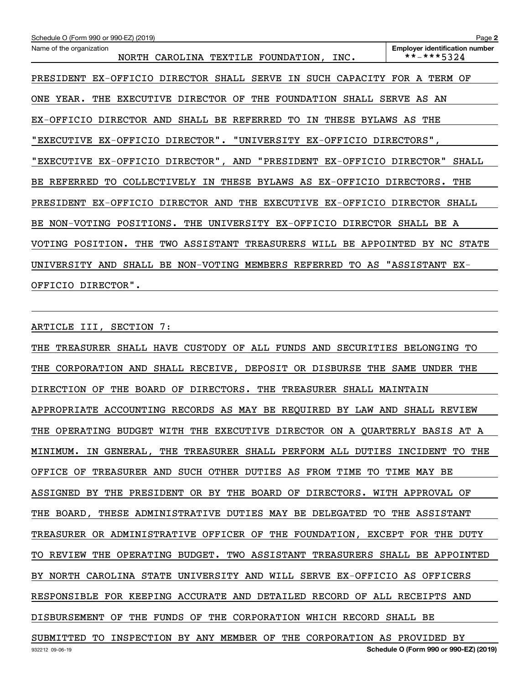| Schedule O (Form 990 or 990-EZ) (2019)                                         | Page 2                                              |
|--------------------------------------------------------------------------------|-----------------------------------------------------|
| Name of the organization<br>NORTH CAROLINA TEXTILE FOUNDATION, INC.            | <b>Employer identification number</b><br>**-***5324 |
| PRESIDENT EX-OFFICIO DIRECTOR SHALL SERVE IN SUCH CAPACITY FOR A TERM OF       |                                                     |
| EXECUTIVE DIRECTOR OF THE FOUNDATION SHALL SERVE AS AN<br>ONE YEAR.<br>THE     |                                                     |
| EX-OFFICIO DIRECTOR AND SHALL BE REFERRED TO<br>IN THESE BYLAWS AS THE         |                                                     |
| "EXECUTIVE EX-OFFICIO DIRECTOR". "UNIVERSITY EX-OFFICIO DIRECTORS",            |                                                     |
| "EXECUTIVE EX-OFFICIO DIRECTOR", AND "PRESIDENT EX-OFFICIO DIRECTOR" SHALL     |                                                     |
| <b>BE REFERRED</b><br>TO COLLECTIVELY IN THESE BYLAWS AS EX-OFFICIO DIRECTORS. | THE                                                 |
| PRESIDENT EX-OFFICIO DIRECTOR AND THE EXECUTIVE EX-OFFICIO DIRECTOR SHALL      |                                                     |
| BE NON-VOTING POSITIONS. THE UNIVERSITY EX-OFFICIO DIRECTOR SHALL BE A         |                                                     |
| VOTING POSITION. THE TWO ASSISTANT TREASURERS WILL BE APPOINTED BY NC STATE    |                                                     |
| SHALL BE NON-VOTING MEMBERS REFERRED<br>UNIVERSITY AND                         | TO AS "ASSISTANT EX-                                |
| OFFICIO DIRECTOR".                                                             |                                                     |

ARTICLE III, SECTION 7:

THE TREASURER SHALL HAVE CUSTODY OF ALL FUNDS AND SECURITIES BELONGING TO THE CORPORATION AND SHALL RECEIVE, DEPOSIT OR DISBURSE THE SAME UNDER THE DIRECTION OF THE BOARD OF DIRECTORS. THE TREASURER SHALL MAINTAIN APPROPRIATE ACCOUNTING RECORDS AS MAY BE REQUIRED BY LAW AND SHALL REVIEW THE OPERATING BUDGET WITH THE EXECUTIVE DIRECTOR ON A QUARTERLY BASIS AT A MINIMUM. IN GENERAL, THE TREASURER SHALL PERFORM ALL DUTIES INCIDENT TO THE OFFICE OF TREASURER AND SUCH OTHER DUTIES AS FROM TIME TO TIME MAY BE ASSIGNED BY THE PRESIDENT OR BY THE BOARD OF DIRECTORS. WITH APPROVAL OF THE BOARD, THESE ADMINISTRATIVE DUTIES MAY BE DELEGATED TO THE ASSISTANT TREASURER OR ADMINISTRATIVE OFFICER OF THE FOUNDATION, EXCEPT FOR THE DUTY TO REVIEW THE OPERATING BUDGET. TWO ASSISTANT TREASURERS SHALL BE APPOINTED BY NORTH CAROLINA STATE UNIVERSITY AND WILL SERVE EX-OFFICIO AS OFFICERS RESPONSIBLE FOR KEEPING ACCURATE AND DETAILED RECORD OF ALL RECEIPTS AND DISBURSEMENT OF THE FUNDS OF THE CORPORATION WHICH RECORD SHALL BE SUBMITTED TO INSPECTION BY ANY MEMBER OF THE CORPORATION AS PROVIDED BY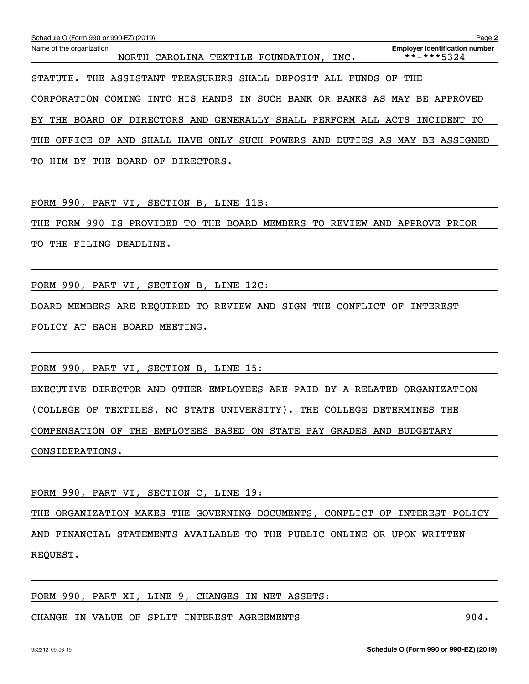| Schedule O (Form 990 or 990-EZ) (2019)                                                  | Page 2                                              |
|-----------------------------------------------------------------------------------------|-----------------------------------------------------|
| Name of the organization<br>CAROLINA TEXTILE FOUNDATION,<br>INC.<br>NORTH               | <b>Employer identification number</b><br>**-***5324 |
| THE ASSISTANT TREASURERS SHALL DEPOSIT ALL<br>FUNDS OF THE<br>STATUTE.                  |                                                     |
| INTO HIS HANDS IN SUCH BANK OR BANKS AS MAY BE APPROVED<br>COMING<br>CORPORATION        |                                                     |
| DIRECTORS AND GENERALLY SHALL PERFORM ALL ACTS INCIDENT<br>BY<br>BOARD OF<br>THE        | TO                                                  |
| SHALL HAVE ONLY SUCH POWERS AND DUTIES AS MAY BE ASSIGNED<br>OFFICE<br>AND<br>THE<br>OF |                                                     |

TO HIM BY THE BOARD OF DIRECTORS.

FORM 990, PART VI, SECTION B, LINE 11B:

THE FORM 990 IS PROVIDED TO THE BOARD MEMBERS TO REVIEW AND APPROVE PRIOR

TO THE FILING DEADLINE.

FORM 990, PART VI, SECTION B, LINE 12C:

BOARD MEMBERS ARE REQUIRED TO REVIEW AND SIGN THE CONFLICT OF INTEREST

POLICY AT EACH BOARD MEETING.

FORM 990, PART VI, SECTION B, LINE 15:

EXECUTIVE DIRECTOR AND OTHER EMPLOYEES ARE PAID BY A RELATED ORGANIZATION

(COLLEGE OF TEXTILES, NC STATE UNIVERSITY). THE COLLEGE DETERMINES THE

COMPENSATION OF THE EMPLOYEES BASED ON STATE PAY GRADES AND BUDGETARY

CONSIDERATIONS.

FORM 990, PART VI, SECTION C, LINE 19:

THE ORGANIZATION MAKES THE GOVERNING DOCUMENTS, CONFLICT OF INTEREST POLICY AND FINANCIAL STATEMENTS AVAILABLE TO THE PUBLIC ONLINE OR UPON WRITTEN REQUEST.

FORM 990, PART XI, LINE 9, CHANGES IN NET ASSETS:

CHANGE IN VALUE OF SPLIT INTEREST AGREEMENTS 6004.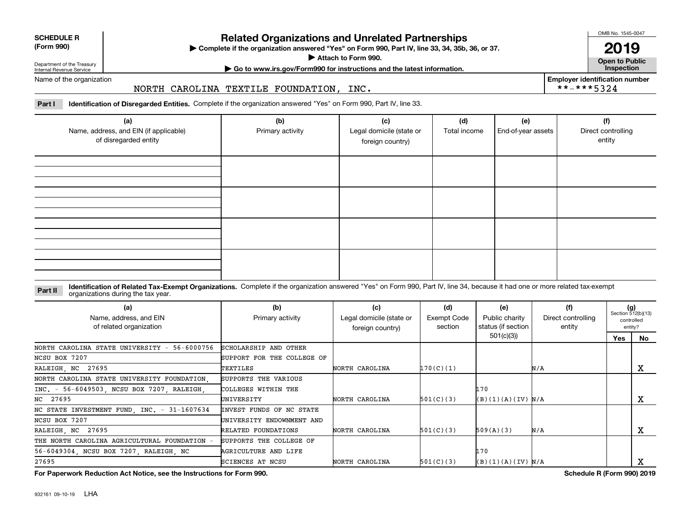| <b>SCHEDULE R</b> |  |
|-------------------|--|
| $(T - 0.00)$      |  |

**(Form 990)**

### **Related Organizations and Unrelated Partnerships**

**Complete if the organization answered "Yes" on Form 990, Part IV, line 33, 34, 35b, 36, or 37.** |

**Attach to Form 990.**  |

OMB No. 1545-0047

**Open to Public 2019**

**Employer identification number**

\*\*-\*\*\*5324

Department of the Treasury Internal Revenue Service

# **| Go to www.irs.gov/Form990 for instructions and the latest information. Inspection**

Name of the organization

#### NORTH CAROLINA TEXTILE FOUNDATION, INC.

**Part I Identification of Disregarded Entities.**  Complete if the organization answered "Yes" on Form 990, Part IV, line 33.

| (a)<br>Name, address, and EIN (if applicable)<br>of disregarded entity | (b)<br>Primary activity | (c)<br>Legal domicile (state or<br>foreign country) | (d)<br>Total income | (e)<br>End-of-year assets | (f)<br>Direct controlling<br>entity |
|------------------------------------------------------------------------|-------------------------|-----------------------------------------------------|---------------------|---------------------------|-------------------------------------|
|                                                                        |                         |                                                     |                     |                           |                                     |
|                                                                        |                         |                                                     |                     |                           |                                     |
|                                                                        |                         |                                                     |                     |                           |                                     |
|                                                                        |                         |                                                     |                     |                           |                                     |

#### **Identification of Related Tax-Exempt Organizations.** Complete if the organization answered "Yes" on Form 990, Part IV, line 34, because it had one or more related tax-exempt **Part II** organizations during the tax year.

| (a)<br>Name, address, and EIN<br>of related organization | (b)<br>Primary activity    | (c)<br>Legal domicile (state or<br>foreign country) | (d)<br>Exempt Code<br>section | (e)<br>Public charity<br>status (if section | (f)<br>Direct controlling<br>entity | $(g)$<br>Section 512(b)(13) | controlled<br>entity? |
|----------------------------------------------------------|----------------------------|-----------------------------------------------------|-------------------------------|---------------------------------------------|-------------------------------------|-----------------------------|-----------------------|
|                                                          |                            |                                                     |                               | 501(c)(3)                                   |                                     | Yes                         | No.                   |
| NORTH CAROLINA STATE UNIVERSITY -<br>56-6000756          | SCHOLARSHIP AND OTHER      |                                                     |                               |                                             |                                     |                             |                       |
| NCSU BOX 7207                                            | SUPPORT FOR THE COLLEGE OF |                                                     |                               |                                             |                                     |                             |                       |
| RALEIGH, NC 27695                                        | TEXTILES                   | NORTH CAROLINA                                      | 170(C)(1)                     |                                             | N/A                                 |                             | x                     |
| NORTH CAROLINA STATE UNIVERSITY FOUNDATION.              | SUPPORTS THE VARIOUS       |                                                     |                               |                                             |                                     |                             |                       |
| INC. - 56-6049503, NCSU BOX 7207, RALEIGH,               | COLLEGES WITHIN THE        |                                                     |                               | 170                                         |                                     |                             |                       |
| NC 27695                                                 | UNIVERSITY                 | NORTH CAROLINA                                      | 501(C)(3)                     | (B)(1)(A)(IV) N/A                           |                                     |                             | x                     |
| NC STATE INVESTMENT FUND, INC. - 31-1607634              | INVEST FUNDS OF NC STATE   |                                                     |                               |                                             |                                     |                             |                       |
| NCSU BOX 7207                                            | UNIVERSITY ENDOWNMENT AND  |                                                     |                               |                                             |                                     |                             |                       |
| RALEIGH, NC 27695                                        | RELATED FOUNDATIONS        | NORTH CAROLINA                                      | 501(C)(3)                     | 509(A)(3)                                   | N/A                                 |                             | x                     |
| THE NORTH CAROLINA AGRICULTURAL FOUNDATION               | SUPPORTS THE COLLEGE OF    |                                                     |                               |                                             |                                     |                             |                       |
| 56-6049304, NCSU BOX 7207, RALEIGH, NC                   | AGRICULTURE AND LIFE       |                                                     |                               | 170                                         |                                     |                             |                       |
| 27695                                                    | <b>SCIENCES AT NCSU</b>    | NORTH CAROLINA                                      | 501(C)(3)                     | (B)(1)(A)(IV) N/A                           |                                     |                             |                       |
|                                                          |                            |                                                     |                               |                                             | $\sim$ $\sim$ $\sim$ $\sim$ $\sim$  |                             | 0.0010010             |

**For Paperwork Reduction Act Notice, see the Instructions for Form 990. Schedule R (Form 990) 2019**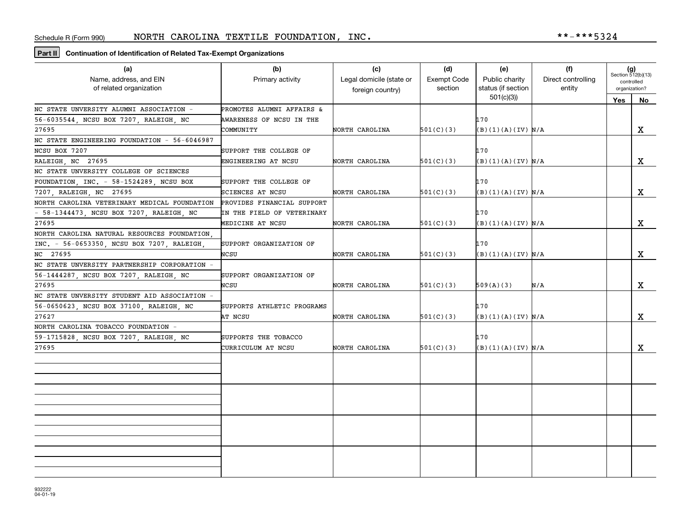**Part II Continuation of Identification of Related Tax-Exempt Organizations**

| (a)<br>Name, address, and EIN                | (b)<br>Primary activity<br>of related organization |                  | (d)<br><b>Exempt Code</b><br>section | (e)<br>Public charity<br>status (if section | (f)<br>Direct controlling<br>entity | $(g)$<br>Section 512(b)(13)<br>controlled |    |
|----------------------------------------------|----------------------------------------------------|------------------|--------------------------------------|---------------------------------------------|-------------------------------------|-------------------------------------------|----|
|                                              |                                                    | foreign country) |                                      | 501(c)(3)                                   |                                     | organization?<br>Yes                      | No |
| NC STATE UNVERSITY ALUMNI ASSOCIATION -      | PROMOTES ALUMNI AFFAIRS &                          |                  |                                      |                                             |                                     |                                           |    |
| 56-6035544, NCSU BOX 7207, RALEIGH, NC       | AWARENESS OF NCSU IN THE                           |                  |                                      | 170                                         |                                     |                                           |    |
| 27695                                        | COMMUNITY                                          | NORTH CAROLINA   | 501(C)(3)                            | (B)(1)(A)(IV) N/A                           |                                     |                                           | X  |
| NC STATE ENGINEERING FOUNDATION - 56-6046987 |                                                    |                  |                                      |                                             |                                     |                                           |    |
| NCSU BOX 7207                                | SUPPORT THE COLLEGE OF                             |                  |                                      | 170                                         |                                     |                                           |    |
| RALEIGH NC 27695                             | ENGINEERING AT NCSU                                | NORTH CAROLINA   | 501(C)(3)                            | (B)(1)(A)(IV) N/A                           |                                     |                                           | X  |
| NC STATE UNVERSITY COLLEGE OF SCIENCES       |                                                    |                  |                                      |                                             |                                     |                                           |    |
| FOUNDATION, INC. - 58-1524289, NCSU BOX      | SUPPORT THE COLLEGE OF                             |                  |                                      | 170                                         |                                     |                                           |    |
| 7207, RALEIGH, NC 27695                      | SCIENCES AT NCSU                                   | NORTH CAROLINA   | 501(C)(3)                            | (B)(1)(A)(IV) N/A                           |                                     |                                           | X  |
| NORTH CAROLINA VETERINARY MEDICAL FOUNDATION | PROVIDES FINANCIAL SUPPORT                         |                  |                                      |                                             |                                     |                                           |    |
| - 58-1344473, NCSU BOX 7207, RALEIGH, NC     | IN THE FIELD OF VETERINARY                         |                  |                                      | 170                                         |                                     |                                           |    |
| 27695                                        | MEDICINE AT NCSU                                   | NORTH CAROLINA   | 501(C)(3)                            | (B)(1)(A)(IV) N/A                           |                                     |                                           | X  |
| NORTH CAROLINA NATURAL RESOURCES FOUNDATION  |                                                    |                  |                                      |                                             |                                     |                                           |    |
| INC. - 56-0653350, NCSU BOX 7207, RALEIGH,   | SUPPORT ORGANIZATION OF                            |                  |                                      | 170                                         |                                     |                                           |    |
| NC 27695                                     | NCSU                                               | NORTH CAROLINA   | 501(C)(3)                            | (B)(1)(A)(IV) N/A                           |                                     |                                           | X  |
| NC STATE UNVERSITY PARTNERSHIP CORPORATION - |                                                    |                  |                                      |                                             |                                     |                                           |    |
| 56-1444287, NCSU BOX 7207, RALEIGH, NC       | SUPPORT ORGANIZATION OF                            |                  |                                      |                                             |                                     |                                           |    |
| 27695                                        | NCSU                                               | NORTH CAROLINA   | 501(C)(3)                            | 509(A)(3)                                   | N/A                                 |                                           | x  |
| NC STATE UNVERSITY STUDENT AID ASSOCIATION - |                                                    |                  |                                      |                                             |                                     |                                           |    |
| 56-0650623, NCSU BOX 37100, RALEIGH, NC      | SUPPORTS ATHLETIC PROGRAMS                         |                  |                                      | 170                                         |                                     |                                           |    |
| 27627                                        | AT NCSU                                            | NORTH CAROLINA   | 501(C)(3)                            | (B)(1)(A)(IV) N/A                           |                                     |                                           | X  |
| NORTH CAROLINA TOBACCO FOUNDATION -          |                                                    |                  |                                      |                                             |                                     |                                           |    |
| 59-1715828, NCSU BOX 7207, RALEIGH, NC       | SUPPORTS THE TOBACCO                               |                  |                                      | 170                                         |                                     |                                           |    |
| 27695                                        | CURRICULUM AT NCSU                                 | NORTH CAROLINA   | 501(C)(3)                            | (B)(1)(A)(IV) N/A                           |                                     |                                           | X  |
|                                              |                                                    |                  |                                      |                                             |                                     |                                           |    |
|                                              |                                                    |                  |                                      |                                             |                                     |                                           |    |
|                                              |                                                    |                  |                                      |                                             |                                     |                                           |    |
|                                              |                                                    |                  |                                      |                                             |                                     |                                           |    |
|                                              |                                                    |                  |                                      |                                             |                                     |                                           |    |
|                                              |                                                    |                  |                                      |                                             |                                     |                                           |    |
|                                              |                                                    |                  |                                      |                                             |                                     |                                           |    |
|                                              |                                                    |                  |                                      |                                             |                                     |                                           |    |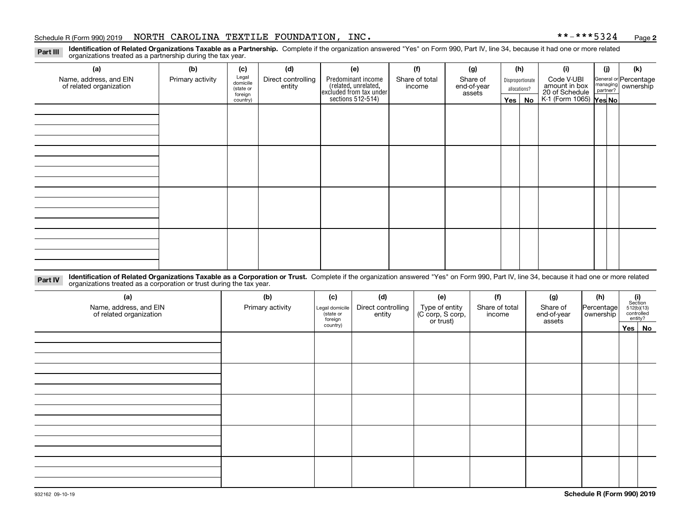#### Schedule R (Form 990) 2019 Page NORTH CAROLINA TEXTILE FOUNDATION, INC. \*\*-\*\*\*5324

**2**

**Identification of Related Organizations Taxable as a Partnership.** Complete if the organization answered "Yes" on Form 990, Part IV, line 34, because it had one or more related **Part III** organizations treated as a partnership during the tax year.

| (a)                     | (b)              | (c)                  | (d)                | (e)                                                                 | (f)            | (g)                   | (h)              | (i)                                      | (j) | (k)                                                       |
|-------------------------|------------------|----------------------|--------------------|---------------------------------------------------------------------|----------------|-----------------------|------------------|------------------------------------------|-----|-----------------------------------------------------------|
| Name, address, and EIN  | Primary activity | Legal<br>domicile    | Direct controlling | Predominant income                                                  | Share of total | Share of              | Disproportionate | Code V-UBI<br>amount in box              |     | General or Percentage<br>managing<br>partner?<br>partner? |
| of related organization |                  | (state or<br>foreign | entity             | related, unrelated,<br>excluded from tax under<br>sections 512-514) | income         | end-of-year<br>assets | allocations?     | 20 of Schedule<br>K-1 (Form 1065) Yes No |     |                                                           |
|                         |                  | country)             |                    |                                                                     |                |                       | Yes   No         |                                          |     |                                                           |
|                         |                  |                      |                    |                                                                     |                |                       |                  |                                          |     |                                                           |
|                         |                  |                      |                    |                                                                     |                |                       |                  |                                          |     |                                                           |
|                         |                  |                      |                    |                                                                     |                |                       |                  |                                          |     |                                                           |
|                         |                  |                      |                    |                                                                     |                |                       |                  |                                          |     |                                                           |
|                         |                  |                      |                    |                                                                     |                |                       |                  |                                          |     |                                                           |
|                         |                  |                      |                    |                                                                     |                |                       |                  |                                          |     |                                                           |
|                         |                  |                      |                    |                                                                     |                |                       |                  |                                          |     |                                                           |
|                         |                  |                      |                    |                                                                     |                |                       |                  |                                          |     |                                                           |
|                         |                  |                      |                    |                                                                     |                |                       |                  |                                          |     |                                                           |
|                         |                  |                      |                    |                                                                     |                |                       |                  |                                          |     |                                                           |
|                         |                  |                      |                    |                                                                     |                |                       |                  |                                          |     |                                                           |
|                         |                  |                      |                    |                                                                     |                |                       |                  |                                          |     |                                                           |
|                         |                  |                      |                    |                                                                     |                |                       |                  |                                          |     |                                                           |
|                         |                  |                      |                    |                                                                     |                |                       |                  |                                          |     |                                                           |
|                         |                  |                      |                    |                                                                     |                |                       |                  |                                          |     |                                                           |
|                         |                  |                      |                    |                                                                     |                |                       |                  |                                          |     |                                                           |
|                         |                  |                      |                    |                                                                     |                |                       |                  |                                          |     |                                                           |

**Identification of Related Organizations Taxable as a Corporation or Trust.** Complete if the organization answered "Yes" on Form 990, Part IV, line 34, because it had one or more related **Part IV** organizations treated as a corporation or trust during the tax year.

| (a)<br>Name, address, and EIN<br>of related organization | (b)<br>Primary activity | (c)<br>Legal domicile<br>(state or<br>foreign | (d)<br>Direct controlling<br>entity | (e)<br>Type of entity<br>(C corp, S corp,<br>or trust) | (f)<br>Share of total<br>income | (g)<br>Share of<br>end-of-year<br>assets | (h)<br>Percentage<br>ownership | $\begin{array}{c} \textbf{(i)}\\ \text{Section}\\ 512 \text{(b)} \text{(13)}\\ \text{controlled}\\ \text{entity?} \end{array}$ |
|----------------------------------------------------------|-------------------------|-----------------------------------------------|-------------------------------------|--------------------------------------------------------|---------------------------------|------------------------------------------|--------------------------------|--------------------------------------------------------------------------------------------------------------------------------|
|                                                          |                         | country)                                      |                                     |                                                        |                                 |                                          |                                | Yes No                                                                                                                         |
|                                                          |                         |                                               |                                     |                                                        |                                 |                                          |                                |                                                                                                                                |
|                                                          |                         |                                               |                                     |                                                        |                                 |                                          |                                |                                                                                                                                |
|                                                          |                         |                                               |                                     |                                                        |                                 |                                          |                                |                                                                                                                                |
|                                                          |                         |                                               |                                     |                                                        |                                 |                                          |                                |                                                                                                                                |
|                                                          |                         |                                               |                                     |                                                        |                                 |                                          |                                |                                                                                                                                |
|                                                          |                         |                                               |                                     |                                                        |                                 |                                          |                                |                                                                                                                                |
|                                                          |                         |                                               |                                     |                                                        |                                 |                                          |                                |                                                                                                                                |
|                                                          |                         |                                               |                                     |                                                        |                                 |                                          |                                |                                                                                                                                |
|                                                          |                         |                                               |                                     |                                                        |                                 |                                          |                                |                                                                                                                                |
|                                                          |                         |                                               |                                     |                                                        |                                 |                                          |                                |                                                                                                                                |
|                                                          |                         |                                               |                                     |                                                        |                                 |                                          |                                |                                                                                                                                |
|                                                          |                         |                                               |                                     |                                                        |                                 |                                          |                                |                                                                                                                                |
|                                                          |                         |                                               |                                     |                                                        |                                 |                                          |                                |                                                                                                                                |
|                                                          |                         |                                               |                                     |                                                        |                                 |                                          |                                |                                                                                                                                |
|                                                          |                         |                                               |                                     |                                                        |                                 |                                          |                                |                                                                                                                                |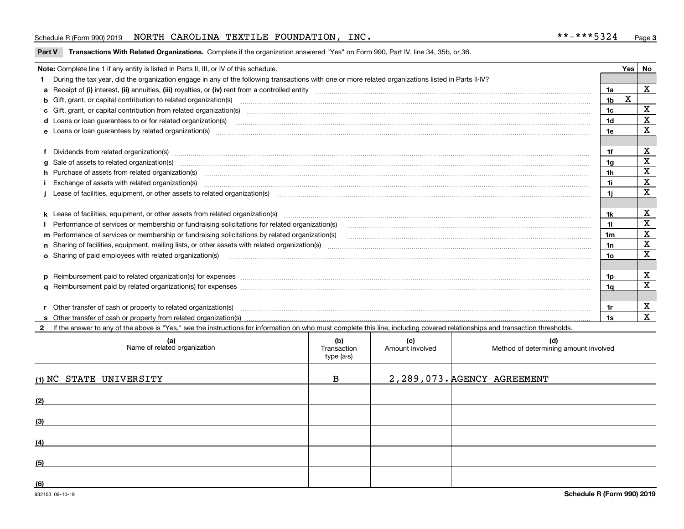#### Schedule R (Form 990) 2019 Page NORTH CAROLINA TEXTILE FOUNDATION, INC. \*\*-\*\*\*5324

**Part V Transactions With Related Organizations. Complete if the organization answered "Yes" on Form 990, Part IV, line 34, 35b, or 36.<br>** 

| Note: Complete line 1 if any entity is listed in Parts II, III, or IV of this schedule.<br>Yes I |                                                                                                                                                                                                                                |                |   |              |  |
|--------------------------------------------------------------------------------------------------|--------------------------------------------------------------------------------------------------------------------------------------------------------------------------------------------------------------------------------|----------------|---|--------------|--|
|                                                                                                  | 1 During the tax year, did the organization engage in any of the following transactions with one or more related organizations listed in Parts II-IV?                                                                          |                |   |              |  |
|                                                                                                  | a Receipt of (i) interest, (ii) annuities, (iii) royalties, or (iv) rent from a controlled entity [1] controlled entity [1] controlled entimed to the controlled entity [1] content content content content of (i) interest, ( | 1a             |   | $\mathbf{x}$ |  |
|                                                                                                  | b Gift, grant, or capital contribution to related organization(s) manufactured and contribution to related organization(s)                                                                                                     | 1b             | X |              |  |
|                                                                                                  | c Gift, grant, or capital contribution from related organization(s) material contents and contribution from related organization(s) material contents and content of the content of the content of content of content of conte | 1c             |   | $\mathbf X$  |  |
|                                                                                                  |                                                                                                                                                                                                                                | 1 <sub>d</sub> |   | X            |  |
|                                                                                                  | e Loans or loan guarantees by related organization(s) manufaction content and content and content and content and content and content and content and content and content and content and content and content and content and  | 1e             |   | X            |  |
|                                                                                                  |                                                                                                                                                                                                                                |                |   |              |  |
|                                                                                                  | f Dividends from related organization(s) manufactured and contract and contract of the contract of the contract of the contract of the contract of the contract of the contract of the contract of the contract of the contrac | 1f             |   | х            |  |
|                                                                                                  |                                                                                                                                                                                                                                | 1a             |   | X            |  |
|                                                                                                  | h Purchase of assets from related organization(s) manufactured and content and content and content and content and content and content and content and content and content and content and content and content and content and | 1 <sub>h</sub> |   | X            |  |
|                                                                                                  |                                                                                                                                                                                                                                | 1i             |   | $\mathbf X$  |  |
|                                                                                                  | Lease of facilities, equipment, or other assets to related organization(s) contraction contraction control and the set of facilities, equipment, or other assets to related organization(s) contraction control and the set of | 1i             |   | X            |  |
|                                                                                                  |                                                                                                                                                                                                                                |                |   |              |  |
|                                                                                                  |                                                                                                                                                                                                                                | 1k             |   | X            |  |
|                                                                                                  |                                                                                                                                                                                                                                | 11             |   | X            |  |
|                                                                                                  | m Performance of services or membership or fundraising solicitations by related organization(s)                                                                                                                                | 1m             |   | $\mathbf x$  |  |
|                                                                                                  |                                                                                                                                                                                                                                | 1n             |   | X            |  |
|                                                                                                  | <b>o</b> Sharing of paid employees with related organization(s)                                                                                                                                                                | 10             |   | $\mathbf x$  |  |
|                                                                                                  |                                                                                                                                                                                                                                |                |   |              |  |
|                                                                                                  |                                                                                                                                                                                                                                | 1p.            |   | X            |  |
|                                                                                                  |                                                                                                                                                                                                                                | 1a             |   | $\mathbf x$  |  |
|                                                                                                  |                                                                                                                                                                                                                                |                |   |              |  |
|                                                                                                  | r Other transfer of cash or property to related organization(s)                                                                                                                                                                | 1r             |   | х            |  |
|                                                                                                  |                                                                                                                                                                                                                                | 1s             |   | X            |  |
|                                                                                                  | 2 If the answer to any of the above is "Yes," see the instructions for information on who must complete this line, including covered relationships and transaction thresholds.                                                 |                |   |              |  |

| (a)<br>Name of related organization | (b)<br>Transaction<br>type (a-s) | (c)<br>Amount involved | (d)<br>Method of determining amount involved |
|-------------------------------------|----------------------------------|------------------------|----------------------------------------------|
| (1) NC STATE UNIVERSITY             | в                                |                        | 2, 289, 073. AGENCY AGREEMENT                |
| (2)                                 |                                  |                        |                                              |
| (3)                                 |                                  |                        |                                              |
| (4)                                 |                                  |                        |                                              |
| (5)                                 |                                  |                        |                                              |
| (6)                                 |                                  |                        |                                              |

 $\overline{\phantom{a}}$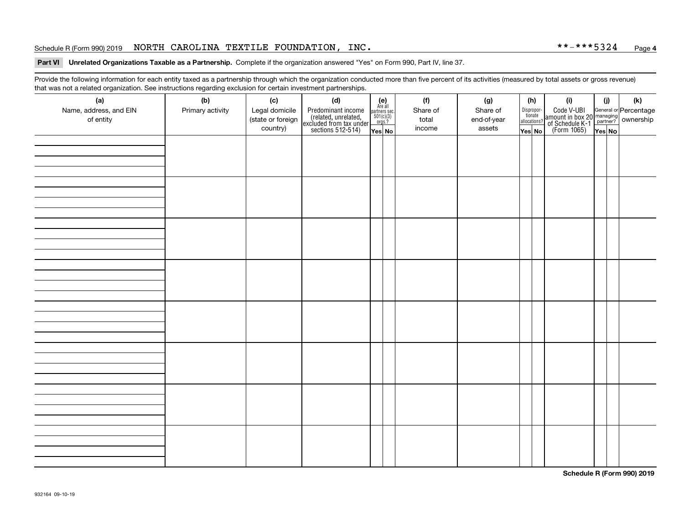#### Schedule R (Form 990) 2019 Page NORTH CAROLINA TEXTILE FOUNDATION, INC. \*\*-\*\*\*5324

#### **4**

# **Part VI Unrelated Organizations Taxable as a Partnership.**  Complete if the organization answered "Yes" on Form 990, Part IV, line 37.

Provide the following information for each entity taxed as a partnership through which the organization conducted more than five percent of its activities (measured by total assets or gross revenue) that was not a related organization. See instructions regarding exclusion for certain investment partnerships.

| (a)<br>Name, address, and EIN<br>of entity | ັ<br>(b)<br>Primary activity | (c)<br>Legal domicile<br>(state or foreign<br>country) | (d)<br>Predominant income<br>(related, unrelated,<br>excluded from tax under<br>sections 512-514) | $(e)$<br>Are all<br>$\begin{array}{c}\n\text{partners} \sec.\n\\ \n501(c)(3)\n\\ \n0rgs.?\n\end{array}$<br>Yes No | (f)<br>Share of<br>total<br>income | (g)<br>Share of<br>end-of-year<br>assets | (h)<br>Dispropor-<br>tionate<br>allocations?<br>Yes No | (i)<br>Code V-UBI<br>amount in box 20 managing<br>of Schedule K-1<br>(Form 1065)<br>$\overline{Yes}$ No | (i)<br>Yes No | $(\mathsf{k})$ |
|--------------------------------------------|------------------------------|--------------------------------------------------------|---------------------------------------------------------------------------------------------------|-------------------------------------------------------------------------------------------------------------------|------------------------------------|------------------------------------------|--------------------------------------------------------|---------------------------------------------------------------------------------------------------------|---------------|----------------|
|                                            |                              |                                                        |                                                                                                   |                                                                                                                   |                                    |                                          |                                                        |                                                                                                         |               |                |
|                                            |                              |                                                        |                                                                                                   |                                                                                                                   |                                    |                                          |                                                        |                                                                                                         |               |                |
|                                            |                              |                                                        |                                                                                                   |                                                                                                                   |                                    |                                          |                                                        |                                                                                                         |               |                |
|                                            |                              |                                                        |                                                                                                   |                                                                                                                   |                                    |                                          |                                                        |                                                                                                         |               |                |
|                                            |                              |                                                        |                                                                                                   |                                                                                                                   |                                    |                                          |                                                        |                                                                                                         |               |                |
|                                            |                              |                                                        |                                                                                                   |                                                                                                                   |                                    |                                          |                                                        |                                                                                                         |               |                |
|                                            |                              |                                                        |                                                                                                   |                                                                                                                   |                                    |                                          |                                                        |                                                                                                         |               |                |
|                                            |                              |                                                        |                                                                                                   |                                                                                                                   |                                    |                                          |                                                        |                                                                                                         |               |                |

**Schedule R (Form 990) 2019**